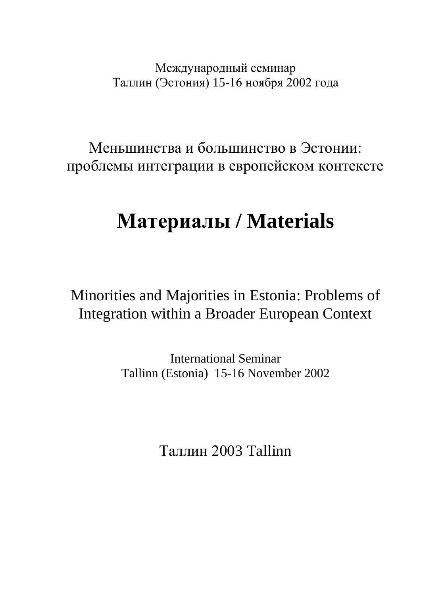Международный семинар Таллин (Эстония) 15-16 ноября 2002 года

Меньшинства и большинство в Эстонии: проблемы интеграции в европейском контексте

# **Материалы / Materials**

Minorities and Majorities in Estonia: Problems of Integration within a Broader European Context

> International Seminar Tallinn (Estonia) 15-16 November 2002

> > Таллин 2003 Tallinn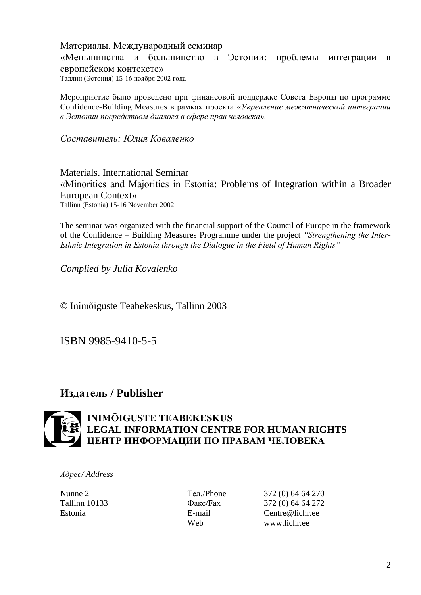Материалы. Международный семинар «Меньшинства и большинство в Эстонии: проблемы интеграции в европейском контексте» Таллин (Эстония) 15-16 ноября 2002 года

Мероприятие было проведено при финансовой поддержке Совета Европы по программе Confidence-Building Measures в рамках проекта «*Укрепление межэтнической интеграции в Эстонии посредством диалога в сфере прав человека».*

*Составитель: Юлия Коваленко*

Materials. International Seminar «Minorities and Majorities in Estonia: Problems of Integration within a Broader European Context» Tallinn (Estonia) 15-16 November 2002

The seminar was organized with the financial support of the Council of Europe in the framework of the Confidence – Building Measures Programme under the project *"Strengthening the Inter-Ethnic Integration in Estonia through the Dialogue in the Field of Human Rights"*

*Complied by Julia Kovalenko*

© Inimõiguste Teabekeskus, Tallinn 2003

ISBN 9985-9410-5-5

# **Издатель / Publisher**



# **INIMÕIGUSTE TEABEKESKUS LEGAL INFORMATION CENTRE FOR HUMAN RIGHTS ЦЕНТР ИНФОРМАЦИИ ПО ПРАВАМ ЧЕЛОВЕКА**

*Адрес/ Address*

Nunne 2 Teл./Phone 372 (0) 64 64 270 Tallinn 10133 Факс/Fax 372 (0) 64 64 272 Estonia E-mail Centre@lichr.ee Web www.lichr.ee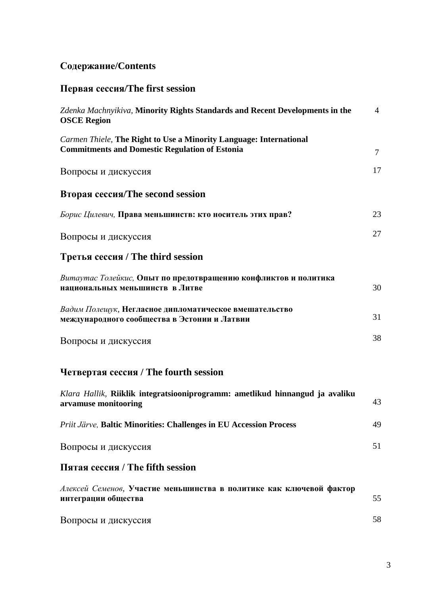# **Содержание/Contents**

# **Первая сессия/The first session**

| Zdenka Machnyikiva, Minority Rights Standards and Recent Developments in the<br><b>OSCE Region</b>                          | $\overline{4}$ |
|-----------------------------------------------------------------------------------------------------------------------------|----------------|
| Carmen Thiele, The Right to Use a Minority Language: International<br><b>Commitments and Domestic Regulation of Estonia</b> | $\overline{7}$ |
| Вопросы и дискуссия                                                                                                         | 17             |
| Вторая сессия/The second session                                                                                            |                |
| Борис Цилевич, Права меньшинств: кто носитель этих прав?                                                                    | 23             |
| Вопросы и дискуссия                                                                                                         | 27             |
| Третья сессия / The third session                                                                                           |                |
| Витаутас Толейкис, Опыт по предотвращению конфликтов и политика<br>национальных меньшинств в Литве                          | 30             |
| Вадим Полещук, Негласное дипломатическое вмешательство<br>международного сообщества в Эстонии и Латвии                      | 31             |
| Вопросы и дискуссия                                                                                                         | 38             |
| Четвертая сессия / The fourth session                                                                                       |                |
| Klara Hallik, Riiklik integratsiooniprogramm: ametlikud hinnangud ja avaliku<br>arvamuse monitooring                        | 43             |
| Priit Järve, Baltic Minorities: Challenges in EU Accession Process                                                          | 49             |
| Вопросы и дискуссия                                                                                                         | 51             |
| Пятая сессия / The fifth session                                                                                            |                |
| Алексей Семенов, Участие меньшинства в политике как ключевой фактор<br>интеграции общества                                  | 55             |
| Вопросы и дискуссия                                                                                                         | 58             |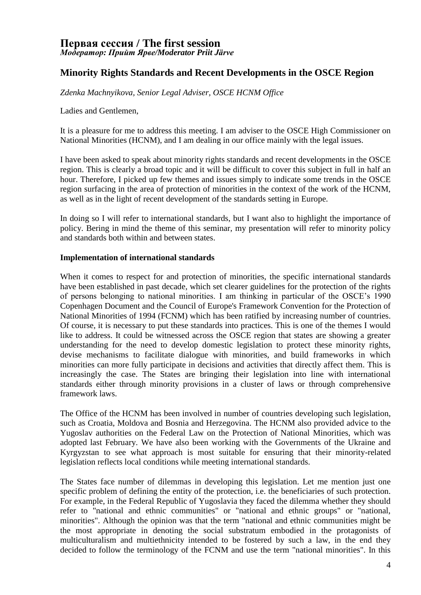### **Первая сессия / The first session** *Модератор: Прийт Ярве/Moderator Priit Järve*

## **Minority Rights Standards and Recent Developments in the OSCE Region**

*Zdenka Machnyikova, Senior Legal Adviser, OSCE HCNM Office*

Ladies and Gentlemen,

It is a pleasure for me to address this meeting. I am adviser to the OSCE High Commissioner on National Minorities (HCNM), and I am dealing in our office mainly with the legal issues.

I have been asked to speak about minority rights standards and recent developments in the OSCE region. This is clearly a broad topic and it will be difficult to cover this subject in full in half an hour. Therefore, I picked up few themes and issues simply to indicate some trends in the OSCE region surfacing in the area of protection of minorities in the context of the work of the HCNM, as well as in the light of recent development of the standards setting in Europe.

In doing so I will refer to international standards, but I want also to highlight the importance of policy. Bering in mind the theme of this seminar, my presentation will refer to minority policy and standards both within and between states.

#### **Implementation of international standards**

When it comes to respect for and protection of minorities, the specific international standards have been established in past decade, which set clearer guidelines for the protection of the rights of persons belonging to national minorities. I am thinking in particular of the OSCE's 1990 Copenhagen Document and the Council of Europe's Framework Convention for the Protection of National Minorities of 1994 (FCNM) which has been ratified by increasing number of countries. Of course, it is necessary to put these standards into practices. This is one of the themes I would like to address. It could be witnessed across the OSCE region that states are showing a greater understanding for the need to develop domestic legislation to protect these minority rights, devise mechanisms to facilitate dialogue with minorities, and build frameworks in which minorities can more fully participate in decisions and activities that directly affect them. This is increasingly the case. The States are bringing their legislation into line with international standards either through minority provisions in a cluster of laws or through comprehensive framework laws.

The Office of the HCNM has been involved in number of countries developing such legislation, such as Croatia, Moldova and Bosnia and Herzegovina. The HCNM also provided advice to the Yugoslav authorities on the Federal Law on the Protection of National Minorities, which was adopted last February. We have also been working with the Governments of the Ukraine and Kyrgyzstan to see what approach is most suitable for ensuring that their minority-related legislation reflects local conditions while meeting international standards.

The States face number of dilemmas in developing this legislation. Let me mention just one specific problem of defining the entity of the protection, i.e. the beneficiaries of such protection. For example, in the Federal Republic of Yugoslavia they faced the dilemma whether they should refer to "national and ethnic communities" or "national and ethnic groups" or "national, minorities". Although the opinion was that the term "national and ethnic communities might be the most appropriate in denoting the social substratum embodied in the protagonists of multiculturalism and multiethnicity intended to be fostered by such a law, in the end they decided to follow the terminology of the FCNM and use the term "national minorities". In this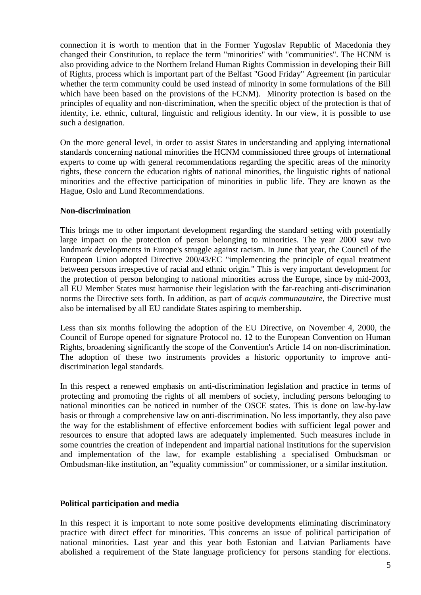connection it is worth to mention that in the Former Yugoslav Republic of Macedonia they changed their Constitution, to replace the term "minorities" with "communities". The HCNM is also providing advice to the Northern Ireland Human Rights Commission in developing their Bill of Rights, process which is important part of the Belfast "Good Friday" Agreement (in particular whether the term community could be used instead of minority in some formulations of the Bill which have been based on the provisions of the FCNM). Minority protection is based on the principles of equality and non-discrimination, when the specific object of the protection is that of identity, i.e. ethnic, cultural, linguistic and religious identity. In our view, it is possible to use such a designation.

On the more general level, in order to assist States in understanding and applying international standards concerning national minorities the HCNM commissioned three groups of international experts to come up with general recommendations regarding the specific areas of the minority rights, these concern the education rights of national minorities, the linguistic rights of national minorities and the effective participation of minorities in public life. They are known as the Hague, Oslo and Lund Recommendations.

#### **Non-discrimination**

This brings me to other important development regarding the standard setting with potentially large impact on the protection of person belonging to minorities. The year 2000 saw two landmark developments in Europe's struggle against racism. In June that year, the Council of the European Union adopted Directive 200/43/EC "implementing the principle of equal treatment between persons irrespective of racial and ethnic origin." This is very important development for the protection of person belonging to national minorities across the Europe, since by mid-2003, all EU Member States must harmonise their legislation with the far-reaching anti-discrimination norms the Directive sets forth. In addition, as part of *acquis communautaire*, the Directive must also be internalised by all EU candidate States aspiring to membership.

Less than six months following the adoption of the EU Directive, on November 4, 2000, the Council of Europe opened for signature Protocol no. 12 to the European Convention on Human Rights, broadening significantly the scope of the Convention's Article 14 on non-discrimination. The adoption of these two instruments provides a historic opportunity to improve antidiscrimination legal standards.

In this respect a renewed emphasis on anti-discrimination legislation and practice in terms of protecting and promoting the rights of all members of society, including persons belonging to national minorities can be noticed in number of the OSCE states. This is done on law-by-law basis or through a comprehensive law on anti-discrimination. No less importantly, they also pave the way for the establishment of effective enforcement bodies with sufficient legal power and resources to ensure that adopted laws are adequately implemented. Such measures include in some countries the creation of independent and impartial national institutions for the supervision and implementation of the law, for example establishing a specialised Ombudsman or Ombudsman-like institution, an "equality commission" or commissioner, or a similar institution.

#### **Political participation and media**

In this respect it is important to note some positive developments eliminating discriminatory practice with direct effect for minorities. This concerns an issue of political participation of national minorities. Last year and this year both Estonian and Latvian Parliaments have abolished a requirement of the State language proficiency for persons standing for elections.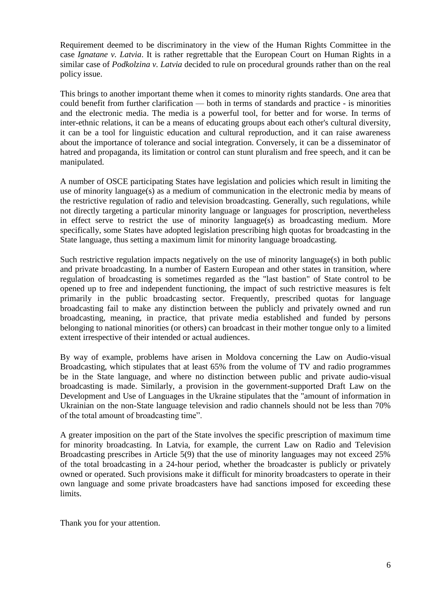Requirement deemed to be discriminatory in the view of the Human Rights Committee in the case *Ignatane v. Latvia*. It is rather regrettable that the European Court on Human Rights in a similar case of *Podkolzina v. Latvia* decided to rule on procedural grounds rather than on the real policy issue.

This brings to another important theme when it comes to minority rights standards. One area that could benefit from further clarification — both in terms of standards and practice - is minorities and the electronic media. The media is a powerful tool, for better and for worse. In terms of inter-ethnic relations, it can be a means of educating groups about each other's cultural diversity, it can be a tool for linguistic education and cultural reproduction, and it can raise awareness about the importance of tolerance and social integration. Conversely, it can be a disseminator of hatred and propaganda, its limitation or control can stunt pluralism and free speech, and it can be manipulated.

A number of OSCE participating States have legislation and policies which result in limiting the use of minority language(s) as a medium of communication in the electronic media by means of the restrictive regulation of radio and television broadcasting. Generally, such regulations, while not directly targeting a particular minority language or languages for proscription, nevertheless in effect serve to restrict the use of minority language(s) as broadcasting medium. More specifically, some States have adopted legislation prescribing high quotas for broadcasting in the State language, thus setting a maximum limit for minority language broadcasting.

Such restrictive regulation impacts negatively on the use of minority language(s) in both public and private broadcasting. In a number of Eastern European and other states in transition, where regulation of broadcasting is sometimes regarded as the "last bastion" of State control to be opened up to free and independent functioning, the impact of such restrictive measures is felt primarily in the public broadcasting sector. Frequently, prescribed quotas for language broadcasting fail to make any distinction between the publicly and privately owned and run broadcasting, meaning, in practice, that private media established and funded by persons belonging to national minorities (or others) can broadcast in their mother tongue only to a limited extent irrespective of their intended or actual audiences.

By way of example, problems have arisen in Moldova concerning the Law on Audio-visual Broadcasting, which stipulates that at least 65% from the volume of TV and radio programmes be in the State language, and where no distinction between public and private audio-visual broadcasting is made. Similarly, a provision in the government-supported Draft Law on the Development and Use of Languages in the Ukraine stipulates that the "amount of information in Ukrainian on the non-State language television and radio channels should not be less than 70% of the total amount of broadcasting time".

A greater imposition on the part of the State involves the specific prescription of maximum time for minority broadcasting. In Latvia, for example, the current Law on Radio and Television Broadcasting prescribes in Article 5(9) that the use of minority languages may not exceed 25% of the total broadcasting in a 24-hour period, whether the broadcaster is publicly or privately owned or operated. Such provisions make it difficult for minority broadcasters to operate in their own language and some private broadcasters have had sanctions imposed for exceeding these limits.

Thank you for your attention.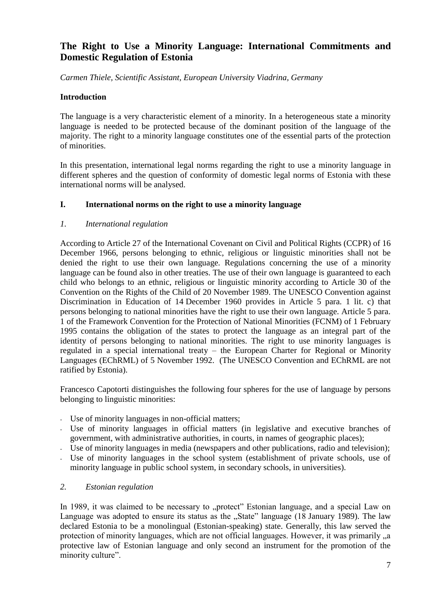## **The Right to Use a Minority Language: International Commitments and Domestic Regulation of Estonia**

*Carmen Thiele, Scientific Assistant, European University Viadrina, Germany*

#### **Introduction**

The language is a very characteristic element of a minority. In a heterogeneous state a minority language is needed to be protected because of the dominant position of the language of the majority. The right to a minority language constitutes one of the essential parts of the protection of minorities.

In this presentation, international legal norms regarding the right to use a minority language in different spheres and the question of conformity of domestic legal norms of Estonia with these international norms will be analysed.

#### **I. International norms on the right to use a minority language**

#### *1. International regulation*

According to Article 27 of the International Covenant on Civil and Political Rights (CCPR) of 16 December 1966, persons belonging to ethnic, religious or linguistic minorities shall not be denied the right to use their own language. Regulations concerning the use of a minority language can be found also in other treaties. The use of their own language is guaranteed to each child who belongs to an ethnic, religious or linguistic minority according to Article 30 of the Convention on the Rights of the Child of 20 November 1989. The UNESCO Convention against Discrimination in Education of 14 December 1960 provides in Article 5 para. 1 lit. c) that persons belonging to national minorities have the right to use their own language. Article 5 para. 1 of the Framework Convention for the Protection of National Minorities (FCNM) of 1 February 1995 contains the obligation of the states to protect the language as an integral part of the identity of persons belonging to national minorities. The right to use minority languages is regulated in a special international treaty – the European Charter for Regional or Minority Languages (EChRML) of 5 November 1992. (The UNESCO Convention and EChRML are not ratified by Estonia).

Francesco Capotorti distinguishes the following four spheres for the use of language by persons belonging to linguistic minorities:

- Use of minority languages in non-official matters;
- Use of minority languages in official matters (in legislative and executive branches of government, with administrative authorities, in courts, in names of geographic places);
- Use of minority languages in media (newspapers and other publications, radio and television);
- Use of minority languages in the school system (establishment of private schools, use of minority language in public school system, in secondary schools, in universities).

#### *2. Estonian regulation*

In 1989, it was claimed to be necessary to "protect" Estonian language, and a special Law on Language was adopted to ensure its status as the "State" language (18 January 1989). The law declared Estonia to be a monolingual (Estonian-speaking) state. Generally, this law served the protection of minority languages, which are not official languages. However, it was primarily  $\alpha$ , a protective law of Estonian language and only second an instrument for the promotion of the minority culture".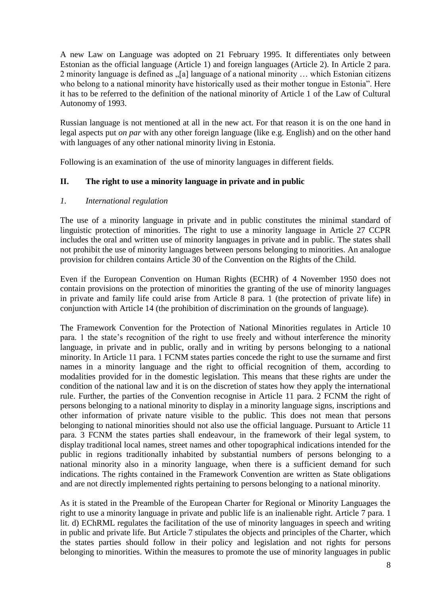A new Law on Language was adopted on 21 February 1995. It differentiates only between Estonian as the official language (Article 1) and foreign languages (Article 2). In Article 2 para. 2 minority language is defined as ...[a] language of a national minority ... which Estonian citizens who belong to a national minority have historically used as their mother tongue in Estonia". Here it has to be referred to the definition of the national minority of Article 1 of the Law of Cultural Autonomy of 1993.

Russian language is not mentioned at all in the new act. For that reason it is on the one hand in legal aspects put *on par* with any other foreign language (like e.g. English) and on the other hand with languages of any other national minority living in Estonia.

Following is an examination of the use of minority languages in different fields.

#### **II. The right to use a minority language in private and in public**

#### *1. International regulation*

The use of a minority language in private and in public constitutes the minimal standard of linguistic protection of minorities. The right to use a minority language in Article 27 CCPR includes the oral and written use of minority languages in private and in public. The states shall not prohibit the use of minority languages between persons belonging to minorities. An analogue provision for children contains Article 30 of the Convention on the Rights of the Child.

Even if the European Convention on Human Rights (ECHR) of 4 November 1950 does not contain provisions on the protection of minorities the granting of the use of minority languages in private and family life could arise from Article 8 para. 1 (the protection of private life) in conjunction with Article 14 (the prohibition of discrimination on the grounds of language).

The Framework Convention for the Protection of National Minorities regulates in Article 10 para. 1 the state's recognition of the right to use freely and without interference the minority language, in private and in public, orally and in writing by persons belonging to a national minority. In Article 11 para. 1 FCNM states parties concede the right to use the surname and first names in a minority language and the right to official recognition of them, according to modalities provided for in the domestic legislation. This means that these rights are under the condition of the national law and it is on the discretion of states how they apply the international rule. Further, the parties of the Convention recognise in Article 11 para. 2 FCNM the right of persons belonging to a national minority to display in a minority language signs, inscriptions and other information of private nature visible to the public. This does not mean that persons belonging to national minorities should not also use the official language. Pursuant to Article 11 para. 3 FCNM the states parties shall endeavour, in the framework of their legal system, to display traditional local names, street names and other topographical indications intended for the public in regions traditionally inhabited by substantial numbers of persons belonging to a national minority also in a minority language, when there is a sufficient demand for such indications. The rights contained in the Framework Convention are written as State obligations and are not directly implemented rights pertaining to persons belonging to a national minority.

As it is stated in the Preamble of the European Charter for Regional or Minority Languages the right to use a minority language in private and public life is an inalienable right. Article 7 para. 1 lit. d) EChRML regulates the facilitation of the use of minority languages in speech and writing in public and private life. But Article 7 stipulates the objects and principles of the Charter, which the states parties should follow in their policy and legislation and not rights for persons belonging to minorities. Within the measures to promote the use of minority languages in public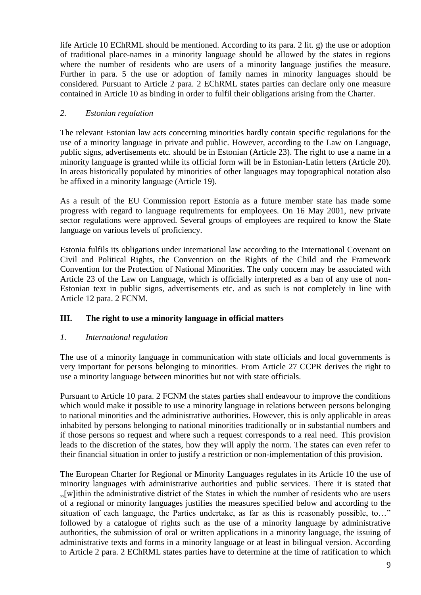life Article 10 EChRML should be mentioned. According to its para. 2 lit. g) the use or adoption of traditional place-names in a minority language should be allowed by the states in regions where the number of residents who are users of a minority language justifies the measure. Further in para. 5 the use or adoption of family names in minority languages should be considered. Pursuant to Article 2 para. 2 EChRML states parties can declare only one measure contained in Article 10 as binding in order to fulfil their obligations arising from the Charter.

### *2. Estonian regulation*

The relevant Estonian law acts concerning minorities hardly contain specific regulations for the use of a minority language in private and public. However, according to the Law on Language, public signs, advertisements etc. should be in Estonian (Article 23). The right to use a name in a minority language is granted while its official form will be in Estonian-Latin letters (Article 20). In areas historically populated by minorities of other languages may topographical notation also be affixed in a minority language (Article 19).

As a result of the EU Commission report Estonia as a future member state has made some progress with regard to language requirements for employees. On 16 May 2001, new private sector regulations were approved. Several groups of employees are required to know the State language on various levels of proficiency.

Estonia fulfils its obligations under international law according to the International Covenant on Civil and Political Rights, the Convention on the Rights of the Child and the Framework Convention for the Protection of National Minorities. The only concern may be associated with Article 23 of the Law on Language, which is officially interpreted as a ban of any use of non-Estonian text in public signs, advertisements etc. and as such is not completely in line with Article 12 para. 2 FCNM.

### **III. The right to use a minority language in official matters**

#### *1. International regulation*

The use of a minority language in communication with state officials and local governments is very important for persons belonging to minorities. From Article 27 CCPR derives the right to use a minority language between minorities but not with state officials.

Pursuant to Article 10 para. 2 FCNM the states parties shall endeavour to improve the conditions which would make it possible to use a minority language in relations between persons belonging to national minorities and the administrative authorities. However, this is only applicable in areas inhabited by persons belonging to national minorities traditionally or in substantial numbers and if those persons so request and where such a request corresponds to a real need. This provision leads to the discretion of the states, how they will apply the norm. The states can even refer to their financial situation in order to justify a restriction or non-implementation of this provision.

The European Charter for Regional or Minority Languages regulates in its Article 10 the use of minority languages with administrative authorities and public services. There it is stated that "[w]ithin the administrative district of the States in which the number of residents who are users of a regional or minority languages justifies the measures specified below and according to the situation of each language, the Parties undertake, as far as this is reasonably possible, to…" followed by a catalogue of rights such as the use of a minority language by administrative authorities, the submission of oral or written applications in a minority language, the issuing of administrative texts and forms in a minority language or at least in bilingual version. According to Article 2 para. 2 EChRML states parties have to determine at the time of ratification to which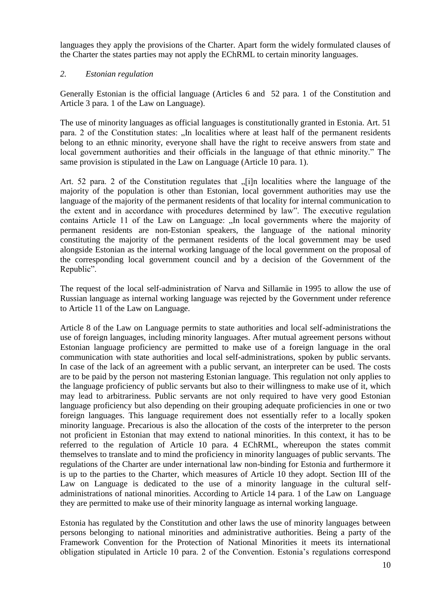languages they apply the provisions of the Charter. Apart form the widely formulated clauses of the Charter the states parties may not apply the EChRML to certain minority languages.

#### *2. Estonian regulation*

Generally Estonian is the official language (Articles 6 and 52 para. 1 of the Constitution and Article 3 para. 1 of the Law on Language).

The use of minority languages as official languages is constitutionally granted in Estonia. Art. 51 para. 2 of the Constitution states: "In localities where at least half of the permanent residents belong to an ethnic minority, everyone shall have the right to receive answers from state and local government authorities and their officials in the language of that ethnic minority." The same provision is stipulated in the Law on Language (Article 10 para. 1).

Art. 52 para. 2 of the Constitution regulates that  $\sqrt{1}$  [i]n localities where the language of the majority of the population is other than Estonian, local government authorities may use the language of the majority of the permanent residents of that locality for internal communication to the extent and in accordance with procedures determined by law". The executive regulation contains Article 11 of the Law on Language: "In local governments where the majority of permanent residents are non-Estonian speakers, the language of the national minority constituting the majority of the permanent residents of the local government may be used alongside Estonian as the internal working language of the local government on the proposal of the corresponding local government council and by a decision of the Government of the Republic".

The request of the local self-administration of Narva and Sillamäe in 1995 to allow the use of Russian language as internal working language was rejected by the Government under reference to Article 11 of the Law on Language.

Article 8 of the Law on Language permits to state authorities and local self-administrations the use of foreign languages, including minority languages. After mutual agreement persons without Estonian language proficiency are permitted to make use of a foreign language in the oral communication with state authorities and local self-administrations, spoken by public servants. In case of the lack of an agreement with a public servant, an interpreter can be used. The costs are to be paid by the person not mastering Estonian language. This regulation not only applies to the language proficiency of public servants but also to their willingness to make use of it, which may lead to arbitrariness. Public servants are not only required to have very good Estonian language proficiency but also depending on their grouping adequate proficiencies in one or two foreign languages. This language requirement does not essentially refer to a locally spoken minority language. Precarious is also the allocation of the costs of the interpreter to the person not proficient in Estonian that may extend to national minorities. In this context, it has to be referred to the regulation of Article 10 para. 4 EChRML, whereupon the states commit themselves to translate and to mind the proficiency in minority languages of public servants. The regulations of the Charter are under international law non-binding for Estonia and furthermore it is up to the parties to the Charter, which measures of Article 10 they adopt. Section III of the Law on Language is dedicated to the use of a minority language in the cultural selfadministrations of national minorities. According to Article 14 para. 1 of the Law on Language they are permitted to make use of their minority language as internal working language.

Estonia has regulated by the Constitution and other laws the use of minority languages between persons belonging to national minorities and administrative authorities. Being a party of the Framework Convention for the Protection of National Minorities it meets its international obligation stipulated in Article 10 para. 2 of the Convention. Estonia's regulations correspond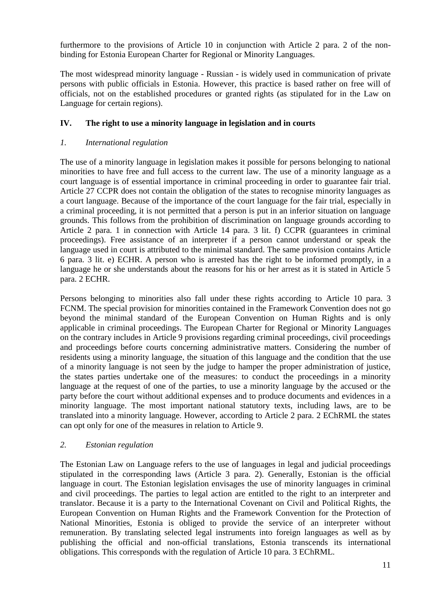furthermore to the provisions of Article 10 in conjunction with Article 2 para. 2 of the nonbinding for Estonia European Charter for Regional or Minority Languages.

The most widespread minority language - Russian - is widely used in communication of private persons with public officials in Estonia. However, this practice is based rather on free will of officials, not on the established procedures or granted rights (as stipulated for in the Law on Language for certain regions).

### **IV. The right to use a minority language in legislation and in courts**

#### *1. International regulation*

The use of a minority language in legislation makes it possible for persons belonging to national minorities to have free and full access to the current law. The use of a minority language as a court language is of essential importance in criminal proceeding in order to guarantee fair trial. Article 27 CCPR does not contain the obligation of the states to recognise minority languages as a court language. Because of the importance of the court language for the fair trial, especially in a criminal proceeding, it is not permitted that a person is put in an inferior situation on language grounds. This follows from the prohibition of discrimination on language grounds according to Article 2 para. 1 in connection with Article 14 para. 3 lit. f) CCPR (guarantees in criminal proceedings). Free assistance of an interpreter if a person cannot understand or speak the language used in court is attributed to the minimal standard. The same provision contains Article 6 para. 3 lit. e) ECHR. A person who is arrested has the right to be informed promptly, in a language he or she understands about the reasons for his or her arrest as it is stated in Article 5 para. 2 ECHR.

Persons belonging to minorities also fall under these rights according to Article 10 para. 3 FCNM. The special provision for minorities contained in the Framework Convention does not go beyond the minimal standard of the European Convention on Human Rights and is only applicable in criminal proceedings. The European Charter for Regional or Minority Languages on the contrary includes in Article 9 provisions regarding criminal proceedings, civil proceedings and proceedings before courts concerning administrative matters. Considering the number of residents using a minority language, the situation of this language and the condition that the use of a minority language is not seen by the judge to hamper the proper administration of justice, the states parties undertake one of the measures: to conduct the proceedings in a minority language at the request of one of the parties, to use a minority language by the accused or the party before the court without additional expenses and to produce documents and evidences in a minority language. The most important national statutory texts, including laws, are to be translated into a minority language. However, according to Article 2 para. 2 EChRML the states can opt only for one of the measures in relation to Article 9.

#### *2. Estonian regulation*

The Estonian Law on Language refers to the use of languages in legal and judicial proceedings stipulated in the corresponding laws (Article 3 para. 2). Generally, Estonian is the official language in court. The Estonian legislation envisages the use of minority languages in criminal and civil proceedings. The parties to legal action are entitled to the right to an interpreter and translator. Because it is a party to the International Covenant on Civil and Political Rights, the European Convention on Human Rights and the Framework Convention for the Protection of National Minorities, Estonia is obliged to provide the service of an interpreter without remuneration. By translating selected legal instruments into foreign languages as well as by publishing the official and non-official translations, Estonia transcends its international obligations. This corresponds with the regulation of Article 10 para. 3 EChRML.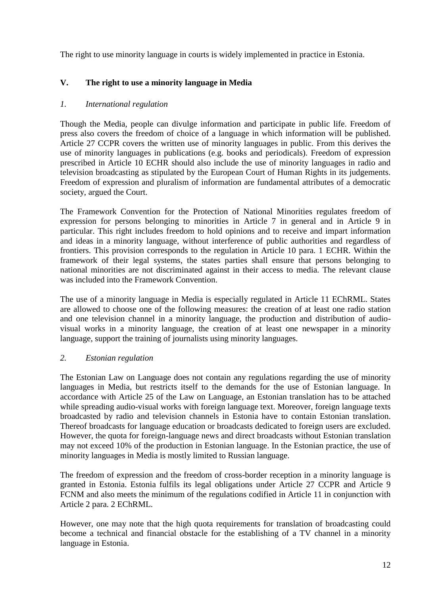The right to use minority language in courts is widely implemented in practice in Estonia.

### **V. The right to use a minority language in Media**

#### *1. International regulation*

Though the Media, people can divulge information and participate in public life. Freedom of press also covers the freedom of choice of a language in which information will be published. Article 27 CCPR covers the written use of minority languages in public. From this derives the use of minority languages in publications (e.g. books and periodicals). Freedom of expression prescribed in Article 10 ECHR should also include the use of minority languages in radio and television broadcasting as stipulated by the European Court of Human Rights in its judgements. Freedom of expression and pluralism of information are fundamental attributes of a democratic society, argued the Court.

The Framework Convention for the Protection of National Minorities regulates freedom of expression for persons belonging to minorities in Article 7 in general and in Article 9 in particular. This right includes freedom to hold opinions and to receive and impart information and ideas in a minority language, without interference of public authorities and regardless of frontiers. This provision corresponds to the regulation in Article 10 para. 1 ECHR. Within the framework of their legal systems, the states parties shall ensure that persons belonging to national minorities are not discriminated against in their access to media. The relevant clause was included into the Framework Convention.

The use of a minority language in Media is especially regulated in Article 11 EChRML. States are allowed to choose one of the following measures: the creation of at least one radio station and one television channel in a minority language, the production and distribution of audiovisual works in a minority language, the creation of at least one newspaper in a minority language, support the training of journalists using minority languages.

#### *2. Estonian regulation*

The Estonian Law on Language does not contain any regulations regarding the use of minority languages in Media, but restricts itself to the demands for the use of Estonian language. In accordance with Article 25 of the Law on Language, an Estonian translation has to be attached while spreading audio-visual works with foreign language text. Moreover, foreign language texts broadcasted by radio and television channels in Estonia have to contain Estonian translation. Thereof broadcasts for language education or broadcasts dedicated to foreign users are excluded. However, the quota for foreign-language news and direct broadcasts without Estonian translation may not exceed 10% of the production in Estonian language. In the Estonian practice, the use of minority languages in Media is mostly limited to Russian language.

The freedom of expression and the freedom of cross-border reception in a minority language is granted in Estonia. Estonia fulfils its legal obligations under Article 27 CCPR and Article 9 FCNM and also meets the minimum of the regulations codified in Article 11 in conjunction with Article 2 para. 2 EChRML.

However, one may note that the high quota requirements for translation of broadcasting could become a technical and financial obstacle for the establishing of a TV channel in a minority language in Estonia.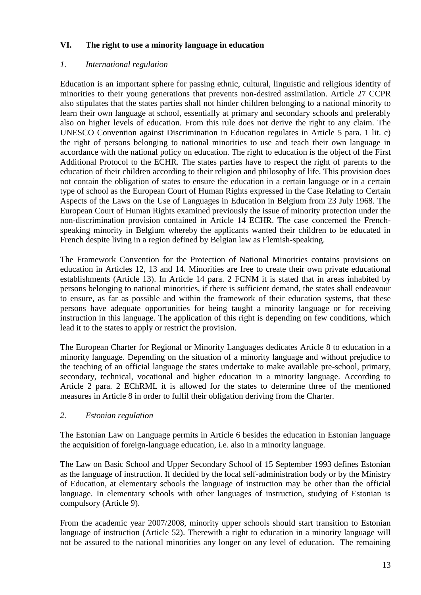### **VI. The right to use a minority language in education**

### *1. International regulation*

Education is an important sphere for passing ethnic, cultural, linguistic and religious identity of minorities to their young generations that prevents non-desired assimilation. Article 27 CCPR also stipulates that the states parties shall not hinder children belonging to a national minority to learn their own language at school, essentially at primary and secondary schools and preferably also on higher levels of education. From this rule does not derive the right to any claim. The UNESCO Convention against Discrimination in Education regulates in Article 5 para. 1 lit. c) the right of persons belonging to national minorities to use and teach their own language in accordance with the national policy on education. The right to education is the object of the First Additional Protocol to the ECHR. The states parties have to respect the right of parents to the education of their children according to their religion and philosophy of life. This provision does not contain the obligation of states to ensure the education in a certain language or in a certain type of school as the European Court of Human Rights expressed in the Case Relating to Certain Aspects of the Laws on the Use of Languages in Education in Belgium from 23 July 1968. The European Court of Human Rights examined previously the issue of minority protection under the non-discrimination provision contained in Article 14 ECHR. The case concerned the Frenchspeaking minority in Belgium whereby the applicants wanted their children to be educated in French despite living in a region defined by Belgian law as Flemish-speaking.

The Framework Convention for the Protection of National Minorities contains provisions on education in Articles 12, 13 and 14. Minorities are free to create their own private educational establishments (Article 13). In Article 14 para. 2 FCNM it is stated that in areas inhabited by persons belonging to national minorities, if there is sufficient demand, the states shall endeavour to ensure, as far as possible and within the framework of their education systems, that these persons have adequate opportunities for being taught a minority language or for receiving instruction in this language. The application of this right is depending on few conditions, which lead it to the states to apply or restrict the provision.

The European Charter for Regional or Minority Languages dedicates Article 8 to education in a minority language. Depending on the situation of a minority language and without prejudice to the teaching of an official language the states undertake to make available pre-school, primary, secondary, technical, vocational and higher education in a minority language. According to Article 2 para. 2 EChRML it is allowed for the states to determine three of the mentioned measures in Article 8 in order to fulfil their obligation deriving from the Charter.

#### *2. Estonian regulation*

The Estonian Law on Language permits in Article 6 besides the education in Estonian language the acquisition of foreign-language education, i.e. also in a minority language.

The Law on Basic School and Upper Secondary School of 15 September 1993 defines Estonian as the language of instruction. If decided by the local self-administration body or by the Ministry of Education, at elementary schools the language of instruction may be other than the official language. In elementary schools with other languages of instruction, studying of Estonian is compulsory (Article 9).

From the academic year 2007/2008, minority upper schools should start transition to Estonian language of instruction (Article 52). Therewith a right to education in a minority language will not be assured to the national minorities any longer on any level of education. The remaining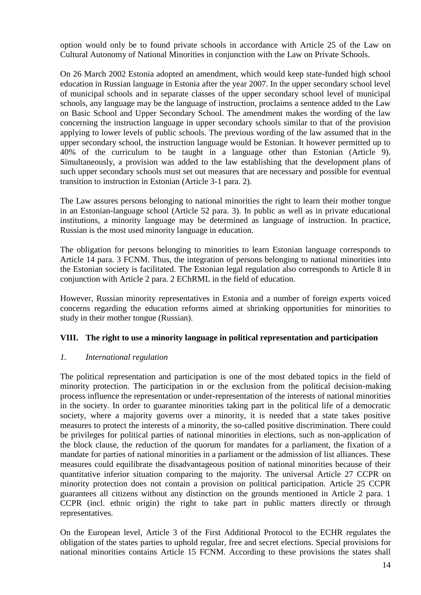option would only be to found private schools in accordance with Article 25 of the Law on Cultural Autonomy of National Minorities in conjunction with the Law on Private Schools.

On 26 March 2002 Estonia adopted an amendment, which would keep state-funded high school education in Russian language in Estonia after the year 2007. In the upper secondary school level of municipal schools and in separate classes of the upper secondary school level of municipal schools, any language may be the language of instruction, proclaims a sentence added to the Law on Basic School and Upper Secondary School. The amendment makes the wording of the law concerning the instruction language in upper secondary schools similar to that of the provision applying to lower levels of public schools. The previous wording of the law assumed that in the upper secondary school, the instruction language would be Estonian. It however permitted up to 40% of the curriculum to be taught in a language other than Estonian (Article 9). Simultaneously, a provision was added to the law establishing that the development plans of such upper secondary schools must set out measures that are necessary and possible for eventual transition to instruction in Estonian (Article 3-1 para. 2).

The Law assures persons belonging to national minorities the right to learn their mother tongue in an Estonian-language school (Article 52 para. 3). In public as well as in private educational institutions, a minority language may be determined as language of instruction. In practice, Russian is the most used minority language in education.

The obligation for persons belonging to minorities to learn Estonian language corresponds to Article 14 para. 3 FCNM. Thus, the integration of persons belonging to national minorities into the Estonian society is facilitated. The Estonian legal regulation also corresponds to Article 8 in conjunction with Article 2 para. 2 EChRML in the field of education.

However, Russian minority representatives in Estonia and a number of foreign experts voiced concerns regarding the education reforms aimed at shrinking opportunities for minorities to study in their mother tongue (Russian).

### **VIII. The right to use a minority language in political representation and participation**

#### *1. International regulation*

The political representation and participation is one of the most debated topics in the field of minority protection. The participation in or the exclusion from the political decision-making process influence the representation or under-representation of the interests of national minorities in the society. In order to guarantee minorities taking part in the political life of a democratic society, where a majority governs over a minority, it is needed that a state takes positive measures to protect the interests of a minority, the so-called positive discrimination. There could be privileges for political parties of national minorities in elections, such as non-application of the block clause, the reduction of the quorum for mandates for a parliament, the fixation of a mandate for parties of national minorities in a parliament or the admission of list alliances. These measures could equilibrate the disadvantageous position of national minorities because of their quantitative inferior situation comparing to the majority. The universal Article 27 CCPR on minority protection does not contain a provision on political participation. Article 25 CCPR guarantees all citizens without any distinction on the grounds mentioned in Article 2 para. 1 CCPR (incl. ethnic origin) the right to take part in public matters directly or through representatives.

On the European level, Article 3 of the First Additional Protocol to the ECHR regulates the obligation of the states parties to uphold regular, free and secret elections. Special provisions for national minorities contains Article 15 FCNM. According to these provisions the states shall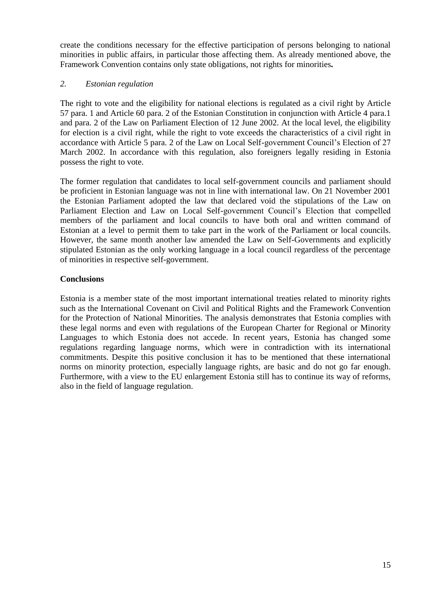create the conditions necessary for the effective participation of persons belonging to national minorities in public affairs, in particular those affecting them. As already mentioned above, the Framework Convention contains only state obligations, not rights for minorities*.*

#### *2. Estonian regulation*

The right to vote and the eligibility for national elections is regulated as a civil right by Article 57 para. 1 and Article 60 para. 2 of the Estonian Constitution in conjunction with Article 4 para.1 and para. 2 of the Law on Parliament Election of 12 June 2002. At the local level, the eligibility for election is a civil right, while the right to vote exceeds the characteristics of a civil right in accordance with Article 5 para. 2 of the Law on Local Self-government Council's Election of 27 March 2002. In accordance with this regulation, also foreigners legally residing in Estonia possess the right to vote.

The former regulation that candidates to local self-government councils and parliament should be proficient in Estonian language was not in line with international law. On 21 November 2001 the Estonian Parliament adopted the law that declared void the stipulations of the Law on Parliament Election and Law on Local Self-government Council's Election that compelled members of the parliament and local councils to have both oral and written command of Estonian at a level to permit them to take part in the work of the Parliament or local councils. However, the same month another law amended the Law on Self-Governments and explicitly stipulated Estonian as the only working language in a local council regardless of the percentage of minorities in respective self-government.

### **Conclusions**

Estonia is a member state of the most important international treaties related to minority rights such as the International Covenant on Civil and Political Rights and the Framework Convention for the Protection of National Minorities. The analysis demonstrates that Estonia complies with these legal norms and even with regulations of the European Charter for Regional or Minority Languages to which Estonia does not accede. In recent years, Estonia has changed some regulations regarding language norms, which were in contradiction with its international commitments. Despite this positive conclusion it has to be mentioned that these international norms on minority protection, especially language rights, are basic and do not go far enough. Furthermore, with a view to the EU enlargement Estonia still has to continue its way of reforms, also in the field of language regulation.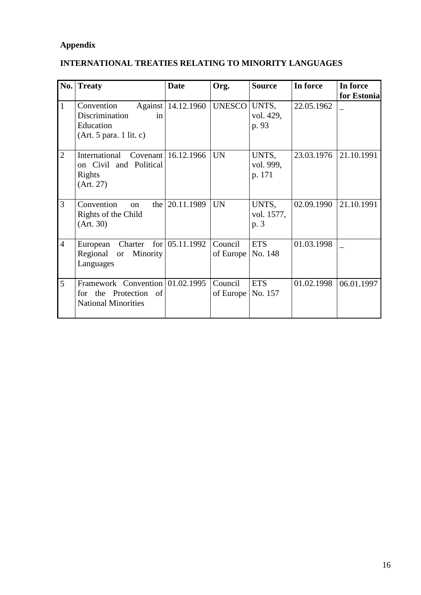# **Appendix**

# **INTERNATIONAL TREATIES RELATING TO MINORITY LANGUAGES**

| No.            | <b>Treaty</b>                                                                          | <b>Date</b>              | Org.                             | <b>Source</b>                | In force   | In force<br>for Estonia |
|----------------|----------------------------------------------------------------------------------------|--------------------------|----------------------------------|------------------------------|------------|-------------------------|
| $\mathbf{1}$   | Convention<br>Discrimination<br>in<br>Education<br>(Art. 5 para. 1 lit. c)             | Against   14.12.1960     | UNESCO                           | UNTS,<br>vol. 429,<br>p. 93  | 22.05.1962 |                         |
| $\overline{2}$ | International<br>on Civil and Political<br>Rights<br>(Art. 27)                         | Covenant 16.12.1966      | <b>UN</b>                        | UNTS,<br>vol. 999,<br>p. 171 | 23.03.1976 | 21.10.1991              |
| 3              | Convention<br><sub>on</sub><br>Rights of the Child<br>(Art. 30)                        | the $ 20.11.1989\rangle$ | <b>UN</b>                        | UNTS,<br>vol. 1577,<br>p. 3  | 02.09.1990 | 21.10.1991              |
| $\overline{4}$ | Charter<br>European<br>Regional or Minority<br>Languages                               | for $ 05.11.1992$        | Council<br>of Europe             | <b>ETS</b><br>No. 148        | 01.03.1998 |                         |
| 5              | Framework Convention 01.02.1995<br>for the Protection of<br><b>National Minorities</b> |                          | Council<br>of Europe   No. $157$ | <b>ETS</b>                   | 01.02.1998 | 06.01.1997              |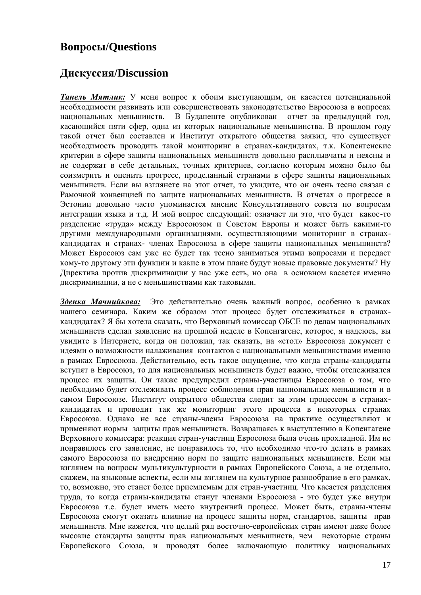# **Вопросы/Questions**

# **Дискуссия/Discussion**

*Танель Мятлик:* У меня вопрос к обоим выступающим, он касается потенциальной необходимости развивать или совершенствовать законодательство Евросоюза в вопросах национальных меньшинств. В Будапеште опубликован отчет за предыдущий год, касающийся пяти сфер, одна из которых национальные меньшинства. В прошлом году такой отчет был составлен и Институт открытого общества заявил, что существует необходимость проводить такой мониторинг в странах-кандидатах, т.к. Копенгенские критерии в сфере защиты национальных меньшинств довольно расплывчаты и неясны и не содержат в себе детальных, точных критериев, согласно которым можно было бы соизмерить и оценить прогресс, проделанный странами в сфере защиты национальных меньшинств. Если вы взглянете на этот отчет, то увидите, что он очень тесно связан с Рамочной конвенцией по защите национальных меньшинств. В отчетах о прогрессе в Эстонии довольно часто упоминается мнение Консультативного совета по вопросам интеграции языка и т.д. И мой вопрос следующий: означает ли это, что будет какое-то разделение «труда» между Евросоюзом и Советом Европы и может быть какими-то другими международными организациями, осуществляющими мониторинг в странахкандидатах и странах- членах Евросоюза в сфере защиты национальных меньшинств? Может Евросоюз сам уже не будет так тесно заниматься этими вопросами и передаст кому-то другому эти функции и какие в этом плане будут новые правовые документы? Ну Директива против дискриминации у нас уже есть, но она в основном касается именно дискриминации, а не с меньшинствами как таковыми.

*Зденка Мачнийкова:* Это действительно очень важный вопрос, особенно в рамках нашего семинара. Каким же образом этот процесс будет отслеживаться в странахкандидатах? Я бы хотела сказать, что Верховный комиссар ОБСЕ по делам национальных меньшинств сделал заявление на прошлой неделе в Копенгагене, которое, я надеюсь, вы увидите в Интернете, когда он положил, так сказать, на «стол» Евросоюза документ с идеями о возможности налаживания контактов с национальными меньшинствами именно в рамках Евросоюза. Действительно, есть такое ощущение, что когда страны-кандидаты вступят в Евросоюз, то для национальных меньшинств будет важно, чтобы отслеживался процесс их защиты. Он также предупредил страны-участницы Евросоюза о том, что необходимо будет отслеживать процесс соблюдения прав национальных меньшинств и в самом Евросоюзе. Институт открытого общества следит за этим процессом в странахкандидатах и проводит так же мониторинг этого процесса в некоторых странах Евросоюза. Однако не все страны-члены Евросоюза на практике осуществляют и применяют нормы защиты прав меньшинств. Возвращаясь к выступлению в Копенгагене Верховного комиссара: реакция стран-участниц Евросоюза была очень прохладной. Им не понравилось его заявление, не понравилось то, что необходимо что-то делать в рамках самого Евросоюза по внедрению норм по защите национальных меньшинств. Если мы взглянем на вопросы мультикультурности в рамках Европейского Союза, а не отдельно, скажем, на языковые аспекты, если мы взглянем на культурное разнообразие в его рамках, то, возможно, это станет более приемлемым для стран-участниц. Что касается разделения труда, то когда страны-кандидаты станут членами Евросоюза - это будет уже внутри Евросоюза т.е. будет иметь место внутренний процесс. Может быть, страны-члены Евросоюза смогут оказать влияние на процесс защиты норм, стандартов, защиты прав меньшинств. Мне кажется, что целый ряд восточно-европейских стран имеют даже более высокие стандарты защиты прав национальных меньшинств, чем некоторые страны Европейского Союза, и проводят более включающую политику национальных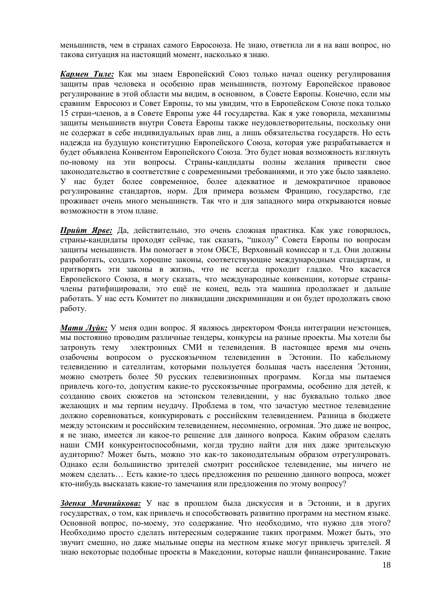меньшинств, чем в странах самого Евросоюза. Не знаю, ответила ли я на ваш вопрос, но такова ситуация на настоящий момент, насколько я знаю.

*Кармен Тиле:* Как мы знаем Европейский Союз только начал оценку регулирования защиты прав человека и особенно прав меньшинств, поэтому Европейское правовое регулирование в этой области мы видим, в основном, в Совете Европы. Конечно, если мы сравним Евросоюз и Совет Европы, то мы увидим, что в Европейском Союзе пока только 15 стран-членов, а в Совете Европы уже 44 государства. Как я уже говорила, механизмы защиты меньшинств внутри Совета Европы также неудовлетворительны, поскольку они не содержат в себе индивидуальных прав лиц, а лишь обязательства государств. Но есть надежда на будущую конституцию Европейского Союза, которая уже разрабатывается и будет объявлена Конвентом Европейского Союза. Это будет новая возможность взглянуть по-новому на эти вопросы. Страны-кандидаты полны желания привести свое законодательство в соответствие с современными требованиями, и это уже было заявлено. У нас будет более современное, более адекватное и демократичное правовое регулирование стандартов, норм. Для примера возьмем Францию, государство, где проживает очень много меньшинств. Так что и для западного мира открываются новые возможности в этом плане.

*Прийт Ярве:* Да, действительно, это очень сложная практика. Как уже говорилось, страны-кандидаты проходят сейчас, так сказать, "школу" Совета Европы по вопросам защиты меньшинств. Им помогает в этом ОБСЕ, Верховный комиссар и т.д. Они должны разработать, создать хорошие законы, соответствующие международным стандартам, и притворять эти законы в жизнь, что не всегда проходит гладко. Что касается Европейского Союза, я могу сказать, что международные конвенции, которые странычлены ратифицировали, это ещё не конец, ведь эта машина продолжает и дальше работать. У нас есть Комитет по ликвидации дискриминации и он будет продолжать свою работу.

*Мати Луйк:* У меня один вопрос. Я являюсь директором Фонда интеграции неэстонцев, мы постоянно проводим различные тендеры, конкурсы на разные проекты. Мы хотели бы затронуть тему электронных СМИ и телевидения. В настоящее время мы очень озабочены вопросом о русскоязычном телевидении в Эстонии. По кабельному телевидению и сателлитам, которыми пользуется большая часть населения Эстонии, можно смотреть более 50 русских телевизионных программ. Когда мы пытаемся привлечь кого-то, допустим какие-то русскоязычные программы, особенно для детей, к созданию своих сюжетов на эстонском телевидении, у нас буквально только двое желающих и мы терпим неудачу. Проблема в том, что зачастую местное телевидение должно соревноваться, конкурировать с российским телевидением. Разница в бюджете между эстонским и российским телевидением, несомненно, огромная. Это даже не вопрос, я не знаю, имеется ли какое-то решение для данного вопроса. Каким образом сделать наши СМИ конкурентоспособными, когда трудно найти для них даже зрительскую аудиторию? Может быть, можно это как-то законодательным образом отрегулировать. Однако если большинство зрителей смотрит российское телевидение, мы ничего не можем сделать… Есть какие-то здесь предложения по решению данного вопроса, может кто-нибудь высказать какие-то замечания или предложения по этому вопросу?

*Зденка Мачнийкова:* У нас в прошлом была дискуссия и в Эстонии, и в других государствах, о том, как привлечь и способствовать развитию программ на местном языке. Основной вопрос, по-моему, это содержание. Что необходимо, что нужно для этого? Необходимо просто сделать интересным содержание таких программ. Может быть, это звучит смешно, но даже мыльные оперы на местном языке могут привлечь зрителей. Я знаю некоторые подобные проекты в Македонии, которые нашли финансирование. Такие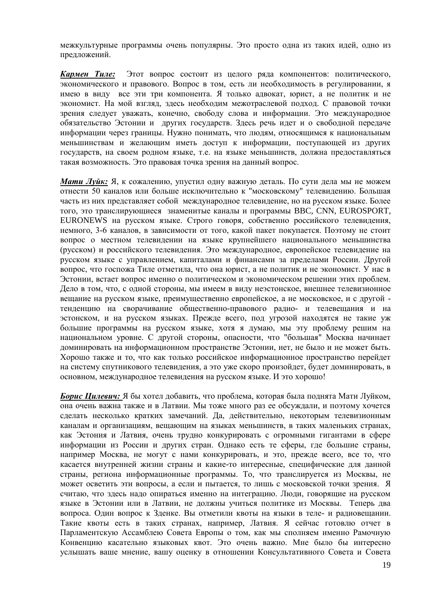межкультурные программы очень популярны. Это просто одна из таких идей, одно из предложений.

*Кармен Тиле:* Этот вопрос состоит из целого ряда компонентов: политического, экономического и правового. Вопрос в том, есть ли необходимость в регулировании, я имею в виду все эти три компонента. Я только адвокат, юрист, а не политик и не экономист. На мой взгляд, здесь необходим межотраслевой подход. С правовой точки зрения следует уважать, конечно, свободу слова и информации. Это международное обязательство Эстонии и других государств. Здесь речь идет и о свободной передаче информации через границы. Нужно понимать, что людям, относящимся к национальным меньшинствам и желающим иметь доступ к информации, поступающей из других государств, на своем родном языке, т.е. на языке меньшинств, должна предоставляться такая возможность. Это правовая точка зрения на данный вопрос.

*Мати Луйк:* Я, к сожалению, упустил одну важную деталь. По сути дела мы не можем отнести 50 каналов или больше исключительно к "московскому" телевидению. Большая часть из них представляет собой международное телевидение, но на русском языке. Более того, это транслирующиеся знаменитые каналы и программы BBC, CNN, EUROSPORT, EURONEWS на русском языке. Строго говоря, собственно российского телевидения, немного, 3-6 каналов, в зависимости от того, какой пакет покупается. Поэтому не стоит вопрос о местном телевидении на языке крупнейшего национального меньшинства (русском) и российского телевидения. Это международное, европейское телевидение на русском языке с управлением, капиталами и финансами за пределами России. Другой вопрос, что госпожа Тиле отметила, что она юрист, а не политик и не экономист. У нас в Эстонии, встает вопрос именно о политическом и экономическом решении этих проблем. Дело в том, что, с одной стороны, мы имеем в виду неэстонское, внешнее телевизионное вещание на русском языке, преимущественно европейское, а не московское, и с другой тенденцию на сворачивание общественно-правового радио- и телевещания и на эстонском, и на русском языках. Прежде всего, под угрозой находятся не такие уж большие программы на русском языке, хотя я думаю, мы эту проблему решим на национальном уровне. С другой стороны, опасности, что "большая" Москва начинает доминировать на информационном пространстве Эстонии, нет, не было и не может быть. Хорошо также и то, что как только российское информационное пространство перейдет на систему спутникового телевидения, а это уже скоро произойдет, будет доминировать, в основном, международное телевидения на русском языке. И это хорошо!

*Борис Цилевич:* Я бы хотел добавить, что проблема, которая была поднята Мати Луйком, она очень важна также и в Латвии. Мы тоже много раз ее обсуждали, и поэтому хочется сделать несколько кратких замечаний. Да, действительно, некоторым телевизионным каналам и организациям, вещающим на языках меньшинств, в таких маленьких странах, как Эстония и Латвия, очень трудно конкурировать с огромными гигантами в сфере информации из России и других стран. Однако есть те сферы, где большие страны, например Москва, не могут с нами конкурировать, и это, прежде всего, все то, что касается внутренней жизни страны и какие-то интересные, специфические для данной страны, региона информационные программы. То, что транслируется из Москвы, не может осветить эти вопросы, а если и пытается, то лишь с московской точки зрения. Я считаю, что здесь надо опираться именно на интеграцию. Люди, говорящие на русском языке в Эстонии или в Латвии, не должны учиться политике из Москвы. Теперь два вопроса. Один вопрос к Зденке. Вы отметили квоты на языки в теле- и радиовещании. Такие квоты есть в таких странах, например, Латвия. Я сейчас готовлю отчет в Парламентскую Ассамблею Совета Европы о том, как мы сполняем именно Рамочную Конвенцию касательно языковых квот. Это очень важно. Мне было бы интересно услышать ваше мнение, вашу оценку в отношении Консультативного Совета и Совета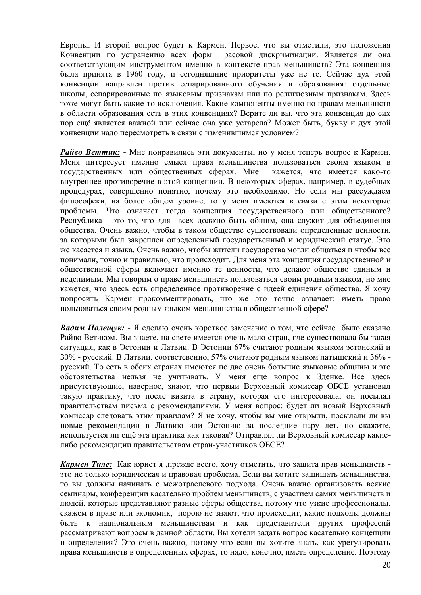Европы. И второй вопрос будет к Кармен. Первое, что вы отметили, это положения Конвенции по устранению всех форм расовой дискриминации. Является ли она соответствующим инструментом именно в контексте прав меньшинств? Эта конвенция была принята в 1960 году, и сегодняшние приоритеты уже не те. Сейчас дух этой конвенции направлен против сепарированного обучения и образования: отдельные школы, сепарированные по языковым признакам или по религиозным признакам. Здесь тоже могут быть какие-то исключения. Какие компоненты именно по правам меньшинств в области образования есть в этих конвенциях? Верите ли вы, что эта конвенция до сих пор ещё является важной или сейчас она уже устарела? Может быть, букву и дух этой конвенции надо пересмотреть в связи с изменившимся условием?

*Райво Веттик:* - Мне понравились эти документы, но у меня теперь вопрос к Кармен. Меня интересует именно смысл права меньшинства пользоваться своим языком в государственных или общественных сферах. Мне кажется, что имеется како-то внутреннее противоречие в этой концепции. В некоторых сферах, например, в судебных процедурах, совершенно понятно, почему это необходимо. Но если мы рассуждаем философски, на более общем уровне, то у меня имеются в связи с этим некоторые проблемы. Что означает тогда концепция государственного или общественного? Республика - это то, что для всех должно быть общим, она служит для объединения общества. Очень важно, чтобы в таком обществе существовали определенные ценности, за которыми был закреплен определенный государственный и юридический статус. Это же касается и языка. Очень важно, чтобы жители государства могли общаться и чтобы все понимали, точно и правильно, что происходит. Для меня эта концепция государственной и общественной сферы включает именно те ценности, что делают общество единым и неделимым. Мы говорим о праве меньшинств пользоваться своим родным языком, но мне кажется, что здесь есть определенное противоречие с идеей единения общества. Я хочу попросить Кармен прокомментировать, что же это точно означает: иметь право пользоваться своим родным языком меньшинства в общественной сфере?

*Вадим Полещук:* - Я сделаю очень короткое замечание о том, что сейчас было сказано Райво Ветиком. Вы знаете, на свете имеется очень мало стран, где существовала бы такая ситуация, как в Эстонии и Латвии. В Эстонии 67% считают родным языком эстонский и 30% - русский. В Латвии, соответсвенно, 57% считают родным языком латышский и 36% русский. То есть в обеих странах имеются по две очень большие языковые общины и это обстоятельства нельзя не учитывать. У меня еще вопрос к Зденке. Все здесь присутствующие, наверное, знают, что первый Верховный комиссар ОБСЕ установил такую практику, что после визита в страну, которая его интересовала, он посылал правительствам письма с рекомендациями. У меня вопрос: будет ли новый Верховный комиссар следовать этим правилам? Я не хочу, чтобы вы мне открыли, посылали ли вы новые рекомендации в Латвию или Эстонию за последние пару лет, но скажите, используется ли ещё эта практика как таковая? Отправлял ли Верховный комиссар какиелибо рекомендации правительствам стран-участников ОБСЕ?

*Кармен Тиле:* Как юрист я ,прежде всего, хочу отметить, что защита прав меньшинств это не только юридическая и правовая проблема. Если вы хотите защищать меньшинства, то вы должны начинать с межотраслевого подхода. Очень важно организовать всякие семинары, конференции касательно проблем меньшинств, с участием самих меньшинств и людей, которые представляют разные сферы общества, потому что узкие профессионалы, скажем в праве или экономик, порою не знают, что происходит, какие подходы должны быть к национальным меньшинствам и как представители других профессий рассматривают вопросы в данной области. Вы хотели задать вопрос касательно концепции и определения? Это очень важно, потому что если вы хотите знать, как урегулировать права меньшинств в определенных сферах, то надо, конечно, иметь определение. Поэтому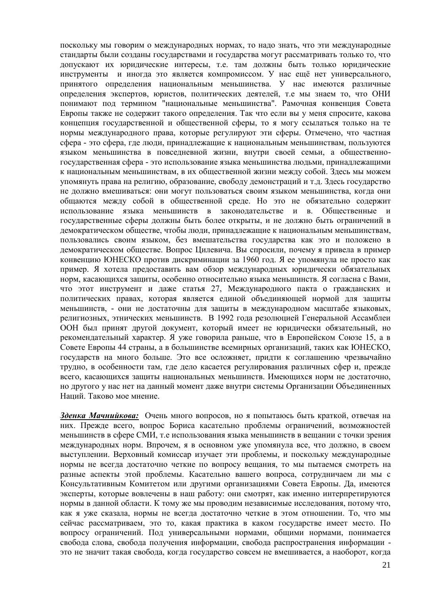поскольку мы говорим о международных нормах, то надо знать, что эти международные стандарты были созданы государствами и государства могут рассматривать только то, что допускают их юридические интересы, т.е. там должны быть только юридические инструменты и иногда это является компромиссом. У нас ещё нет универсального, принятого определения национальным меньшинства. У нас имеются различные определения экспертов, юристов, политических деятелей, т.е мы знаем то, что ОНИ понимают под термином "национальные меньшинства". Рамочная конвенция Совета Европы также не содержит такого определения. Так что если вы у меня спросите, какова концепция государственной и общественной сферы, то я могу ссылаться только на те нормы международного права, которые регулируют эти сферы. Отмечено, что частная сфера - это сфера, где люди, принадлежащие к национальным меньшинствам, пользуются языком меньшинства в повседневной жизни, внутри своей семьи, а общественногосударственная сфера - это использование языка меньшинства людьми, принадлежащими к национальным меньшинствам, в их общественной жизни между собой. Здесь мы можем упомянуть права на религию, образование, свободу демонстраций и т.д. Здесь государство не должно вмешиваться: они могут пользоваться своим языком меньшинства, когда они общаются между собой в общественной среде. Но это не обязательно содержит использование языка меньшинств в законодательстве и в. Общественные и государственные сферы должны быть более открыты, и не должно быть ограничений в демократическом обществе, чтобы люди, принадлежащие к национальным меньшинствам, пользовались своим языком, без вмешательства государства как это и положено в демократическом обществе. Вопрос Цилевича. Вы спросили, почему я привела в пример конвенцию ЮНЕСКО против дискриминации за 1960 год. Я ее упомянула не просто как пример. Я хотела предоставить вам обзор международных юридически обязательных норм, касающихся защиты, особенно относительно языка меньшинств. Я согласна с Вами, что этот инструмент и даже статья 27, Международного пакта о гражданских и политических правах, которая является единой объединяющей нормой для защиты меньшинств, - они не достаточны для защиты в международном масштабе языковых, религиозных, этнических меньшинств. В 1992 года резолюцией Генеральной Ассамблеи ООН был принят другой документ, который имеет не юридически обязательный, но рекомендательный характер. Я уже говорила раньше, что в Европейском Союзе 15, а в Совете Европы 44 страны, а в большинстве всемирных организаций, таких как ЮНЕСКО, государств на много больше. Это все осложняет, придти к соглашению чрезвычайно трудно, в особенности там, где дело касается регулирования различных сфер и, прежде всего, касающихся защиты национальных меньшинств. Имеющихся норм не достаточно, но другого у нас нет на данный момент даже внутри системы Организации Объединенных Наций. Таково мое мнение.

*Зденка Мачнийкова:* Очень много вопросов, но я попытаюсь быть краткой, отвечая на них. Прежде всего, вопрос Бориса касательно проблемы ограничений, возможностей меньшинств в сфере СМИ, т.е использования языка меньшинств в вещании с точки зрения международных норм. Впрочем, я в основном уже упомянула все, что должно, в своем выступлении. Верховный комиссар изучает эти проблемы, и поскольку международные нормы не всегда достаточно четкие по вопросу вещания, то мы пытаемся смотреть на разные аспекты этой проблемы. Касательно вашего вопроса, сотрудничаем ли мы с Консультативным Комитетом или другими организациями Совета Европы. Да, имеются эксперты, которые вовлечены в наш работу: они смотрят, как именно интерпретируются нормы в данной области. К тому же мы проводим независимые исследования, потому что, как я уже сказала, нормы не всегда достаточно четкие в этом отношении. То, что мы сейчас рассматриваем, это то, какая практика в каком государстве имеет место. По вопросу ограничений. Под универсальными нормами, общими нормами, понимается свобода слова, свобода получения информации, свобода распространения информации это не значит такая свобода, когда государство совсем не вмешивается, а наоборот, когда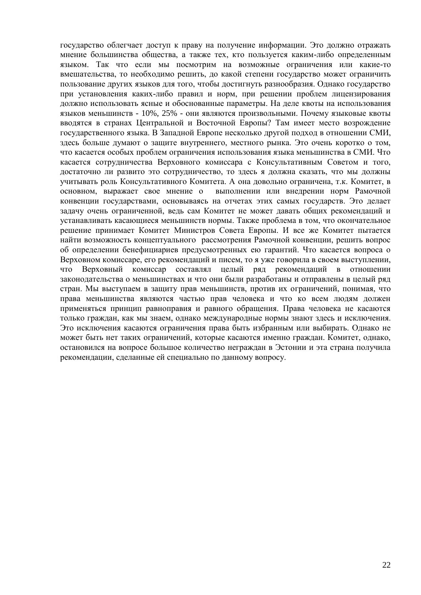государство облегчает доступ к праву на получение информации. Это должно отражать мнение большинства общества, а также тех, кто пользуется каким-либо определенным языком. Так что если мы посмотрим на возможные ограничения или какие-то вмешательства, то необходимо решить, до какой степени государство может ограничить пользование других языков для того, чтобы достигнуть разнообразия. Однако государство при установления каких-либо правил и норм, при решении проблем лицензирования должно использовать ясные и обоснованные параметры. На деле квоты на использования языков меньшинств - 10%, 25% - они являются произвольными. Почему языковые квоты вводятся в странах Центральной и Восточной Европы? Там имеет место возрождение государственного языка. В Западной Европе несколько другой подход в отношении СМИ, здесь больше думают о защите внутреннего, местного рынка. Это очень коротко о том, что касается особых проблем ограничения использования языка меньшинства в СМИ. Что касается сотрудничества Верховного комиссара с Консультативным Советом и того, достаточно ли развито это сотрудничество, то здесь я должна сказать, что мы должны учитывать роль Консультативного Комитета. А она довольно ограничена, т.к. Комитет, в основном, выражает свое мнение о выполнении или внедрении норм Рамочной конвенции государствами, основываясь на отчетах этих самых государств. Это делает задачу очень ограниченной, ведь сам Комитет не может давать общих рекомендаций и устанавливать касающиеся меньшинств нормы. Также проблема в том, что окончательное решение принимает Комитет Министров Совета Европы. И все же Комитет пытается найти возможность концептуального рассмотрения Рамочной конвенции, решить вопрос об определении бенефициариев предусмотренных ею гарантий. Что касается вопроса о Верховном комиссаре, его рекомендаций и писем, то я уже говорила в своем выступлении, что Верховный комиссар составлял целый ряд рекомендаций в отношении законодательства о меньшинствах и что они были разработаны и отправлены в целый ряд стран. Мы выступаем в защиту прав меньшинств, против их ограничений, понимая, что права меньшинства являются частью прав человека и что ко всем людям должен применяться принцип равноправия и равного обращения. Права человека не касаются только граждан, как мы знаем, однако международные нормы знают здесь и исключения. Это исключения касаются ограничения права быть избранным или выбирать. Однако не может быть нет таких ограничений, которые касаются именно граждан. Комитет, однако, остановился на вопросе большое количество неграждан в Эстонии и эта страна получила рекомендации, сделанные ей специально по данному вопросу.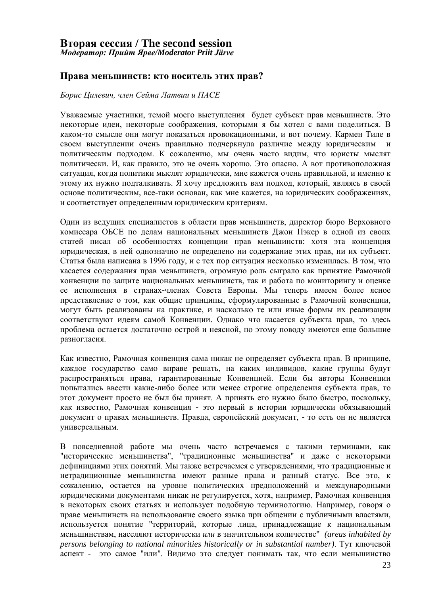# **Вторая сессия / The second session**

*Модератор: Прийт Ярве/Moderator Priit Järve*

#### **Права меньшинств: кто носитель этих прав?**

*Борис Цилевич, член Сейма Латвии и ПАСЕ*

Уважаемые участники, темой моего выступления будет субъект прав меньшинств. Это некоторые идеи, некоторые соображения, которыми я бы хотел с вами поделиться. В каком-то смысле они могут показаться провокационными, и вот почему. Кармен Тиле в своем выступлении очень правильно подчеркнула различие между юридическим и политическим подходом. К сожалению, мы очень часто видим, что юристы мыслят политически. И, как правило, это не очень хорошо. Это опасно. А вот противоположная ситуация, когда политики мыслят юридически, мне кажется очень правильной, и именно к этому их нужно подталкивать. Я хочу предложить вам подход, который, являясь в своей основе политическим, все-таки основан, как мне кажется, на юридических соображениях, и соответствует определенным юридическим критериям.

Один из ведущих специалистов в области прав меньшинств, директор бюро Верховного комиссара ОБСЕ по делам национальных меньшинств Джон Пэкер в одной из своих статей писал об особенностях концепции прав меньшинств: хотя эта концепция юридическая, в ней однозначно не определено ни содержание этих прав, ни их субъект. Статья была написана в 1996 году, и с тех пор ситуация несколько изменилась. В том, что касается содержания прав меньшинств, огромную роль сыграло как принятие Рамочной конвенции по защите национальных меньшинств, так и работа по мониторингу и оценке ее исполнения в странах-членах Совета Европы. Мы теперь имеем более ясное представление о том, как общие принципы, сформулированные в Рамочной конвенции, могут быть реализованы на практике, и насколько те или иные формы их реализации соответствуют идеям самой Конвенции. Однако что касается субъекта прав, то здесь проблема остается достаточно острой и неясной, по этому поводу имеются еще большие разногласия.

Как известно, Рамочная конвенция сама никак не определяет субъекта прав. В принципе, каждое государство само вправе решать, на каких индивидов, какие группы будут распространяться права, гарантированные Конвенцией. Если бы авторы Конвенции попытались ввести какие-либо более или менее строгие определения субъекта прав, то этот документ просто не был бы принят. А принять его нужно было быстро, поскольку, как известно, Рамочная конвенция - это первый в истории юридически обязывающий документ о правах меньшинств. Правда, европейский документ, - то есть он не является универсальным.

В повседневной работе мы очень часто встречаемся с такими терминами, как "исторические меньшинства", "традиционные меньшинства" и даже с некоторыми дефинициями этих понятий. Мы также встречаемся с утверждениями, что традиционные и нетрадиционные меньшинства имеют разные права и разный статус. Все это, к сожалению, остается на уровне политических предположений и международными юридическими документами никак не регулируется, хотя, например, Рамочная конвенция в некоторых своих статьях и использует подобную терминологию. Например, говоря о праве меньшинств на использование своего языка при общении с публичными властями, используется понятие "территорий, которые лица, принадлежащие к национальным меньшинствам, населяют исторически *или* в значительном количестве" *(areas inhabited by persons belonging to national minorities historically or in substantial number)*. Тут ключевой аспект - это самое "или". Видимо это следует понимать так, что если меньшинство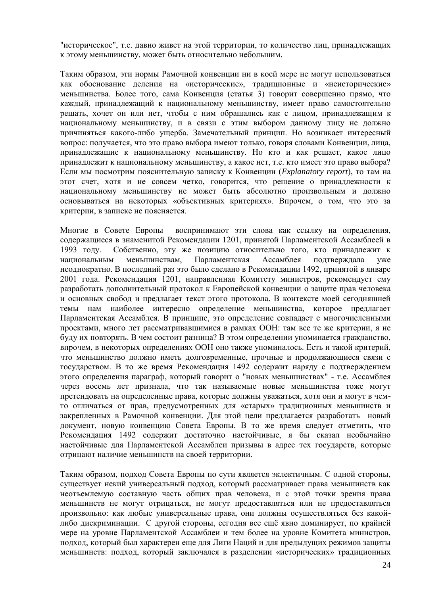"историческое", т.е. давно живет на этой территории, то количество лиц, принадлежащих к этому меньшинству, может быть относительно небольшим.

Таким образом, эти нормы Рамочной конвенции ни в коей мере не могут использоваться как обоснование деления на «исторические», традиционные и «неисторические» меньшинства. Более того, сама Конвенция (статья 3) говорит совершенно прямо, что каждый, принадлежащий к национальному меньшинству, имеет право самостоятельно решать, хочет он или нет, чтобы с ним обращались как с лицом, принадлежащим к национальному меньшинству, и в связи с этим выбором данному лицу не должно причиняться какого-либо ущерба. Замечательный принцип. Но возникает интересный вопрос: получается, что это право выбора имеют только, говоря словами Конвенции, лица, принадлежащие к национальному меньшинству. Но кто и как решает, какое лицо принадлежит к национальному меньшинству, а какое нет, т.е. кто имеет это право выбора? Если мы посмотрим пояснительную записку к Конвенции (*Explanatory report*), то там на этот счет, хотя и не совсем четко, говорится, что решение о принадлежности к национальному меньшинству не может быть абсолютно произвольным и должно основываться на некоторых «объективных критериях». Впрочем, о том, что это за критерии, в записке не поясняется.

Многие в Совете Европы воспринимают эти слова как ссылку на определения, содержащиеся в знаменитой Рекомендации 1201, принятой Парламентской Ассамблеей в 1993 году. Собственно, эту же позицию относительно того, кто принадлежит к национальным меньшинствам, Парламентская Ассамблея подтверждала уже неоднократно. В последний раз это было сделано в Рекомендации 1492, принятой в январе 2001 года. Рекомендация 1201, направленная Комитету министров, рекомендует ему разработать дополнительный протокол к Европейской конвенции о защите прав человека и основных свобод и предлагает текст этого протокола. В контексте моей сегодняшней темы нам наиболее интересно определение меньшинства, которое предлагает Парламентская Ассамблея. В принципе, это определение совпадает с многочисленными проектами, много лет рассматривавшимися в рамках ООН: там все те же критерии, я не буду их повторять. В чем состоит разница? В этом определении упоминается гражданство, впрочем, в некоторых определениях ООН оно также упоминалось. Есть и такой критерий, что меньшинство должно иметь долговременные, прочные и продолжающиеся связи с государством. В то же время Рекомендация 1492 содержит наряду с подтверждением этого определения параграф, который говорит о "новых меньшинствах" - т.е. Ассамблея через восемь лет признала, что так называемые новые меньшинства тоже могут претендовать на определенные права, которые должны уважаться, хотя они и могут в чемто отличаться от прав, предусмотренных для «старых» традиционных меньшинств и закрепленных в Рамочной конвенции. Для этой цели предлагается разработать новый документ, новую конвенцию Совета Европы. В то же время следует отметить, что Рекомендация 1492 содержит достаточно настойчивые, я бы сказал необычайно настойчивые для Парламентской Ассамблеи призывы в адрес тех государств, которые отрицают наличие меньшинств на своей территории.

Таким образом, подход Совета Европы по сути является эклектичным. С одной стороны, существует некий универсальный подход, который рассматривает права меньшинств как неотъемлемую составную часть общих прав человека, и с этой точки зрения права меньшинств не могут отрицаться, не могут предоставляться или не предоставляться произвольно: как любые универсальные права, они должны осуществляться без какойлибо дискриминации. С другой стороны, сегодня все ещё явно доминирует, по крайней мере на уровне Парламентской Ассамблеи и тем более на уровне Комитета министров, подход, который был характерен еще для Лиги Наций и для предыдущих режимов защиты меньшинств: подход, который заключался в разделении «исторических» традиционных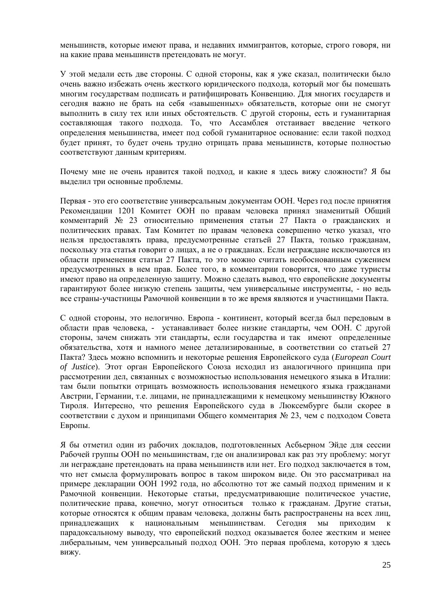меньшинств, которые имеют права, и недавних иммигрантов, которые, строго говоря, ни на какие права меньшинств претендовать не могут.

У этой медали есть две стороны. С одной стороны, как я уже сказал, политически было очень важно избежать очень жесткого юридического подхода, который мог бы помешать многим государствам подписать и ратифицировать Конвенцию. Для многих государств и сегодня важно не брать на себя «завышенных» обязательств, которые они не смогут выполнить в силу тех или иных обстоятельств. С другой стороны, есть и гуманитарная составляющая такого подхода. То, что Ассамблея отстаивает введение четкого определения меньшинства, имеет под собой гуманитарное основание: если такой подход будет принят, то будет очень трудно отрицать права меньшинств, которые полностью соответствуют данным критериям.

Почему мне не очень нравится такой подход, и какие я здесь вижу сложности? Я бы выделил три основные проблемы.

Первая - это его соответствие универсальным документам ООН. Через год после принятия Рекомендации 1201 Комитет ООН по правам человека принял знаменитый Общий комментарий № 23 относительно применения статьи 27 Пакта о гражданских и политических правах. Там Комитет по правам человека совершенно четко указал, что нельзя предоставлять права, предусмотренные статьей 27 Пакта, только гражданам, поскольку эта статья говорит о лицах, а не о гражданах. Если неграждане исключаются из области применения статьи 27 Пакта, то это можно считать необоснованным сужением предусмотренных в нем прав. Более того, в комментарии говорится, что даже туристы имеют право на определенную защиту. Можно сделать вывод, что европейские документы гарантируют более низкую степень защиты, чем универсальные инструменты, - но ведь все страны-участницы Рамочной конвенции в то же время являются и участницами Пакта.

С одной стороны, это нелогично. Европа - континент, который всегда был передовым в области прав человека, - устанавливает более низкие стандарты, чем ООН. С другой стороны, зачем снижать эти стандарты, если государства и так имеют определенные обязательства, хотя и намного менее детализированные, в соответствии со статьей 27 Пакта? Здесь можно вспомнить и некоторые решения Европейского суда (*European Court of Justice*). Этот орган Европейского Союза исходил из аналогичного принципа при рассмотрении дел, связанных с возможностью использования немецкого языка в Италии: там были попытки отрицать возможность использования немецкого языка гражданами Австрии, Германии, т.е. лицами, не принадлежащими к немецкому меньшинству Южного Тироля. Интересно, что решения Европейского суда в Люксембурге были скорее в соответствии с духом и принципами Общего комментария № 23, чем с подходом Совета Европы.

Я бы отметил один из рабочих докладов, подготовленных Асбьерном Эйде для сессии Рабочей группы ООН по меньшинствам, где он анализировал как раз эту проблему: могут ли неграждане претендовать на права меньшинств или нет. Его подход заключается в том, что нет смысла формулировать вопрос в таком широком виде. Он это рассматривал на примере декларации ООН 1992 года, но абсолютно тот же самый подход применим и к Рамочной конвенции. Некоторые статьи, предусматривающие политическое участие, политические права, конечно, могут относиться только к гражданам. Другие статьи, которые относятся к общим правам человека, должны быть распространены на всех лиц, принадлежащих к национальным меньшинствам. Сегодня мы приходим к парадоксальному выводу, что европейский подход оказывается более жестким и менее либеральным, чем универсальный подход ООН. Это первая проблема, которую я здесь вижу.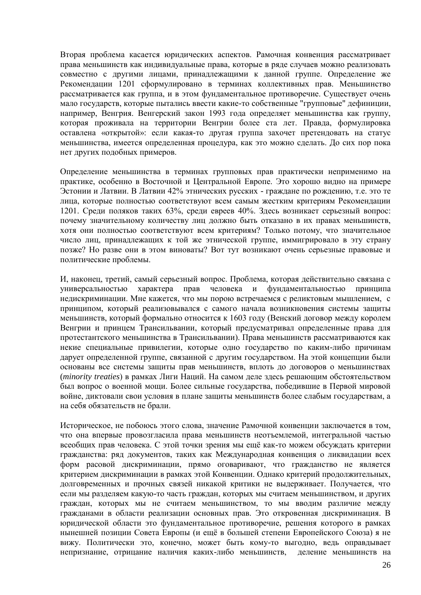Вторая проблема касается юридических аспектов. Рамочная конвенция рассматривает права меньшинств как индивидуальные права, которые в ряде случаев можно реализовать совместно с другими лицами, принадлежащими к данной группе. Определение же Рекомендации 1201 сформулировано в терминах коллективных прав. Меньшинство рассматривается как группа, и в этом фундаментальное противоречие. Существует очень мало государств, которые пытались ввести какие-то собственные "групповые" дефиниции, например, Венгрия. Венгерский закон 1993 года определяет меньшинства как группу, которая проживала на территории Венгрии более ста лет. Правда, формулировка оставлена «открытой»: если какая-то другая группа захочет претендовать на статус меньшинства, имеется определенная процедура, как это можно сделать. До сих пор пока нет других подобных примеров.

Определение меньшинства в терминах групповых прав практически неприменимо на практике, особенно в Восточной и Центральной Европе. Это хорошо видно на примере Эстонии и Латвии. В Латвии 42% этнических русских - граждане по рождению, т.е. это те лица, которые полностью соответствуют всем самым жестким критериям Рекомендации 1201. Среди поляков таких 63%, среди евреев 40%. Здесь возникает серьезный вопрос: почему значительному количеству лиц должно быть отказано в их правах меньшинств, хотя они полностью соответствуют всем критериям? Только потому, что значительное число лиц, принадлежащих к той же этнической группе, иммигрировало в эту страну позже? Но разве они в этом виноваты? Вот тут возникают очень серьезные правовые и политические проблемы.

И, наконец, третий, самый серьезный вопрос. Проблема, которая действительно связана с универсальностью характера прав человека и фундаментальностью принципа недискриминации. Мне кажется, что мы порою встречаемся с реликтовым мышлением, с принципом, который реализовывался с самого начала возникновения системы защиты меньшинств, который формально относится к 1603 году (Венский договор между королем Венгрии и принцем Трансильвании, который предусматривал определенные права для протестантского меньшинства в Трансильвании). Права меньшинств рассматриваются как некие специальные привилегии, которые одно государство по каким-либо причинам дарует определенной группе, связанной с другим государством. На этой концепции были основаны все системы защиты прав меньшинств, вплоть до договоров о меньшинствах (*minority treaties*) в рамках Лиги Наций. На самом деле здесь решающим обстоятельством был вопрос о военной мощи. Более сильные государства, победившие в Первой мировой войне, диктовали свои условия в плане защиты меньшинств более слабым государствам, а на себя обязательств не брали.

Историческое, не побоюсь этого слова, значение Рамочной конвенции заключается в том, что она впервые провозгласила права меньшинств неотъемлемой, интегральной частью всеобщих прав человека. С этой точки зрения мы ещё как-то можем обсуждать критерии гражданства: ряд документов, таких как Международная конвенция о ликвидации всех форм расовой дискриминации, прямо оговаривают, что гражданство не является критерием дискриминации в рамках этой Конвенции. Однако критерий продолжительных, долговременных и прочных связей никакой критики не выдерживает. Получается, что если мы разделяем какую-то часть граждан, которых мы считаем меньшинством, и других граждан, которых мы не считаем меньшинством, то мы вводим различие между гражданами в области реализации основных прав. Это откровенная дискриминация. В юридической области это фундаментальное противоречие, решения которого в рамках нынешней позиции Совета Европы (и ещё в большей степени Европейского Союза) я не вижу. Политически это, конечно, может быть кому-то выгодно, ведь оправдывает непризнание, отрицание наличия каких-либо меньшинств, деление меньшинств на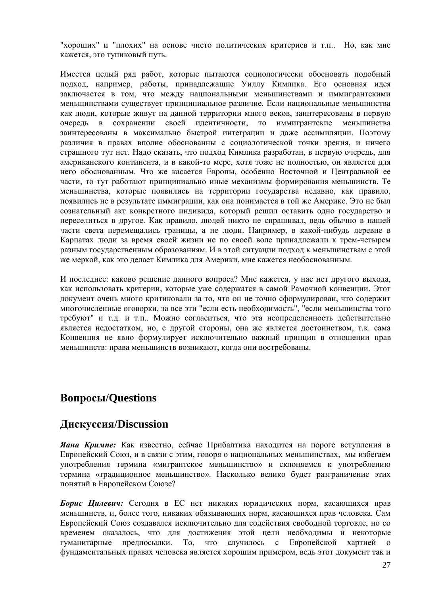"хороших" и "плохих" на основе чисто политических критериев и т.п.. Но, как мне кажется, это тупиковый путь.

Имеется целый ряд работ, которые пытаются социологически обосновать подобный подход, например, работы, принадлежащие Уиллу Кимлика. Его основная идея заключается в том, что между национальными меньшинствами и иммигрантскими меньшинствами существует принципиальное различие. Если национальные меньшинства как люди, которые живут на данной территории много веков, заинтересованы в первую очередь в сохранении своей идентичности, то иммигрантские меньшинства заинтересованы в максимально быстрой интеграции и даже ассимиляции. Поэтому различия в правах вполне обоснованны с социологической точки зрения, и ничего страшного тут нет. Надо сказать, что подход Кимлика разработан, в первую очередь, для американского континента, и в какой-то мере, хотя тоже не полностью, он является для него обоснованным. Что же касается Европы, особенно Восточной и Центральной ее части, то тут работают принципиально иные механизмы формирования меньшинств. Те меньшинства, которые появились на территории государства недавно, как правило, появились не в результате иммиграции, как она понимается в той же Америке. Это не был сознательный акт конкретного индивида, который решил оставить одно государство и переселиться в другое. Как правило, людей никто не спрашивал, ведь обычно в нашей части света перемещались границы, а не люди. Например, в какой-нибудь деревне в Карпатах люди за время своей жизни не по своей воле принадлежали к трем-четырем разным государственным образованиям. И в этой ситуации подход к меньшинствам с этой же меркой, как это делает Кимлика для Америки, мне кажется необоснованным.

И последнее: каково решение данного вопроса? Мне кажется, у нас нет другого выхода, как использовать критерии, которые уже содержатся в самой Рамочной конвенции. Этот документ очень много критиковали за то, что он не точно сформулирован, что содержит многочисленные оговорки, за все эти "если есть необходимость", "если меньшинства того требуют" и т.д. и т.п.. Можно согласиться, что эта неопределенность действительно является недостатком, но, с другой стороны, она же является достоинством, т.к. сама Конвенция не явно формулирует исключительно важный принцип в отношении прав меньшинств: права меньшинств возникают, когда они востребованы.

# **Вопросы/Questions**

# **Дискуссия/Discussion**

*Яана Кримпе:* Как известно, сейчас Прибалтика находится на пороге вступления в Европейский Союз, и в связи с этим, говоря о национальных меньшинствах, мы избегаем употребления термина «мигрантское меньшинство» и склоняемся к употреблению термина «традиционное меньшинство». Насколько велико будет разграничение этих понятий в Европейском Союзе?

*Борис Цилевич:* Сегодня в ЕС нет никаких юридических норм, касающихся прав меньшинств, и, более того, никаких обязывающих норм, касающихся прав человека. Сам Европейский Союз создавался исключительно для содействия свободной торговле, но со временем оказалось, что для достижения этой цели необходимы и некоторые гуманитарные предпосылки. То, что случилось с Европейской хартией о фундаментальных правах человека является хорошим примером, ведь этот документ так и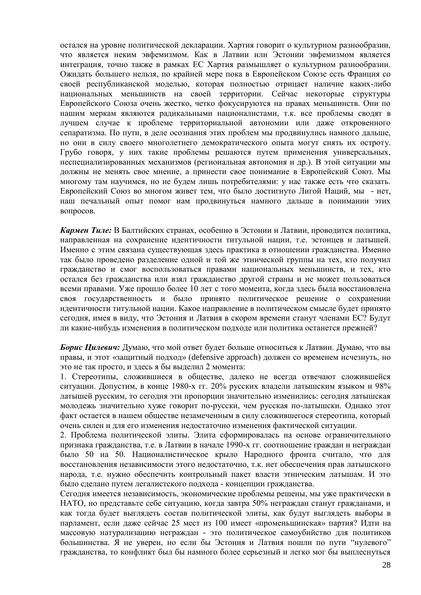остался на уровне политической декларации. Хартия говорит о культурном разнообразии, что является неким эвфемизмом. Как в Латвии или Эстонии эвфемизмом является интеграция, точно также в рамках ЕС Хартия размышляет о культурном разнообразии. Ожидать большего нельзя, по крайней мере пока в Европейском Союзе есть Франция со своей республиканской моделью, которая полностью отрицает наличие каких-либо национальных меньшинств на своей территории. Сейчас некоторые структуры Европейского Союза очень жестко, четко фокусируются на правах меньшинств. Они по нашим меркам являются радикальными националистами, т.к. все проблемы сводят в лучшем случае к проблеме территориальной автономии или даже откровенного сепаратизма. По пути, в деле осознания этих проблем мы продвинулись намного дальше, но они в силу своего многолетнего демократического опыта могут снять их остроту. Грубо говоря, у них такие проблемы решаются путем применения универсальных, неспециализированных механизмов (региональная автономия и др.). В этой ситуации мы должны не менять свое мнение, а принести свое понимание в Европейский Союз. Мы многому там научимся, но не будем лишь потребителями: у нас также есть что сказать. Европейский Союз во многом живет тем, что было достигнуто Лигой Наций, мы - нет, наш печальный опыт помог нам продвинуться намного дальше в понимании этих вопросов.

*Кармен Тиле:* В Балтийских странах, особенно в Эстонии и Латвии, проводится политика, направленная на сохранение идентичности титульной нации, т.е. эстонцев и латышей. Именно с этим связана существующая здесь практика в отношении гражданства. Именно так было проведено разделение одной и той же этнической группы на тех, кто получил гражданство и смог воспользоваться правами национальных меньшинств, и тех, кто остался без гражданства или взял гражданство другой страны и не может пользоваться всеми правами. Уже прошло более 10 лет с того момента, когда здесь была восстановлена своя государственность и было принято политическое решение о сохранении идентичности титульной нации. Какое направление в политическом смысле будет принято сегодня, имея в виду, что Эстония и Латвия в скором времени станут членами ЕС? Будут ли какие-нибудь изменения в политическом подходе или политика останется прежней?

*Борис Цилевич:* Думаю, что мой ответ будет больше относиться к Латвии. Думаю, что вы правы, и этот «защитный подход» (defensive approach) должен со временем исчезнуть, но это не так просто, и здесь я бы выделил 2 момента:

1. Стереотипы, сложившиеся в обществе, далеко не всегда отвечают сложившейся ситуации. Допустим, в конце 1980-х гг. 20% русских владели латышским языком и 98% латышей русским, то сегодня эти пропорции значительно изменились: сегодня латышская молодежь значительно хуже говорит по-русски, чем русская по-латышски. Однако этот факт остается в нашем обществе незамеченным в силу сложившегося стереотипа, который очень силен и для его изменения недостаточно изменения фактической ситуации.

2. Проблема политической элиты. Элита сформировалась на основе ограничительного признака гражданства, т.е. в Латвии в начале 1990-х гг. соотношение граждан и неграждан было 50 на 50. Националистическое крыло Народного фронта считало, что для восстановления независимости этого недостаточно, т.к. нет обеспечения прав латышского народа, т.е. нужно обеспечить контрольный пакет власти этническим латышам. И это было сделано путем легалистского подхода - концепции гражданства.

Сегодня имеется независимость, экономические проблемы решены, мы уже практически в НАТО, но представьте себе ситуацию, когда завтра 50% неграждан станут гражданами, и как тогда будет выглядеть состав политической элиты, как будут выглядеть выборы в парламент, если даже сейчас 25 мест из 100 имеет «променьшинская» партия? Идти на массовую натурализацию неграждан - это политическое самоубийство для политиков большинства. Я не уверен, но если бы Эстония и Латвия пошли по пути "нулевого" гражданства, то конфликт был бы намного более серьезный и легко мог бы выплеснуться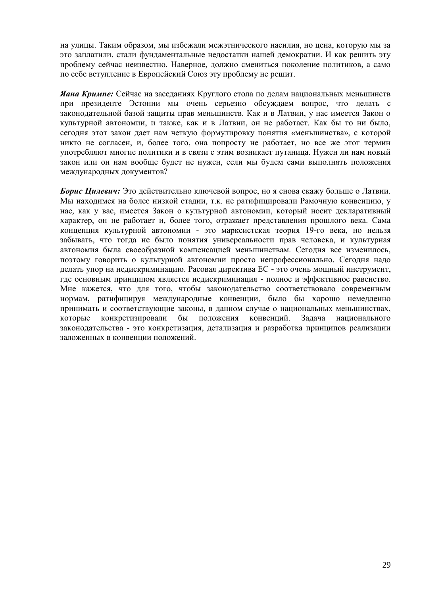на улицы. Таким образом, мы избежали межэтнического насилия, но цена, которую мы за это заплатили, стали фундаментальные недостатки нашей демократии. И как решить эту проблему сейчас неизвестно. Наверное, должно смениться поколение политиков, а само по себе вступление в Европейский Союз эту проблему не решит.

*Яана Кримпе:* Сейчас на заседаниях Круглого стола по делам национальных меньшинств при президенте Эстонии мы очень серьезно обсуждаем вопрос, что делать с законодательной базой защиты прав меньшинств. Как и в Латвии, у нас имеется Закон о культурной автономии, и также, как и в Латвии, он не работает. Как бы то ни было, сегодня этот закон дает нам четкую формулировку понятия «меньшинства», с которой никто не согласен, и, более того, она попросту не работает, но все же этот термин употребляют многие политики и в связи с этим возникает путаница. Нужен ли нам новый закон или он нам вообще будет не нужен, если мы будем сами выполнять положения международных документов?

*Борис Цилевич:* Это действительно ключевой вопрос, но я снова скажу больше о Латвии. Мы находимся на более низкой стадии, т.к. не ратифицировали Рамочную конвенцию, у нас, как у вас, имеется Закон о культурной автономии, который носит декларативный характер, он не работает и, более того, отражает представления прошлого века. Сама концепция культурной автономии - это марксистская теория 19-го века, но нельзя забывать, что тогда не было понятия универсальности прав человека, и культурная автономия была своеобразной компенсацией меньшинствам. Сегодня все изменилось, поэтому говорить о культурной автономии просто непрофессионально. Сегодня надо делать упор на недискриминацию. Расовая директива ЕС - это очень мощный инструмент, где основным принципом является недискриминация - полное и эффективное равенство. Мне кажется, что для того, чтобы законодательство соответствовало современным нормам, ратифицируя международные конвенции, было бы хорошо немедленно принимать и соответствующие законы, в данном случае о национальных меньшинствах, которые конкретизировали бы положения конвенций. Задача национального законодательства - это конкретизация, детализация и разработка принципов реализации заложенных в конвенции положений.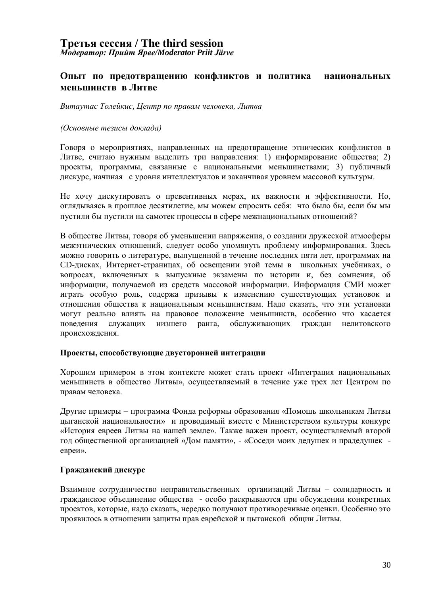### **Третья сессия / The third session** *Модератор: Прийт Ярве/Moderator Priit Järve*

#### **Опыт по предотвращению конфликтов и политика национальных меньшинств в Литве**

*Витаутас Толейкис, Центр по правам человека, Литва*

#### *(Основные тезисы доклада)*

Говоря о мероприятиях, направленных на предотвращение этнических конфликтов в Литве, считаю нужным выделить три направления: 1) информирование общества; 2) проекты, программы, связанные с национальными меньшинствами; 3) публичный дискурс, начиная с уровня интеллектуалов и заканчивая уровнем массовой культуры.

Не хочу дискутировать о превентивных мерах, их важности и эффективности. Но, оглядываясь в прошлое десятилетие, мы можем спросить себя: что было бы, если бы мы пустили бы пустили на самотек процессы в сфере межнациональных отношений

В обществе Литвы, говоря об уменьшении напряжения, о создании дружеской атмосферы межэтнических отношений, следует особо упомянуть проблему информирования. Здесь можно говорить о литературе, выпущенной в течение последних пяти лет, программах на CD-дисках, Интернет-страницах, об освещении этой темы в школьных учебниках, о вопросах, включенных в выпускные экзамены по истории и, без сомнения, об информации, получаемой из средств массовой информации. Информация СМИ может играть особую роль, содержа призывы к изменению существующих установок и отношения общества к национальным меньшинствам. Надо сказать, что эти установки могут реально влиять на правовое положение меньшинств, особенно что касается поведения служащих низшего ранга, обслуживающих граждан нелитовского происхождения.

#### **Проекты, способствующие двусторонней интеграции**

Хорошим примером в этом контексте может стать проект «Интеграция национальных меньшинств в общество Литвы», осуществляемый в течение уже трех лет Центром по правам человека.

Другие примеры – программа Фонда реформы образования «Помощь школьникам Литвы цыганской национальности» и проводимый вместе с Министерством культуры конкурс «История евреев Литвы на нашей земле». Также важен проект, осуществляемый второй год общественной организацией «Дом памяти», - «Соседи моих дедушек и прадедушек евреи».

#### **Гражданский дискурс**

Взаимное сотрудничество неправительственных организаций Литвы – солидарность и гражданское объединение общества - особо раскрываются при обсуждении конкретных проектов, которые, надо сказать, нередко получают противоречивые оценки. Особенно это проявилось в отношении защиты прав еврейской и цыганской общин Литвы.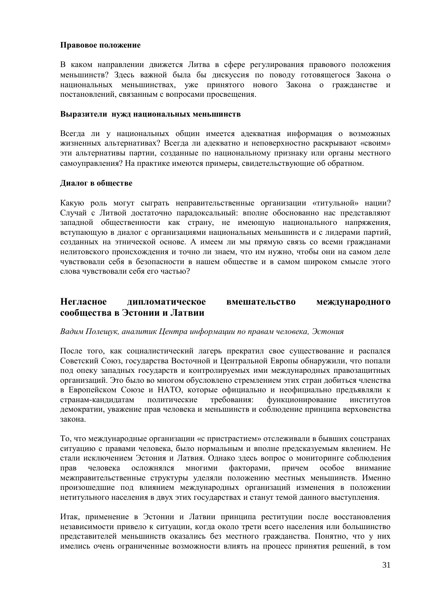#### **Правовое положение**

В каком направлении движется Литва в сфере регулирования правового положения меньшинств? Злесь важной была бы дискуссия по поводу готовящегося Закона о национальных меньшинствах, уже принятого нового Закона о гражданстве и постановлений, связанным с вопросами просвещения.

#### **Выразители нужд национальных меньшинств**

Всегда ли у национальных общин имеется адекватная информация о возможных жизненных альтернативах? Всегда ли адекватно и неповерхностно раскрывают «своим» эти альтернативы партии, созданные по национальному признаку или органы местного самоуправления? На практике имеются примеры, свидетельствующие об обратном.

#### **Диалог в обществе**

Какую роль могут сыграть неправительственные организации «титульной» нации Случай с Литвой достаточно парадоксальный: вполне обоснованно нас представляют западной общественности как страну, не имеющую национального напряжения, вступающую в диалог с организациями национальных меньшинств и с лидерами партий, созданных на этнической основе. А имеем ли мы прямую связь со всеми гражданами нелитовского происхождения и точно ли знаем, что им нужно, чтобы они на самом деле чувствовали себя в безопасности в нашем обществе и в самом широком смысле этого слова чувствовали себя его частью?

### **Негласное дипломатическое вмешательство международного сообщества в Эстонии и Латвии**

#### *Вадим Полещук, аналитик Центра информации по правам человека, Эстония*

После того, как социалистический лагерь прекратил свое существование и распался Советский Союз, государства Восточной и Центральной Европы обнаружили, что попали под опеку западных государств и контролируемых ими международных правозащитных организаций. Это было во многом обусловлено стремлением этих стран добиться членства в Европейском Союзе и НАТО, которые официально и неофициально предъявляли к странам-кандидатам политические требования: функционирование институтов демократии, уважение прав человека и меньшинств и соблюдение принципа верховенства закона.

То, что международные организации «с пристрастием» отслеживали в бывших соцстранах ситуацию с правами человека, было нормальным и вполне предсказуемым явлением. Не стали исключением Эстония и Латвия. Однако здесь вопрос о мониторинге соблюдения прав человека осложнялся многими факторами, причем особое внимание межправительственные структуры уделяли положению местных меньшинств. Именно произошедшие под влиянием международных организаций изменения в положении нетитульного населения в двух этих государствах и станут темой данного выступления.

Итак, применение в Эстонии и Латвии принципа реституции после восстановления независимости привело к ситуации, когда около трети всего населения или большинство представителей меньшинств оказались без местного гражданства. Понятно, что у них имелись очень ограниченные возможности влиять на процесс принятия решений, в том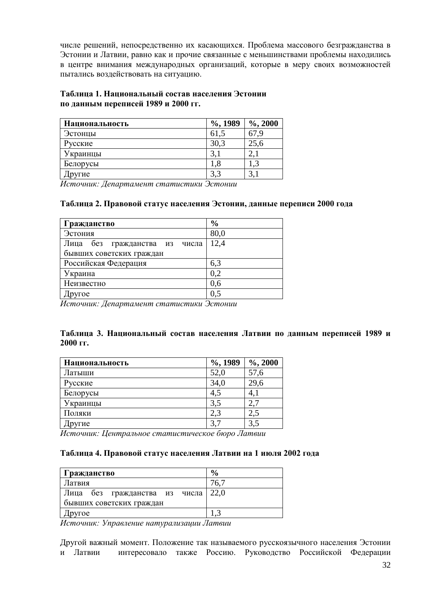числе решений, непосредственно их касающихся. Проблема массового безгражданства в Эстонии и Латвии, равно как и прочие связанные с меньшинствами проблемы находились в центре внимания международных организаций, которые в меру своих возможностей пытались воздействовать на ситуацию.

#### **Таблица 1. Национальный состав населения Эстонии по данным переписей 1989 и 2000 гг.**

| Национальность | $\%$ , 1989 | $\%$ , 2000 |
|----------------|-------------|-------------|
| Эстонцы        | 61,5        | 67.9        |
| Русские        | 30,3        | 25,6        |
| Украинцы       | 3,1         |             |
| Белорусы       | 1.8         |             |
| Іругие         | 3,3         | 3,1         |

*Источник: Департамент статистики Эстонии*

#### **Таблица 2. Правовой статус населения Эстонии, данные переписи 2000 года**

| Гражданство                      | $\frac{6}{6}$ |
|----------------------------------|---------------|
| Эстония                          | 80,0          |
| без гражданства из числа<br>Лица | 12,4          |
| бывших советских граждан         |               |
| Российская Федерация             | 6,3           |
| Украина                          | 0,2           |
| Неизвестно                       | 0.6           |
| ругое                            | 0,5           |

*Источник: Департамент статистики Эстонии*

#### **Таблица 3. Национальный состав населения Латвии по данным переписей 1989 и 2000 гг.**

| Национальность | $\%$ , 1989 | $%$ , 2000 |
|----------------|-------------|------------|
| Латыши         | 52,0        | 57,6       |
| Русские        | 34,0        | 29,6       |
| Белорусы       | 4,5         | 4,1        |
| Украинцы       | 3,5         | 2.'        |
| Поляки         | 2,3         | 2,5        |
| ругие          | 3,7         | 3,5        |

*Источник: Центральное статистическое бюро Латвии* 

#### **Таблица 4. Правовой статус населения Латвии на 1 июля 2002 года**

| Гражданство                        | $\frac{6}{9}$ |
|------------------------------------|---------------|
| Латвия                             | 76.7          |
| Лица без гражданства из числа 22,0 |               |
| бывших советских граждан           |               |
| pyroe                              |               |

*Источник: Управление натурализации Латвии*

Другой важный момент. Положение так называемого русскоязычного населения Эстонии и Латвии интересовало также Россию. Руководство Российской Федерации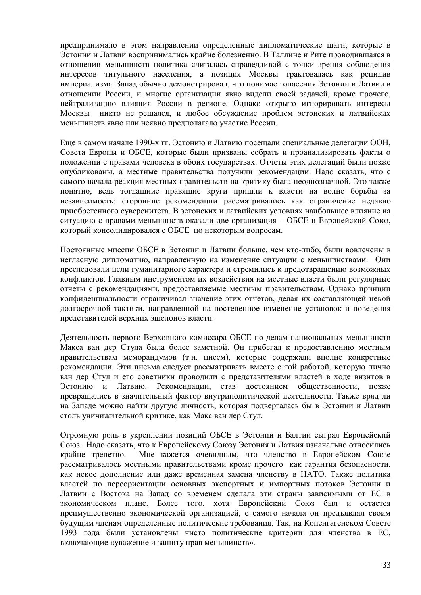предпринимало в этом направлении определенные дипломатические шаги, которые в Эстонии и Латвии воспринимались крайне болезненно. В Таллине и Риге проводившаяся в отношении меньшинств политика считалась справедливой с точки зрения соблюдения интересов титульного населения, а позиция Москвы трактовалась как рецидив империализма. Запад обычно демонстрировал, что понимает опасения Эстонии и Латвии в отношении России, и многие организации явно видели своей задачей, кроме прочего, нейтрализацию влияния России в регионе. Однако открыто игнорировать интересы Москвы никто не решался, и любое обсуждение проблем эстонских и латвийских меньшинств явно или неявно предполагало участие России.

Еще в самом начале 1990-х гг. Эстонию и Латвию посещали специальные делегации ООН, Совета Европы и ОБСЕ, которые были призваны собрать и проанализировать факты о положении с правами человека в обоих государствах. Отчеты этих делегаций были позже опубликованы, а местные правительства получили рекомендации. Надо сказать, что с самого начала реакция местных правительств на критику была неоднозначной. Это также понятно, ведь тогдашние правящие круги пришли к власти на волне борьбы за независимость: сторонние рекомендации рассматривались как ограничение недавно приобретенного суверенитета. В эстонских и латвийских условиях наибольшее влияние на ситуацию с правами меньшинств оказали две организация – ОБСЕ и Европейский Союз, который консолидировался с ОБСЕ по некоторым вопросам.

Постоянные миссии ОБСЕ в Эстонии и Латвии больше, чем кто-либо, были вовлечены в негласную дипломатию, направленную на изменение ситуации с меньшинствами. Они преследовали цели гуманитарного характера и стремились к предотвращению возможных конфликтов. Главным инструментом их воздействия на местные власти были регулярные отчеты с рекомендациями, предоставляемые местным правительствам. Однако принцип конфиденциальности ограничивал значение этих отчетов, делая их составляющей некой долгосрочной тактики, направленной на постепенное изменение установок и поведения представителей верхних эшелонов власти.

Деятельность первого Верховного комиссара ОБСЕ по делам национальных меньшинств Макса ван дер Стула была более заметной. Он прибегал к предоставлению местным правительствам меморандумов (т.н. писем), которые содержали вполне конкретные рекомендации. Эти письма следует рассматривать вместе с той работой, которую лично ван дер Стул и его советники проводили с представителями властей в ходе визитов в Эстонию и Латвию. Рекомендации, став достоянием общественности, позже превращались в значительный фактор внутриполитической деятельности. Также вряд ли на Западе можно найти другую личность, которая подвергалась бы в Эстонии и Латвии столь уничижительной критике, как Макс ван дер Стул.

Огромную роль в укреплении позиций ОБСЕ в Эстонии и Балтии сыграл Европейский Союз. Надо сказать, что к Европейскому Союзу Эстония и Латвия изначально относились крайне трепетно. Мне кажется очевидным, что членство в Европейском Союзе рассматривалось местными правительствами кроме прочего как гарантия безопасности, как некое дополнение или даже временная замена членству в НАТО. Также политика властей по переориентации основных экспортных и импортных потоков Эстонии и Латвии с Востока на Запад со временем сделала эти страны зависимыми от ЕС в экономическом плане. Более того, хотя Европейский Союз был и остается преимущественно экономической организацией, с самого начала он предъявлял своим будущим членам определенные политические требования. Так, на Копенгагенском Совете 1993 года были установлены чисто политические критерии для членства в ЕС, включающие «уважение и защиту прав меньшинств».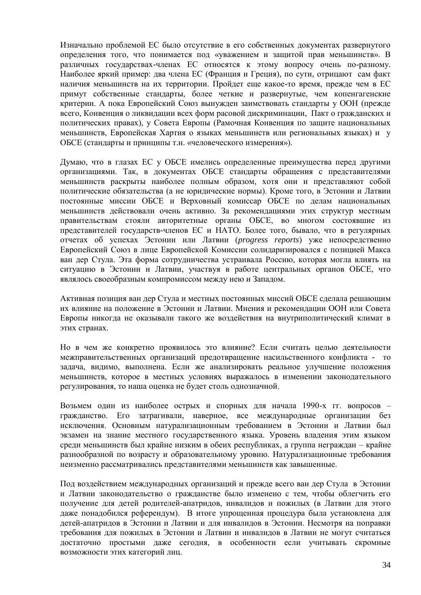Изначально проблемой ЕС было отсутствие в его собственных документах развернутого определения того, что понимается под «уважением и защитой прав меньшинств». В различных государствах-членах ЕС относятся к этому вопросу очень по-разному. Наиболее яркий пример: два члена ЕС (Франция и Греция), по сути, отрицают сам факт наличия меньшинств на их территории. Пройдет еще какое-то время, прежде чем в ЕС примут собственные стандарты, более четкие и развернутые, чем копенгагенские критерии. А пока Европейский Союз вынужден заимствовать стандарты у ООН (прежде всего, Конвенция о ликвидации всех форм расовой дискриминации, Пакт о гражданских и политических правах), у Совета Европы (Рамочная Конвенция по защите национальных меньшинств, Европейская Хартия о языках меньшинств или региональных языках) и у ОБСЕ (стандарты и принципы т.н. «человеческого измерения»).

Думаю, что в глазах ЕС у ОБСЕ имелись определенные преимущества перед другими организациями. Так, в документах ОБСЕ стандарты обращения с представителями меньшинств раскрыты наиболее полным образом, хотя они и представляют собой политические обязательства (а не юридические нормы). Кроме того, в Эстонии и Латвии постоянные миссии ОБСЕ и Верховный комиссар ОБСЕ по делам национальных меньшинств действовали очень активно. За рекомендациями этих структур местным правительствам стояли авторитетные органы ОБСЕ, во многом состоявшие из представителей государств-членов ЕС и НАТО. Более того, бывало, что в регулярных отчетах об успехах Эстонии или Латвии (*progress reports*) уже непосредственно Европейский Союз в лице Европейской Комиссии солидаризировался с позицией Макса ван дер Стула. Эта форма сотрудничества устраивала Россию, которая могла влиять на ситуацию в Эстонии и Латвии, участвуя в работе центральных органов ОБСЕ, что являлось своеобразным компромиссом между нею и Западом.

Активная позиция ван дер Стула и местных постоянных миссий ОБСЕ сделала решающим их влияние на положение в Эстонии и Латвии. Мнения и рекомендации ООН или Совета Европы никогда не оказывали такого же воздействия на внутриполитический климат в этих странах.

Но в чем же конкретно проявилось это влияние? Если считать целью деятельности межправительственных организаций предотвращение насильственного конфликта - то задача, видимо, выполнена. Если же анализировать реальное улучшение положения меньшинств, которое в местных условиях выражалось в изменении законодательного регулирования, то наша оценка не будет столь однозначной.

Возьмем один из наиболее острых и спорных для начала 1990-х гг. вопросов – гражданство. Его затрагивали, наверное, все международные организации без исключения. Основным натурализационным требованием в Эстонии и Латвии был экзамен на знание местного государственного языка. Уровень владения этим языком среди меньшинств был крайне низким в обеих республиках, а группа неграждан – крайне разнообразной по возрасту и образовательному уровню. Натурализационные требования неизменно рассматривались представителями меньшинств как завышенные.

Под воздействием международных организаций и прежде всего ван дер Стула в Эстонии и Латвии законодательство о гражданстве было изменено с тем, чтобы облегчить его получение для детей родителей-апатридов, инвалидов и пожилых (в Латвии для этого даже понадобился референдум). В итоге упрощенная процедура была установлена для детей-апатридов в Эстонии и Латвии и для инвалидов в Эстонии. Несмотря на поправки требования для пожилых в Эстонии и Латвии и инвалидов в Латвии не могут считаться достаточно простыми даже сегодня, в особенности если учитывать скромные возможности этих категорий лиц.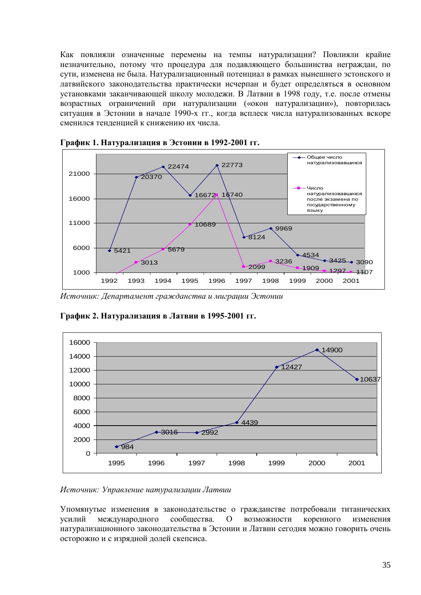Как повлияли означенные перемены на темпы натурализации? Повлияли крайне незначительно, потому что процедура для подавляющего большинства неграждан, по сути, изменена не была. Натурализационный потенциал в рамках нынешнего эстонского и латвийского законодательства практически исчерпан и будет определяться в основном установками заканчивающей школу молодежи. В Латвии в 1998 году, т.е. после отмены возрастных ограничений при натурализации («окон натурализации»), повторилась ситуация в Эстонии в начале 1990-х гг., когда всплеск числа натурализованных вскоре сменился тенденцией к снижению их числа.



**График 1. Натурализация в Эстонии в 1992-2001 гг.**

*Источник: Департамент гражданства и миграции Эстонии*



**График 2. Натурализация в Латвии в 1995-2001 гг.**

*Источник: Управление натурализации Латвии*

Упомянутые изменения в законодательстве о гражданстве потребовали титанических усилий международного сообщества. О возможности коренного изменения натурализационного законодательства в Эстонии и Латвии сегодня можно говорить очень осторожно и с изрядной долей скепсиса.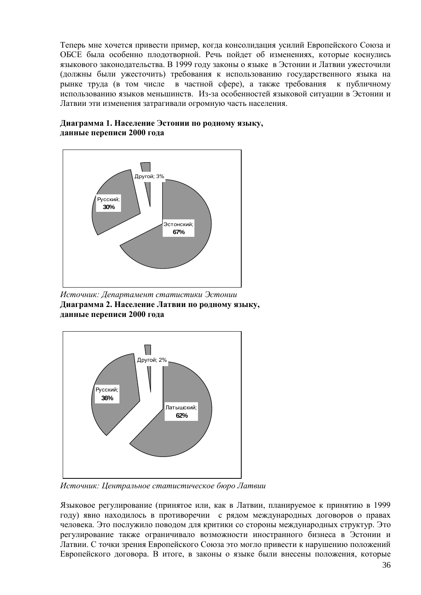Теперь мне хочется привести пример, когда консолидация усилий Европейского Союза и ОБСЕ была особенно плодотворной. Речь пойдет об изменениях, которые коснулись языкового законодательства. В 1999 году законы о языке в Эстонии и Латвии ужесточили (должны были ужесточить) требования к использованию государственного языка на рынке труда (в том числе в частной сфере), а также требования к публичному использованию языков меньшинств. Из-за особенностей языковой ситуации в Эстонии и Латвии эти изменения затрагивали огромную часть населения.

#### **Диаграмма 1. Население Эстонии по родному языку, данные переписи 2000 года**



*Источник: Департамент статистики Эстонии* **Диаграмма 2. Население Латвии по родному языку, данные переписи 2000 года**



*Источник: Центральное статистическое бюро Латвии* 

Языковое регулирование (принятое или, как в Латвии, планируемое к принятию в 1999 году) явно находилось в противоречии с рядом международных договоров о правах человека. Это послужило поводом для критики со стороны международных структур. Это регулирование также ограничивало возможности иностранного бизнеса в Эстонии и Латвии. С точки зрения Европейского Союза это могло привести к нарушению положений Европейского договора. В итоге, в законы о языке были внесены положения, которые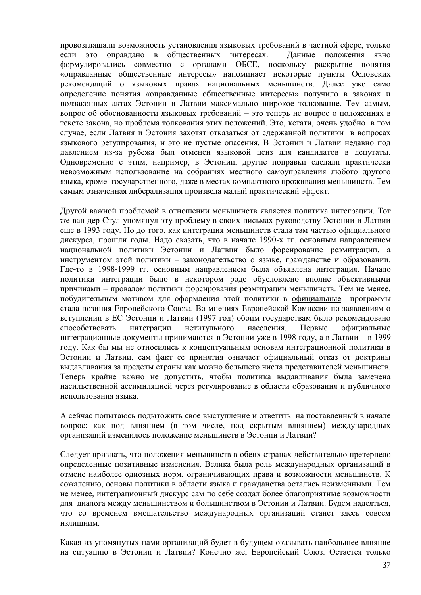провозглашали возможность установления языковых требований в частной сфере, только если это оправдано в общественных интересах. Данные положения явно формулировались совместно с органами ОБСЕ, поскольку раскрытие понятия «оправданные общественные интересы» напоминает некоторые пункты Ословских рекомендаций о языковых правах национальных меньшинств. Далее уже само определение понятия «оправданные общественные интересы» получило в законах и подзаконных актах Эстонии и Латвии максимально широкое толкование. Тем самым, вопрос об обоснованности языковых требований – это теперь не вопрос о положениях в тексте закона, но проблема толкования этих положений. Это, кстати, очень удобно в том случае, если Латвия и Эстония захотят отказаться от сдержанной политики в вопросах языкового регулирования, и это не пустые опасения. В Эстонии и Латвии недавно под давлением из-за рубежа был отменен языковой ценз для кандидатов в депутаты. Одновременно с этим, например, в Эстонии, другие поправки сделали практически невозможным использование на собраниях местного самоуправления любого другого языка, кроме государственного, даже в местах компактного проживания меньшинств. Тем самым означенная либерализация произвела малый практический эффект.

Другой важной проблемой в отношении меньшинств является политика интеграции. Тот же ван дер Стул упомянул эту проблему в своих письмах руководству Эстонии и Латвии еще в 1993 году. Но до того, как интеграция меньшинств стала там частью официального дискурса, прошли годы. Надо сказать, что в начале 1990-х гг. основным направлением национальной политики Эстонии и Латвии было форсирование реэмиграции, а инструментом этой политики – законодательство о языке, гражданстве и образовании. Где-то в 1998-1999 гг. основным направлением была объявлена интеграция. Начало политики интеграции было в некотором роде обусловлено вполне объективными причинами – провалом политики форсирования реэмиграции меньшинств. Тем не менее, побудительным мотивом для оформления этой политики в официальные программы стала позиция Европейского Союза. Во мнениях Европейской Комиссии по заявлениям о вступлении в ЕС Эстонии и Латвии (1997 год) обоим государствам было рекомендовано способствовать интеграции нетитульного населения. Первые официальные интеграционные документы принимаются в Эстонии уже в 1998 году, а в Латвии – в 1999 году. Как бы мы не относились к концептуальным основам интеграционной политики в Эстонии и Латвии, сам факт ее принятия означает официальный отказ от доктрины выдавливания за пределы страны как можно большего числа представителей меньшинств. Теперь крайне важно не допустить, чтобы политика выдавливания была заменена насильственной ассимиляцией через регулирование в области образования и публичного использования языка.

А сейчас попытаюсь подытожить свое выступление и ответить на поставленный в начале вопрос: как под влиянием (в том числе, под скрытым влиянием) международных организаций изменилось положение меньшинств в Эстонии и Латвии?

Следует признать, что положения меньшинств в обеих странах действительно претерпело определенные позитивные изменения. Велика была роль международных организаций в отмене наиболее одиозных норм, ограничивающих права и возможности меньшинств. К сожалению, основы политики в области языка и гражданства остались неизменными. Тем не менее, интеграционный дискурс сам по себе создал более благоприятные возможности для диалога между меньшинством и большинством в Эстонии и Латвии. Будем надеяться, что со временем вмешательство международных организаций станет здесь совсем излишним.

Какая из упомянутых нами организаций будет в будущем оказывать наибольшее влияние на ситуацию в Эстонии и Латвии? Конечно же, Европейский Союз. Остается только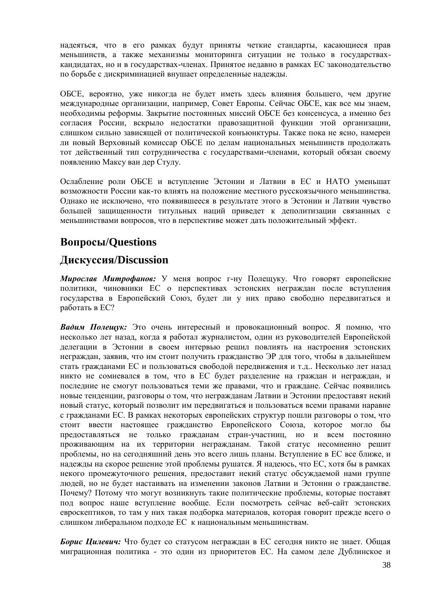надеяться, что в его рамках будут приняты четкие стандарты, касающиеся прав меньшинств, а также механизмы мониторинга ситуации не только в государствахкандидатах, но и в государствах-членах. Принятое недавно в рамках ЕС законодательство по борьбе с дискриминацией внушает определенные надежды.

ОБСЕ, вероятно, уже никогда не будет иметь здесь влияния большего, чем другие международные организации, например, Совет Европы. Сейчас ОБСЕ, как все мы знаем, необходимы реформы. Закрытие постоянных миссий ОБСЕ без консенсуса, а именно без согласия России, вскрыло недостатки правозащитной функции этой организации, слишком сильно зависящей от политической конъюнктуры. Также пока не ясно, намерен ли новый Верховный комиссар ОБСЕ по делам национальных меньшинств продолжать тот действенный тип сотрудничества с государствами-членами, который обязан своему появлению Максу ван дер Стулу.

Ослабление роли ОБСЕ и вступление Эстонии и Латвии в ЕС и НАТО уменьшат возможности России как-то влиять на положение местного русскоязычного меньшинства. Однако не исключено, что появившееся в результате этого в Эстонии и Латвии чувство большей защищенности титульных наций приведет к деполитизации связанных с меньшинствами вопросов, что в перспективе может дать положительный эффект.

# **Вопросы/Questions**

# **Дискуссия/Discussion**

*Мирослав Митрофанов:* У меня вопрос г-ну Полещуку. Что говорят европейские политики, чиновники ЕС о перспективах эстонских неграждан после вступления государства в Европейский Союз, будет ли у них право свободно передвигаться и работать в ЕС?

*Вадим Полещук:* Это очень интересный и провокационный вопрос. Я помню, что несколько лет назад, когда я работал журналистом, один из руководителей Европейской делегации в Эстонии в своем интервью решил повлиять на настроения эстонских неграждан, заявив, что им стоит получить гражданство ЭР для того, чтобы в дальнейшем стать гражданами ЕС и пользоваться свободой передвижения и т.д.. Несколько лет назад никто не сомневался в том, что в ЕС будет разделение на граждан и неграждан, и последние не смогут пользоваться теми же правами, что и граждане. Сейчас появились новые тенденции, разговоры о том, что негражданам Латвии и Эстонии предоставят некий новый статус, который позволит им передвигаться и пользоваться всеми правами наравне с гражданами ЕС. В рамках некоторых европейских структур пошли разговоры о том, что стоит ввести настоящее гражданство Европейского Союза, которое могло бы предоставляться не только гражданам стран-участниц, но и всем постоянно проживающим на их территории негражданам. Такой статус несомненно решит проблемы, но на сегодняшний день это всего лишь планы. Вступление в ЕС все ближе, и надежды на скорое решение этой проблемы рушатся. Я надеюсь, что ЕС, хотя бы в рамках некого промежуточного решения, предоставит некий статус обсуждаемой нами группе людей, но не будет настаивать на изменении законов Латвии и Эстонии о гражданстве. Почему? Потому что могут возникнуть такие политические проблемы, которые поставят под вопрос наше вступление вообще. Если посмотреть сейчас веб-сайт эстонских евроскептиков, то там у них такая подборка материалов, которая говорит прежде всего о слишком либеральном подходе ЕС к национальным меньшинствам.

*Борис Цилевич:* Что будет со статусом неграждан в ЕС сегодня никто не знает. Общая миграционная политика - это один из приоритетов ЕС. На самом деле Дублинское и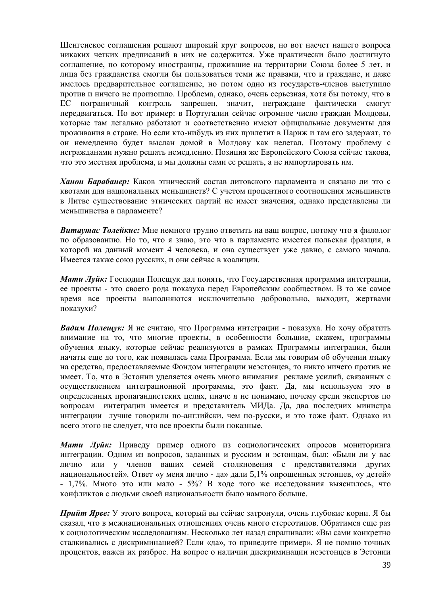Шенгенское соглашения решают широкий круг вопросов, но вот насчет нашего вопроса никаких четких предписаний в них не содержится. Уже практически было достигнуто соглашение, по которому иностранцы, прожившие на территории Союза более 5 лет, и лица без гражданства смогли бы пользоваться теми же правами, что и граждане, и даже имелось предварительное соглашение, но потом одно из государств-членов выступило против и ничего не произошло. Проблема, однако, очень серьезная, хотя бы потому, что в ЕС пограничный контроль запрещен, значит, неграждане фактически смогут передвигаться. Но вот пример: в Португалии сейчас огромное число граждан Молдовы, которые там легально работают и соответственно имеют официальные документы для проживания в стране. Но если кто-нибудь из них прилетит в Париж и там его задержат, то он немедленно будет выслан домой в Молдову как нелегал. Поэтому проблему с негражданами нужно решать немедленно. Позиция же Европейского Союза сейчас такова, что это местная проблема, и мы должны сами ее решать, а не импортировать им.

*Ханон Барабанер:* Каков этнический состав литовского парламента и связано ли это с квотами для национальных меньшинств? С учетом процентного соотношения меньшинств в Литве существование этнических партий не имеет значения, однако представлены ли меньшинства в парламенте?

*Витаутас Толейкис:* Мне немного трудно ответить на ваш вопрос, потому что я филолог по образованию. Но то, что я знаю, это что в парламенте имеется польская фракция, в которой на данный момент 4 человека, и она существует уже давно, с самого начала. Имеется также союз русских, и они сейчас в коалиции.

*Мати Луйк:* Господин Полещук дал понять, что Государственная программа интеграции, ее проекты - это своего рода показуха перед Европейским сообществом. В то же самое время все проекты выполняются исключительно добровольно, выходит, жертвами показухи?

*Вадим Полещук:* Я не считаю, что Программа интеграции - показуха. Но хочу обратить внимание на то, что многие проекты, в особенности большие, скажем, программы обучения языку, которые сейчас реализуются в рамках Программы интеграции, были начаты еще до того, как появилась сама Программа. Если мы говорим об обучении языку на средства, предоставляемые Фондом интеграции неэстонцев, то никто ничего против не имеет. То, что в Эстонии уделяется очень много внимания рекламе усилий, связанных с осуществлением интеграционной программы, это факт. Да, мы используем это в определенных пропагандистских целях, иначе я не понимаю, почему среди экспертов по вопросам интеграции имеется и представитель МИДа. Да, два последних министра интеграции лучше говорили по-английски, чем по-русски, и это тоже факт. Однако из всего этого не следует, что все проекты были показные.

*Мати Луйк:* Приведу пример одного из социологических опросов мониторинга интеграции. Одним из вопросов, заданных и русским и эстонцам, был: «Были ли у вас лично или у членов ваших семей столкновения с представителями других национальностей». Ответ «у меня лично - да» дали 5,1% опрошенных эстонцев, «у детей» - 1,7%. Много это или мало - 5%? В ходе того же исследования выяснилось, что конфликтов с людьми своей национальности было намного больше.

*Прийт Ярве:* У этого вопроса, который вы сейчас затронули, очень глубокие корни. Я бы сказал, что в межнациональных отношениях очень много стереотипов. Обратимся еще раз к социологическим исследованиям. Несколько лет назад спрашивали: «Вы сами конкретно сталкивались с дискриминацией? Если «да», то приведите пример». Я не помню точных процентов, важен их разброс. На вопрос о наличии дискриминации неэстонцев в Эстонии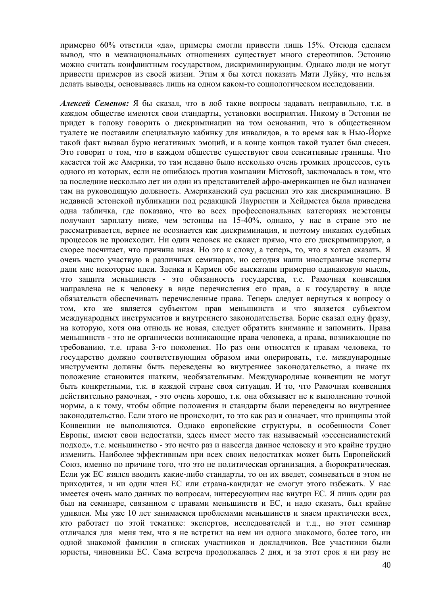примерно 60% ответили «да», примеры смогли привести лишь 15%. Отсюда сделаем вывод, что в межнациональных отношениях существует много стереотипов. Эстонию можно считать конфликтным государством, дискриминирующим. Однако люди не могут привести примеров из своей жизни. Этим я бы хотел показать Мати Луйку, что нельзя делать выводы, основываясь лишь на одном каком-то социологическом исследовании.

*Алексей Семенов:* Я бы сказал, что в лоб такие вопросы задавать неправильно, т.к. в каждом обществе имеются свои стандарты, установки восприятия. Никому в Эстонии не придет в голову говорить о дискриминации на том основании, что в общественном туалете не поставили специальную кабинку для инвалидов, в то время как в Нью-Йорке такой факт вызвал бурю негативных эмоций, и в конце концов такой туалет был снесен. Это говорит о том, что в каждом обществе существуют свои сенситивные границы. Что касается той же Америки, то там недавно было несколько очень громких процессов, суть одного из которых, если не ошибаюсь против компании Microsoft, заключалась в том, что за последние несколько лет ни один из представителей афро-американцев не был назначен там на руководящую должность. Американский суд расценил это как дискриминацию. В недавней эстонской публикации под редакцией Лауристин и Хейдметса была приведена одна табличка, где показано, что во всех профессиональных категориях неэстонцы получают зарплату ниже, чем эстонцы на 15-40%, однако, у нас в стране это не рассматривается, вернее не осознается как дискриминация, и поэтому никаких судебных процессов не происходит. Ни один человек не скажет прямо, что его дискриминируют, а скорее посчитает, что причина иная. Но это к слову, а теперь, то, что я хотел сказать. Я очень часто участвую в различных семинарах, но сегодня наши иностранные эксперты дали мне некоторые идеи. Зденка и Кармен обе высказали примерно одинаковую мысль, что защита меньшинств - это обязанность государства, т.е. Рамочная конвенция направлена не к человеку в виде перечисления его прав, а к государству в виде обязательств обеспечивать перечисленные права. Теперь следует вернуться к вопросу о том, кто же является субъектом прав меньшинств и что является субъектом международных инструментов и внутреннего законодательства. Борис сказал одну фразу, на которую, хотя она отнюдь не новая, следует обратить внимание и запомнить. Права меньшинств - это не органически возникающие права человека, а права, возникающие по требованию, т.е. права 3-го поколения. Но раз они относятся к правам человека, то государство должно соответствующим образом ими оперировать, т.е. международные инструменты должны быть переведены во внутреннее законодательство, а иначе их положение становится шатким, необязательным. Международные конвенции не могут быть конкретными, т.к. в каждой стране своя ситуация. И то, что Рамочная конвенция действительно рамочная, - это очень хорошо, т.к. она обязывает не к выполнению точной нормы, а к тому, чтобы общие положения и стандарты были переведены во внутреннее законодательство. Если этого не происходит, то это как раз и означает, что принципы этой Конвенции не выполняются. Однако европейские структуры, в особенности Совет Европы, имеют свои недостатки, здесь имеет место так называемый «эссенсиалистский подход», т.е. меньшинство - это нечто раз и навсегда данное человеку и это крайне трудно изменить. Наиболее эффективным при всех своих недостатках может быть Европейский Союз, именно по причине того, что это не политическая организация, а бюрократическая. Если уж ЕС взялся вводить какие-либо стандарты, то он их введет, сомневаться в этом не приходится, и ни один член ЕС или страна-кандидат не смогут этого избежать. У нас имеется очень мало данных по вопросам, интересующим нас внутри ЕС. Я лишь один раз был на семинаре, связанном с правами меньшинств и ЕС, и надо сказать, был крайне удивлен. Мы уже 10 лет занимаемся проблемами меньшинств и знаем практически всех, кто работает по этой тематике: экспертов, исследователей и т.д., но этот семинар отличался для меня тем, что я не встретил на нем ни одного знакомого, более того, ни одной знакомой фамилии в списках участников и докладчиков. Все участники были юристы, чиновники ЕС. Сама встреча продолжалась 2 дня, и за этот срок я ни разу не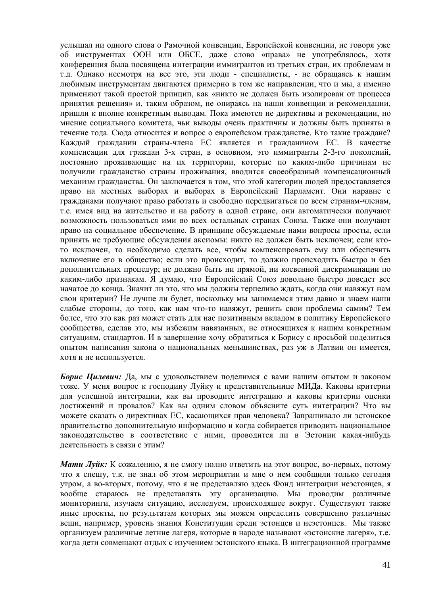услышал ни одного слова о Рамочной конвенции, Европейской конвенции, не говоря уже об инструментах ООН или ОБСЕ, даже слово «права» не употреблялось, хотя конференция была посвящена интеграции иммигрантов из третьих стран, их проблемам и т.д. Однако несмотря на все это, эти люди - специалисты, - не обращаясь к нашим любимым инструментам двигаются примерно в том же направлении, что и мы, а именно применяют такой простой принцип, как «никто не должен быть изолирован от процесса принятия решения» и, таким образом, не опираясь на наши конвенции и рекомендации, пришли к вполне конкретным выводам. Пока имеются не директивы и рекомендации, но мнение социального комитета, чьи выводы очень практичны и должны быть приняты в течение года. Сюда относится и вопрос о европейском гражданстве. Кто такие граждане? Каждый гражданин страны-члена ЕС является и гражданином ЕС. В качестве компенсации для граждан 3-х стран, в основном, это иммигранты 2-3-го поколений, постоянно проживающие на их территории, которые по каким-либо причинам не получили гражданство страны проживания, вводится своеобразный компенсационный механизм гражданства. Он заключается в том, что этой категории людей предоставляется право на местных выборах и выборах в Европейский Парламент. Они наравне с гражданами получают право работать и свободно передвигаться по всем странам-членам, т.е. имея вид на жительство и на работу в одной стране, они автоматически получают возможность пользоваться ими во всех остальных странах Союза. Также они получают право на социальное обеспечение. В принципе обсуждаемые нами вопросы просты, если принять не требующие обсуждения аксиомы: никто не должен быть исключен; если ктото исключен, то необходимо сделать все, чтобы компенсировать ему или обеспечить включение его в общество; если это происходит, то должно происходить быстро и без дополнительных процедур; не должно быть ни прямой, ни косвенной дискриминации по каким-либо признакам. Я думаю, что Европейский Союз довольно быстро доведет все начатое до конца. Значит ли это, что мы должны терпеливо ждать, когда они навяжут нам свои критерии? Не лучше ли будет, поскольку мы занимаемся этим давно и знаем наши слабые стороны, до того, как нам что-то навяжут, решить свои проблемы самим? Тем более, что это как раз может стать для нас позитивным вкладом в политику Европейского сообщества, сделав это, мы избежим навязанных, не относящихся к нашим конкретным ситуациям, стандартов. И в завершение хочу обратиться к Борису с просьбой поделиться опытом написания закона о национальных меньшинствах, раз уж в Латвии он имеется, хотя и не используется.

*Борис Цилевич:* Да, мы с удовольствием поделимся с вами нашим опытом и законом тоже. У меня вопрос к господину Луйку и представительнице МИДа. Каковы критерии для успешной интеграции, как вы проводите интеграцию и каковы критерии оценки достижений и провалов? Как вы одним словом объясните суть интеграции? Что вы можете сказать о директивах ЕС, касающихся прав человека? Запрашивало ли эстонское правительство дополнительную информацию и когда собирается приводить национальное законодательство в соответствие с ними, проводится ли в Эстонии какая-нибудь деятельность в связи с этим?

*Мати Луйк:* К сожалению, я не смогу полно ответить на этот вопрос, во-первых, потому что я спешу, т.к. не знал об этом мероприятии и мне о нем сообщили только сегодня утром, а во-вторых, потому, что я не представляю здесь Фонд интеграции неэстонцев, я вообще стараюсь не представлять эту организацию. Мы проводим различные мониторинги, изучаем ситуацию, исследуем, происходящее вокруг. Существуют также иные проекты, по результатам которых мы можем определить совершенно различные вещи, например, уровень знания Конституции среди эстонцев и неэстонцев. Мы также организуем различные летние лагеря, которые в народе называют «эстонские лагеря», т.е. когда дети совмещают отдых с изучением эстонского языка. В интеграционной программе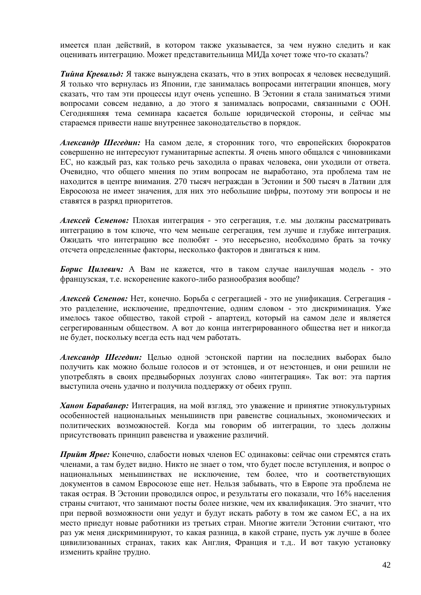имеется план действий, в котором также указывается, за чем нужно следить и как оценивать интеграцию. Может представительница МИДа хочет тоже что-то сказать?

*Тийна Кревальд:* Я также вынуждена сказать, что в этих вопросах я человек несведущий. Я только что вернулась из Японии, где занималась вопросами интеграции японцев, могу сказать, что там эти процессы идут очень успешно. В Эстонии я стала заниматься этими вопросами совсем недавно, а до этого я занималась вопросами, связанными с ООН. Сегодняшняя тема семинара касается больше юридической стороны, и сейчас мы стараемся привести наше внутреннее законодательство в порядок.

*Александр Шегедин:* На самом деле, я сторонник того, что европейских бюрократов совершенно не интересуют гуманитарные аспекты. Я очень много общался с чиновниками ЕС, но каждый раз, как только речь заходила о правах человека, они уходили от ответа. Очевидно, что общего мнения по этим вопросам не выработано, эта проблема там не находится в центре внимания. 270 тысяч неграждан в Эстонии и 500 тысяч в Латвии для Евросоюза не имеет значения, для них это небольшие цифры, поэтому эти вопросы и не ставятся в разряд приоритетов.

*Алексей Семенов:* Плохая интеграция - это сегрегация, т.е. мы должны рассматривать интеграцию в том ключе, что чем меньше сегрегация, тем лучше и глубже интеграция. Ожидать что интеграцию все полюбят - это несерьезно, необходимо брать за точку отсчета определенные факторы, несколько факторов и двигаться к ним.

*Борис Цилевич:* А Вам не кажется, что в таком случае наилучшая модель - это французская, т.е. искоренение какого-либо разнообразия вообще?

*Алексей Семенов:* Нет, конечно. Борьба с сегрегацией - это не унификация. Сегрегация это разделение, исключение, предпочтение, одним словом - это дискриминация. Уже имелось такое общество, такой строй - апартеид, который на самом деле и является сегрегированным обществом. А вот до конца интегрированного общества нет и никогда не будет, поскольку всегда есть над чем работать.

*Александр Шегедин:* Целью одной эстонской партии на последних выборах было получить как можно больше голосов и от эстонцев, и от неэстонцев, и они решили не употреблять в своих предвыборных лозунгах слово «интеграция». Так вот: эта партия выступила очень удачно и получила поддержку от обеих групп.

*Ханон Барабанер:* Интеграция, на мой взгляд, это уважение и принятие этнокультурных особенностей национальных меньшинств при равенстве социальных, экономических и политических возможностей. Когда мы говорим об интеграции, то здесь должны присутствовать принцип равенства и уважение различий.

*Прийт Ярве:* Конечно, слабости новых членов ЕС одинаковы: сейчас они стремятся стать членами, а там будет видно. Никто не знает о том, что будет после вступления, и вопрос о национальных меньшинствах не исключение, тем более, что и соответствующих документов в самом Евросоюзе еще нет. Нельзя забывать, что в Европе эта проблема не такая острая. В Эстонии проводился опрос, и результаты его показали, что 16% населения страны считают, что занимают посты более низкие, чем их квалификация. Это значит, что при первой возможности они уедут и будут искать работу в том же самом ЕС, а на их место приедут новые работники из третьих стран. Многие жители Эстонии считают, что раз уж меня дискриминируют, то какая разница, в какой стране, пусть уж лучше в более цивилизованных странах, таких как Англия, Франция и т.д.. И вот такую установку изменить крайне трудно.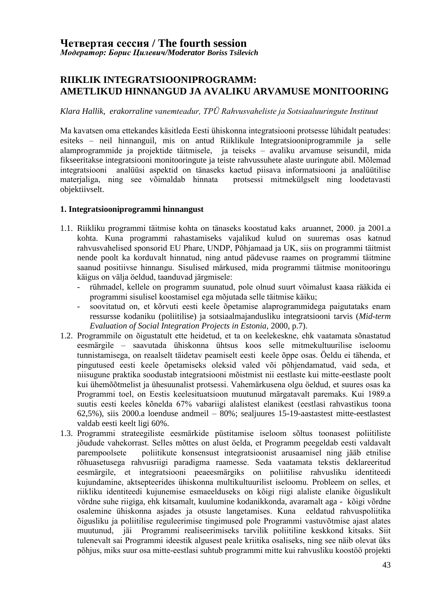## **RIIKLIK INTEGRATSIOONIPROGRAMM: AMETLIKUD HINNANGUD JA AVALIKU ARVAMUSE MONITOORING**

#### *Klara Hallik, erakorraline vanemteadur, TPÜ Rahvusvaheliste ja Sotsiaaluuringute Instituut*

Ma kavatsen oma ettekandes käsitleda Eesti ühiskonna integratsiooni protsesse lühidalt peatudes: esiteks – neil hinnanguil, mis on antud Riiklikule Integratsiooniprogrammile ja selle alamprogrammide ja projektide täitmisele, ja teiseks – avaliku arvamuse seisundil, mida fikseeritakse integratsiooni monitooringute ja teiste rahvussuhete alaste uuringute abil. Mõlemad integratsiooni analüüsi aspektid on tänaseks kaetud piisava informatsiooni ja analüütilise materjaliga, ning see võimaldab hinnata protsessi mitmekülgselt ning loodetavasti objektiivselt.

#### **1. Integratsiooniprogrammi hinnangust**

- 1.1. Riikliku programmi täitmise kohta on tänaseks koostatud kaks aruannet, 2000. ja 2001.a kohta. Kuna programmi rahastamiseks vajalikud kulud on suuremas osas katnud rahvusvahelised sponsorid EU Phare, UNDP, Põhjamaad ja UK, siis on programmi täitmist nende poolt ka korduvalt hinnatud, ning antud pädevuse raames on programmi täitmine saanud positiivse hinnangu. Sisulised märkused, mida programmi täitmise monitooringu käigus on välja öeldud, taanduvad järgmisele:
	- rühmadel, kellele on programm suunatud, pole olnud suurt võimalust kaasa rääkida ei programmi sisulisel koostamisel ega mõjutada selle täitmise käiku;
	- soovitatud on, et kõrvuti eesti keele õpetamise alaprogrammidega paigutataks enam ressursse kodaniku (poliitilise) ja sotsiaalmajandusliku integratsiooni tarvis (*Mid-term Evaluation of Social Integration Projects in Estonia,* 2000, p.7).
- 1.2. Programmile on õigustatult ette heidetud, et ta on keelekeskne, ehk vaatamata sõnastatud eesmärgile – saavutada ühiskonna ühtsus koos selle mitmekultuurilise iseloomu tunnistamisega, on reaalselt täidetav peamiselt eesti keele õppe osas. Öeldu ei tähenda, et pingutused eesti keele õpetamiseks oleksid valed või põhjendamatud, vaid seda, et niisugune praktika soodustab integratsiooni mõistmist nii eestlaste kui mitte-eestlaste poolt kui ühemõõtmelist ja ühesuunalist protsessi. Vahemärkusena olgu öeldud, et suures osas ka Programmi toel, on Eestis keelesituatsioon muutunud märgatavalt paremaks. Kui 1989.a suutis eesti keeles kõnelda 67% vabariigi alalistest elanikest (eestlasi rahvastikus toona 62,5%), siis 2000.a loenduse andmeil – 80%; sealjuures 15-19-aastastest mitte-eestlastest valdab eesti keelt ligi 60%.
- 1.3. Programmi strateegiliste eesmärkide püstitamise iseloom sõltus toonasest poliitiliste jõudude vahekorrast. Selles mõttes on alust öelda, et Programm peegeldab eesti valdavalt parempoolsete poliitikute konsensust integratsioonist arusaamisel ning jääb etnilise rõhuasetusega rahvusriigi paradigma raamesse. Seda vaatamata tekstis deklareeritud eesmärgile, et integratsiooni peaeesmärgiks on poliitilise rahvusliku identiteedi kujundamine, aktsepteerides ühiskonna multikultuurilist iseloomu. Probleem on selles, et riikliku identiteedi kujunemise esmaeelduseks on kõigi riigi alaliste elanike õiguslikult võrdne suhe riigiga, ehk kitsamalt, kuulumine kodanikkonda, avaramalt aga - kõigi võrdne osalemine ühiskonna asjades ja otsuste langetamises. Kuna eeldatud rahvuspoliitika õigusliku ja poliitilise reguleerimise tingimused pole Programmi vastuvõtmise ajast alates muutunud, jäi Programmi realiseerimiseks tarvilik poliitiline keskkond kitsaks. Siit tulenevalt sai Programmi ideestik algusest peale kriitika osaliseks, ning see näib olevat üks põhjus, miks suur osa mitte-eestlasi suhtub programmi mitte kui rahvusliku koostöö projekti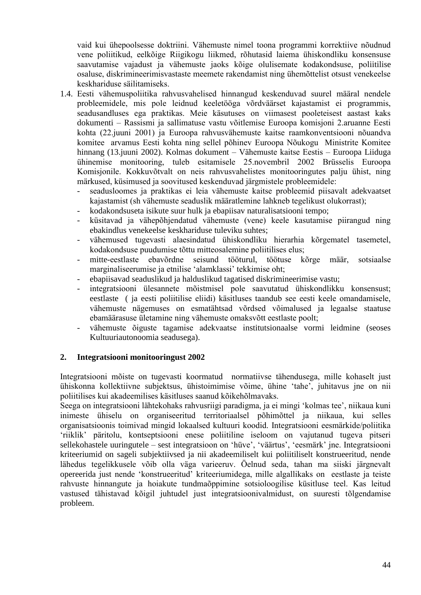vaid kui ühepoolsesse doktriini. Vähemuste nimel toona programmi korrektiive nõudnud vene poliitikud, eelkõige Riigikogu liikmed, rõhutasid laiema ühiskondliku konsensuse saavutamise vajadust ja vähemuste jaoks kõige olulisemate kodakondsuse, poliitilise osaluse, diskrimineerimisvastaste meemete rakendamist ning ühemõttelist otsust venekeelse keskhariduse säilitamiseks.

- 1.4. Eesti vähemuspoliitika rahvusvahelised hinnangud keskenduvad suurel määral nendele probleemidele, mis pole leidnud keeletööga võrdväärset kajastamist ei programmis, seadusandluses ega praktikas. Meie käsutuses on viimasest pooleteisest aastast kaks dokumenti – Rassismi ja sallimatuse vastu võitlemise Euroopa komisjoni 2.aruanne Eesti kohta (22.juuni 2001) ja Euroopa rahvusvähemuste kaitse raamkonventsiooni nõuandva komitee arvamus Eesti kohta ning sellel põhinev Euroopa Nõukogu Ministrite Komitee hinnang (13.juuni 2002). Kolmas dokument – Vähemuste kaitse Eestis – Euroopa Liiduga ühinemise monitooring, tuleb esitamisele 25.novembril 2002 Brüsselis Euroopa Komisjonile. Kokkuvõtvalt on neis rahvusvahelistes monitooringutes palju ühist, ning märkused, küsimused ja soovitused keskenduvad järgmistele probleemidele:
	- seadusloomes ja praktikas ei leia vähemuste kaitse probleemid piisavalt adekvaatset kajastamist (sh vähemuste seaduslik määratlemine lahkneb tegelikust olukorrast);
	- kodakondsuseta isikute suur hulk ja ebapiisav naturalisatsiooni tempo;
	- küsitavad ja vähepõhjendatud vähemuste (vene) keele kasutamise piirangud ning ebakindlus venekeelse keskhariduse tuleviku suhtes;
	- vähemused tugevasti alaesindatud ühiskondliku hierarhia kõrgematel tasemetel, kodakondsuse puudumise tõttu mitteosalemine poliitilises elus;
	- mitte-eestlaste ebavõrdne seisund tööturul, töötuse kõrge määr, sotsiaalse marginaliseerumise ja etnilise 'alamklassi' tekkimise oht;
	- ebapiisavad seaduslikud ja halduslikud tagatised diskrimineerimise vastu;
	- integratsiooni ülesannete mõistmisel pole saavutatud ühiskondlikku konsensust; eestlaste ( ja eesti poliitilise eliidi) käsitluses taandub see eesti keele omandamisele, vähemuste nägemuses on esmatähtsad võrdsed võimalused ja legaalse staatuse ebamäärasuse ületamine ning vähemuste omaksvõtt eestlaste poolt;
	- vähemuste õiguste tagamise adekvaatse institutsionaalse vormi leidmine (seoses Kultuuriautonoomia seadusega).

#### **2. Integratsiooni monitooringust 2002**

Integratsiooni mõiste on tugevasti koormatud normatiivse tähendusega, mille kohaselt just ühiskonna kollektiivne subjektsus, ühistoimimise võime, ühine 'tahe', juhitavus jne on nii poliitilises kui akadeemilises käsitluses saanud kõikehõlmavaks.

Seega on integratsiooni lähtekohaks rahvusriigi paradigma, ja ei mingi 'kolmas tee', niikaua kuni inimeste ühiselu on organiseeritud territoriaalsel põhimõttel ja niikaua, kui selles organisatsioonis toimivad mingid lokaalsed kultuuri koodid. Integratsiooni eesmärkide/poliitika 'riiklik' päritolu, kontseptsiooni enese poliitiline iseloom on vajutanud tugeva pitseri sellekohastele uuringutele – sest integratsioon on 'hüve', 'väärtus', 'eesmärk' jne. Integratsiooni kriteeriumid on sageli subjektiivsed ja nii akadeemiliselt kui poliitiliselt konstrueeritud, nende lähedus tegelikkusele võib olla väga varieeruv. Öelnud seda, tahan ma siiski järgnevalt opereerida just nende 'konstrueeritud' kriteeriumidega, mille algallikaks on eestlaste ja teiste rahvuste hinnangute ja hoiakute tundmaõppimine sotsioloogilise küsitluse teel. Kas leitud vastused tähistavad kõigil juhtudel just integratsioonivalmidust, on suuresti tõlgendamise probleem.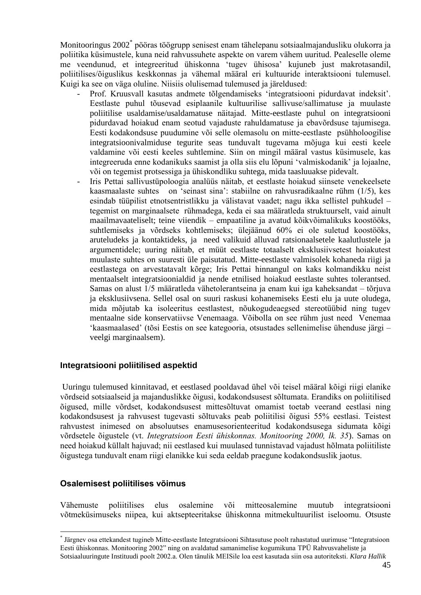Monitooringus 2002\* pööras töögrupp senisest enam tähelepanu sotsiaalmajandusliku olukorra ja poliitika küsimustele, kuna neid rahvussuhete aspekte on varem vähem uuritud. Pealeselle oleme me veendunud, et integreeritud ühiskonna 'tugev ühisosa' kujuneb just makrotasandil, poliitilises/õiguslikus keskkonnas ja vähemal määral eri kultuuride interaktsiooni tulemusel. Kuigi ka see on väga oluline. Niisiis olulisemad tulemused ja järeldused:

- Prof. Kruusvall kasutas andmete tõlgendamiseks 'integratsiooni pidurdavat indeksit'. Eestlaste puhul tõusevad esiplaanile kultuurilise sallivuse/sallimatuse ja muulaste poliitilise usaldamise/usaldamatuse näitajad. Mitte-eestlaste puhul on integratsiooni pidurdavad hoiakud enam seotud vajaduste rahuldamatuse ja ebavõrdsuse tajumisega. Eesti kodakondsuse puudumine või selle olemasolu on mitte-eestlaste psühholoogilise integratsioonivalmiduse tegurite seas tunduvalt tugevama mõjuga kui eesti keele valdamine või eesti keeles suhtlemine. Siin on mingil määral vastus küsimusele, kas integreeruda enne kodanikuks saamist ja olla siis elu lõpuni 'valmiskodanik' ja lojaalne, või on tegemist protsessiga ja ühiskondliku suhtega, mida taasluuakse pidevalt.
- Iris Pettai sallivustüpoloogia analüüs näitab, et eestlaste hoiakud siinsete venekeelsete kaasmaalaste suhtes on 'seinast sina': stabiilne on rahvusradikaalne rühm (1/5), kes esindab tüüpilist etnotsentristlikku ja välistavat vaadet; nagu ikka sellistel puhkudel – tegemist on marginaalsete rühmadega, keda ei saa määratleda struktuurselt, vaid ainult maailmavaateliselt; teine viiendik – empaatiline ja avatud kõikvõimalikuks koostööks, suhtlemiseks ja võrdseks kohtlemiseks; ülejäänud 60% ei ole suletud koostööks, aruteludeks ja kontaktideks, ja need valikuid alluvad ratsionaalsetele kaalutlustele ja argumentidele; uuring näitab, et müüt eestlaste totaalselt eksklusiivsetest hoiakutest muulaste suhtes on suuresti üle paisutatud. Mitte-eestlaste valmisolek kohaneda riigi ja eestlastega on arvestatavalt kõrge; Iris Pettai hinnangul on kaks kolmandikku neist mentaalselt integratsioonialdid ja nende etnilised hoiakud eestlaste suhtes tolerantsed. Samas on alust 1/5 määratleda vähetolerantseina ja enam kui iga kaheksandat – tõrjuva ja eksklusiivsena. Sellel osal on suuri raskusi kohanemiseks Eesti elu ja uute oludega, mida mõjutab ka isoleeritus eestlastest, nõukogudeaegsed stereotüübid ning tugev mentaalne side konservatiivse Venemaaga. Võibolla on see rühm just need Venemaa 'kaasmaalased' (tõsi Eestis on see kategooria, otsustades sellenimelise ühenduse järgi – veelgi marginaalsem).

#### **Integratsiooni poliitilised aspektid**

Uuringu tulemused kinnitavad, et eestlased pooldavad ühel või teisel määral kõigi riigi elanike võrdseid sotsiaalseid ja majanduslikke õigusi, kodakondsusest sõltumata. Erandiks on poliitilised õigused, mille võrdset, kodakondsusest mittesõltuvat omamist toetab veerand eestlasi ning kodakondsusest ja rahvusest tugevasti sõltuvaks peab poliitilisi õigusi 55% eestlasi. Teistest rahvustest inimesed on absoluutses enamusesorienteeritud kodakondsusega sidumata kõigi võrdsetele õigustele (vt. *Integratsioon Eesti ühiskonnas. Monitooring 2000, lk. 35*). Samas on need hoiakud küllalt hajuvad; nii eestlased kui muulased tunnistavad vajadust hõlmata poliitiliste õigustega tunduvalt enam riigi elanikke kui seda eeldab praegune kodakondsuslik jaotus.

#### **Osalemisest poliitilises võimus**

<u>.</u>

Vähemuste poliitilises elus osalemine või mitteosalemine muutub integratsiooni võtmeküsimuseks niipea, kui aktsepteeritakse ühiskonna mitmekultuurilist iseloomu. Otsuste

<sup>\*</sup> Järgnev osa ettekandest tugineb Mitte-eestlaste Integratsiooni Sihtasutuse poolt rahastatud uurimuse "Integratsioon Eesti ühiskonnas. Monitooring 2002" ning on avaldatud samanimelise kogumikuna TPÜ Rahvusvaheliste ja Sotsiaaluuringute Instituudi poolt 2002.a. Olen tänulik MEISile loa eest kasutada siin osa autoriteksti. *Klara Hallik*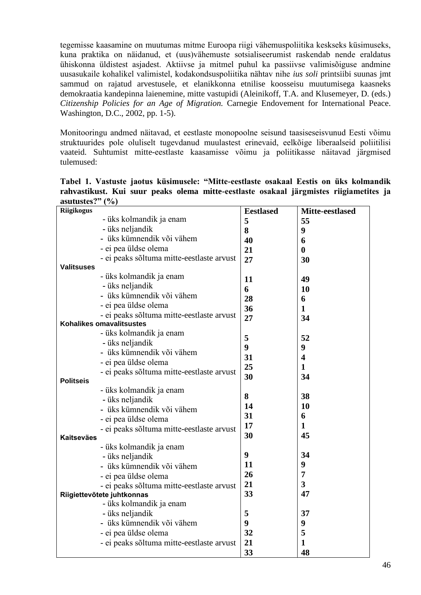tegemisse kaasamine on muutumas mitme Euroopa riigi vähemuspoliitika keskseks küsimuseks, kuna praktika on näidanud, et (uus)vähemuste sotsialiseerumist raskendab nende eraldatus ühiskonna üldistest asjadest. Aktiivse ja mitmel puhul ka passiivse valimisõiguse andmine uusasukaile kohalikel valimistel, kodakondsuspoliitika nähtav nihe *ius soli* printsiibi suunas jmt sammud on rajatud arvestusele, et elanikkonna etnilise koosseisu muutumisega kaasneks demokraatia kandepinna laienemine, mitte vastupidi (Aleinikoff, T.A. and Klusemeyer, D. (eds.) *Citizenship Policies for an Age of Migration.* Carnegie Endovement for International Peace. Washington, D.C., 2002, pp. 1-5).

Monitooringu andmed näitavad, et eestlaste monopoolne seisund taasiseseisvunud Eesti võimu struktuurides pole oluliselt tugevdanud muulastest erinevaid, eelkõige liberaalseid poliitilisi vaateid. Suhtumist mitte-eestlaste kaasamisse võimu ja poliitikasse näitavad järgmised tulemused:

**Tabel 1. Vastuste jaotus küsimusele: "Mitte-eestlaste osakaal Eestis on üks kolmandik rahvastikust. Kui suur peaks olema mitte-eestlaste osakaal järgmistes riigiametites ja asutustes?" (%)**

| <b>Riigikogus</b>                                          |                 |
|------------------------------------------------------------|-----------------|
| <b>Eestlased</b>                                           | Mitte-eestlased |
| - üks kolmandik ja enam<br>5<br>55                         |                 |
| - üks neljandik<br>8<br>9                                  |                 |
| - üks kümnendik või vähem<br>40<br>6                       |                 |
| - ei pea üldse olema<br>21<br>$\boldsymbol{0}$             |                 |
| - ei peaks sõltuma mitte-eestlaste arvust<br>27<br>30      |                 |
| Valitsuses                                                 |                 |
| - üks kolmandik ja enam<br>11<br>49                        |                 |
| - üks neljandik<br>6<br>10                                 |                 |
| - üks kümnendik või vähem<br>28<br>6                       |                 |
| - ei pea üldse olema<br>36<br>$\mathbf{1}$                 |                 |
| - ei peaks sõltuma mitte-eestlaste arvust<br>27<br>34      |                 |
| Kohalikes omavalitsustes                                   |                 |
| - üks kolmandik ja enam<br>5<br>52                         |                 |
| - üks neljandik<br>9<br>9                                  |                 |
| - üks kümnendik või vähem<br>31<br>$\overline{\mathbf{4}}$ |                 |
| - ei pea üldse olema<br>25                                 |                 |
| 1<br>- ei peaks sõltuma mitte-eestlaste arvust<br>30       |                 |
| 34<br><b>Politseis</b>                                     |                 |
| - üks kolmandik ja enam                                    |                 |
| 8<br>38<br>- üks neljandik                                 |                 |
| 10<br>14<br>- üks kümnendik või vähem                      |                 |
| 31<br>6<br>- ei pea üldse olema                            |                 |
| 17<br>1<br>- ei peaks sõltuma mitte-eestlaste arvust       |                 |
| 30<br>45<br><b>Kaitseväes</b>                              |                 |
| - üks kolmandik ja enam                                    |                 |
| 9<br>34<br>- üks neljandik                                 |                 |
| 11<br>9<br>- üks kümnendik või vähem                       |                 |
| 26<br>7<br>- ei pea üldse olema                            |                 |
| 21<br>3<br>- ei peaks sõltuma mitte-eestlaste arvust       |                 |
| 33<br>47<br>Riigiettevõtete juhtkonnas                     |                 |
| - üks kolmandik ja enam                                    |                 |
| 5<br>- üks neljandik<br>37                                 |                 |
| - üks kümnendik või vähem<br>9<br>9                        |                 |
| 32<br>5<br>- ei pea üldse olema                            |                 |
| 21<br>- ei peaks sõltuma mitte-eestlaste arvust<br>1       |                 |
| 33<br>48                                                   |                 |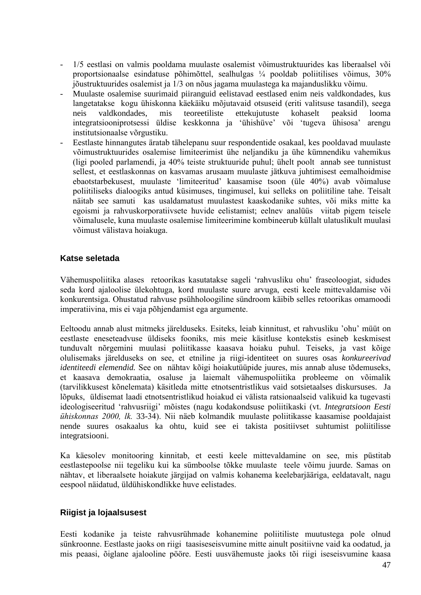- 1/5 eestlasi on valmis pooldama muulaste osalemist võimustruktuurides kas liberaalsel või proportsionaalse esindatuse põhimõttel, sealhulgas ¼ pooldab poliitilises võimus, 30% jõustruktuurides osalemist ja 1/3 on nõus jagama muulastega ka majanduslikku võimu.
- Muulaste osalemise suurimaid piiranguid eelistavad eestlased enim neis valdkondades, kus langetatakse kogu ühiskonna käekäiku mõjutavaid otsuseid (eriti valitsuse tasandil), seega neis valdkondades, mis teoreetiliste ettekujutuste kohaselt peaksid looma integratsiooniprotsessi üldise keskkonna ja 'ühishüve' või 'tugeva ühisosa' arengu institutsionaalse võrgustiku.
- Eestlaste hinnangutes äratab tähelepanu suur respondentide osakaal, kes pooldavad muulaste võimustruktuurides osalemise limiteerimist ühe neljandiku ja ühe kümnendiku vahemikus (ligi pooled parlamendi, ja 40% teiste struktuuride puhul; ühelt poolt annab see tunnistust sellest, et eestlaskonnas on kasvamas arusaam muulaste jätkuva juhtimisest eemalhoidmise ebaotstarbekusest, muulaste 'limiteeritud' kaasamise tsoon (üle 40%) avab võimaluse poliitiliseks dialoogiks antud küsimuses, tingimusel, kui selleks on poliitiline tahe. Teisalt näitab see samuti kas usaldamatust muulastest kaaskodanike suhtes, või miks mitte ka egoismi ja rahvuskorporatiivsete huvide eelistamist; eelnev analüüs viitab pigem teisele võimalusele, kuna muulaste osalemise limiteerimine kombineerub küllalt ulatuslikult muulasi võimust välistava hoiakuga.

### **Katse seletada**

Vähemuspoliitika alases retoorikas kasutatakse sageli 'rahvusliku ohu' fraseoloogiat, sidudes seda kord ajaloolise ülekohtuga, kord muulaste suure arvuga, eesti keele mittevaldamise või konkurentsiga. Ohustatud rahvuse psühholoogiline sündroom käibib selles retoorikas omamoodi imperatiivina, mis ei vaja põhjendamist ega argumente.

Eeltoodu annab alust mitmeks järelduseks. Esiteks, leiab kinnitust, et rahvusliku 'ohu' müüt on eestlaste eneseteadvuse üldiseks fooniks, mis meie käsitluse kontekstis esineb keskmisest tunduvalt nõrgemini muulasi poliitikasse kaasava hoiaku puhul. Teiseks, ja vast kõige olulisemaks järelduseks on see, et etniline ja riigi-identiteet on suures osas *konkureerivad identiteedi elemendid.* See on nähtav kõigi hoiakutüüpide juures, mis annab aluse tõdemuseks, et kaasava demokraatia, osaluse ja laiemalt vähemuspoliitika probleeme on võimalik (tarvilikkusest kõnelemata) käsitleda mitte etnotsentristlikus vaid sotsietaalses diskursuses. Ja lõpuks, üldisemat laadi etnotsentristlikud hoiakud ei välista ratsionaalseid valikuid ka tugevasti ideologiseeritud 'rahvusriigi' mõistes (nagu kodakondsuse poliitikaski (vt. *Integratsioon Eesti ühiskonnas 2000, lk.* 33-34). Nii näeb kolmandik muulaste poliitikasse kaasamise pooldajaist nende suures osakaalus ka ohtu, kuid see ei takista positiivset suhtumist poliitilisse integratsiooni.

Ka käesolev monitooring kinnitab, et eesti keele mittevaldamine on see, mis püstitab eestlastepoolse nii tegeliku kui ka sümboolse tõkke muulaste teele võimu juurde. Samas on nähtav, et liberaalsete hoiakute järgijad on valmis kohanema keelebarjääriga, eeldatavalt, nagu eespool näidatud, üldühiskondlikke huve eelistades.

#### **Riigist ja lojaalsusest**

Eesti kodanike ja teiste rahvusrühmade kohanemine poliitiliste muutustega pole olnud sünkroonne. Eestlaste jaoks on riigi taasiseseisvumine mitte ainult positiivne vaid ka oodatud, ja mis peaasi, õiglane ajalooline pööre. Eesti uusvähemuste jaoks tõi riigi iseseisvumine kaasa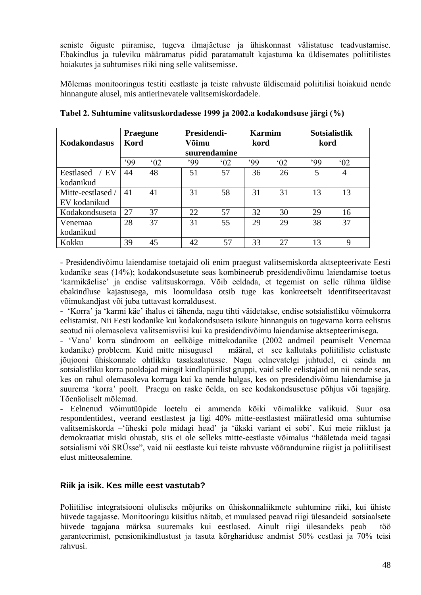seniste õiguste piiramise, tugeva ilmajäetuse ja ühiskonnast välistatuse teadvustamise. Ebakindlus ja tuleviku määramatus pidid paratamatult kajastuma ka üldisemates poliitilistes hoiakutes ja suhtumises riiki ning selle valitsemisse.

Mõlemas monitooringus testiti eestlaste ja teiste rahvuste üldisemaid poliitilisi hoiakuid nende hinnangute alusel, mis antierinevatele valitsemiskordadele.

| Kodakondasus      | <b>Praegune</b><br>Kord |              | Presidendi-<br>Võimu |              | <b>Karmim</b><br>kord |               | kord | <b>Sotsialistlik</b> |
|-------------------|-------------------------|--------------|----------------------|--------------|-----------------------|---------------|------|----------------------|
|                   |                         |              |                      | suurendamine |                       |               |      |                      |
|                   | .99                     | $^{\circ}02$ | .99                  | $^{\circ}02$ | .99                   | $^{\circ}$ 02 | .99  | $^{\circ}02$         |
| Eestlased<br>′ EV | 44                      | 48           | 51                   | 57           | 36                    | 26            | 5    | 4                    |
| kodanikud         |                         |              |                      |              |                       |               |      |                      |
| Mitte-eestlased / | 41                      | 41           | 31                   | 58           | 31                    | 31            | 13   | 13                   |
| EV kodanikud      |                         |              |                      |              |                       |               |      |                      |
| Kodakondsuseta    | 27                      | 37           | 22                   | 57           | 32                    | 30            | 29   | 16                   |
| Venemaa           | 28                      | 37           | 31                   | 55           | 29                    | 29            | 38   | 37                   |
| kodanikud         |                         |              |                      |              |                       |               |      |                      |
| Kokku             | 39                      | 45           | 42                   | 57           | 33                    | 27            | 13   | 9                    |

**Tabel 2. Suhtumine valitsuskordadesse 1999 ja 2002.a kodakondsuse järgi (%)**

- Presidendivõimu laiendamise toetajaid oli enim praegust valitsemiskorda aktsepteerivate Eesti kodanike seas (14%); kodakondsusetute seas kombineerub presidendivõimu laiendamise toetus 'karmikäelise' ja endise valitsuskorraga. Võib eeldada, et tegemist on selle rühma üldise ebakindluse kajastusega, mis loomuldasa otsib tuge kas konkreetselt identifitseeritavast võimukandjast või juba tuttavast korraldusest.

- 'Korra' ja 'karmi käe' ihalus ei tähenda, nagu tihti väidetakse, endise sotsialistliku võimukorra eelistamist. Nii Eesti kodanike kui kodakondsuseta isikute hinnanguis on tugevama korra eelistus seotud nii olemasoleva valitsemisviisi kui ka presidendivõimu laiendamise aktsepteerimisega.

- 'Vana' korra sündroom on eelkõige mittekodanike (2002 andmeil peamiselt Venemaa kodanike) probleem. Kuid mitte niisugusel määral, et see kallutaks poliitiliste eelistuste jõujooni ühiskonnale ohtlikku tasakaalutusse. Nagu eelnevatelgi juhtudel, ei esinda nn sotsialistliku korra pooldajad mingit kindlapiirilist gruppi, vaid selle eelistajaid on nii nende seas, kes on rahul olemasoleva korraga kui ka nende hulgas, kes on presidendivõimu laiendamise ja suurema 'korra' poolt. Praegu on raske öelda, on see kodakondsusetuse põhjus või tagajärg. Tõenäoliselt mõlemad.

- Eelnenud võimutüüpide loetelu ei ammenda kõiki võimalikke valikuid. Suur osa respondentidest, veerand eestlastest ja ligi 40% mitte-eestlastest määratlesid oma suhtumise valitsemiskorda –'üheski pole midagi head' ja 'ükski variant ei sobi'. Kui meie riiklust ja demokraatiat miski ohustab, siis ei ole selleks mitte-eestlaste võimalus "hääletada meid tagasi sotsialismi või SRÜsse", vaid nii eestlaste kui teiste rahvuste võõrandumine riigist ja poliitilisest elust mitteosalemine.

#### **Riik ja isik. Kes mille eest vastutab?**

Poliitilise integratsiooni oluliseks mõjuriks on ühiskonnaliikmete suhtumine riiki, kui ühiste hüvede tagajasse. Monitooringu küsitlus näitab, et muulased peavad riigi ülesandeid sotsiaalsete hüvede tagajana märksa suuremaks kui eestlased. Ainult riigi ülesandeks peab töö garanteerimist, pensionikindlustust ja tasuta kõrghariduse andmist 50% eestlasi ja 70% teisi rahvusi.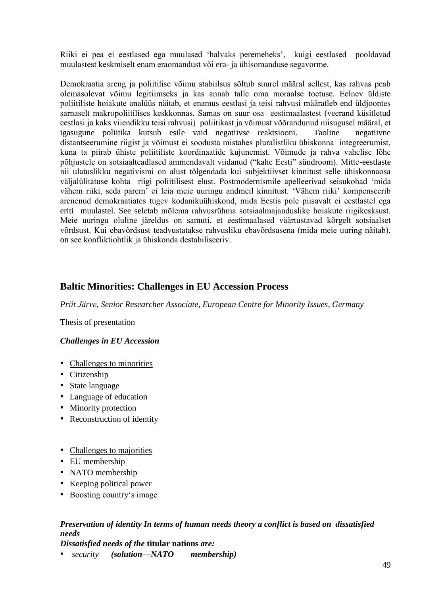Riiki ei pea ei eestlased ega muulased 'halvaks peremeheks', kuigi eestlased pooldavad muulastest keskmiselt enam eraomandust või era- ja ühisomanduse segavorme.

Demokraatia areng ja poliitilise võimu stabiilsus sõltub suurel määral sellest, kas rahvas peab olemasolevat võimu legitiimseks ja kas annab talle oma moraalse toetuse. Eelnev üldiste poliitiliste hoiakute analüüs näitab, et enamus eestlasi ja teisi rahvusi määratleb end üldjoontes sarnaselt makropoliitilises keskkonnas. Samas on suur osa eestimaalastest (veerand küsitletud eestlasi ja kaks viiendikku teisi rahvusi) poliitikast ja võimust võõrandunud niisugusel määral, et igasugune poliitika kutsub esile vaid negatiivse reaktsiooni. Taoline negatiivne distantseerumine riigist ja võimust ei soodusta mistahes pluralistliku ühiskonna integreerumist, kuna ta piirab ühiste poliitiliste koordinaatide kujunemist. Võimude ja rahva vahelise lõhe põhjustele on sotsiaalteadlased ammendavalt viidanud ("kahe Eesti" sündroom). Mitte-eestlaste nii ulatuslikku negativismi on alust tõlgendada kui subjektiivset kinnitust selle ühiskonnaosa väljalülitatuse kohta riigi poliitilisest elust. Postmodernismile apelleerivad seisukohad 'mida vähem riiki, seda parem' ei leia meie uuringu andmeil kinnitust. 'Vähem riiki' kompenseerib arenenud demokraatiates tugev kodanikuühiskond, mida Eestis pole piisavalt ei eestlastel ega eriti muulastel. See seletab mõlema rahvusrühma sotsiaalmajanduslike hoiakute riigikesksust. Meie uuringu oluline järeldus on samuti, et eestimaalased väärtustavad kõrgelt sotsiaalset võrdsust. Kui ebavõrdsust teadvustatakse rahvusliku ebavõrdsusena (mida meie uuring näitab), on see konfliktiohtlik ja ühiskonda destabiliseeriv.

## **Baltic Minorities: Challenges in EU Accession Process**

*Priit Järve, Senior Researcher Associate, European Centre for Minority Issues, Germany*

Thesis of presentation

#### *Challenges in EU Accession*

- Challenges to minorities
- Citizenship
- State language
- Language of education
- Minority protection
- Reconstruction of identity
- Challenges to majorities
- EU membership
- NATO membership
- Keeping political power
- Boosting country's image

# *Preservation of identity In terms of human needs theory a conflict is based on dissatisfied needs*

*Dissatisfied needs of the* **titular nations** *are:* 

• *security (solution—NATO membership)*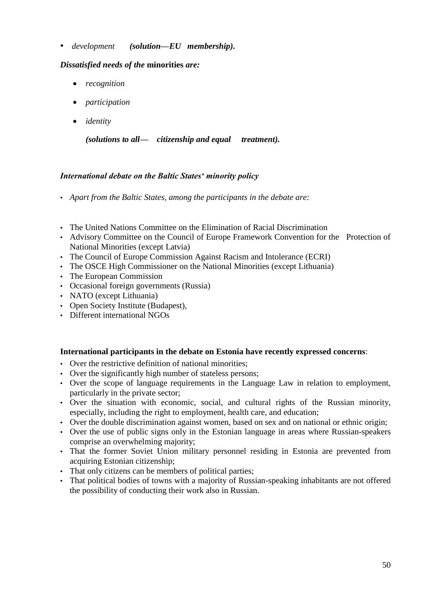• *development (solution—EU membership).* 

### *Dissatisfied needs of the* **minorities** *are:*

- *recognition*
- *participation*
- *identity*

*(solutions to all— citizenship and equal treatment).* 

### *International debate on the Baltic States' minority policy*

- *Apart from the Baltic States, among the participants in the debate are:*
- The United Nations Committee on the Elimination of Racial Discrimination
- Advisory Committee on the Council of Europe Framework Convention for the Protection of National Minorities (except Latvia)
- The Council of Europe Commission Against Racism and Intolerance (ECRI)
- The OSCE High Commissioner on the National Minorities (except Lithuania)
- The European Commission
- Occasional foreign governments (Russia)
- NATO (except Lithuania)
- Open Society Institute (Budapest),
- Different international NGOs

#### **International participants in the debate on Estonia have recently expressed concerns**:

- Over the restrictive definition of national minorities;
- Over the significantly high number of stateless persons;
- Over the scope of language requirements in the Language Law in relation to employment, particularly in the private sector;
- Over the situation with economic, social, and cultural rights of the Russian minority, especially, including the right to employment, health care, and education;
- Over the double discrimination against women, based on sex and on national or ethnic origin;
- Over the use of public signs only in the Estonian language in areas where Russian-speakers comprise an overwhelming majority;
- That the former Soviet Union military personnel residing in Estonia are prevented from acquiring Estonian citizenship;
- That only citizens can be members of political parties;
- That political bodies of towns with a majority of Russian-speaking inhabitants are not offered the possibility of conducting their work also in Russian.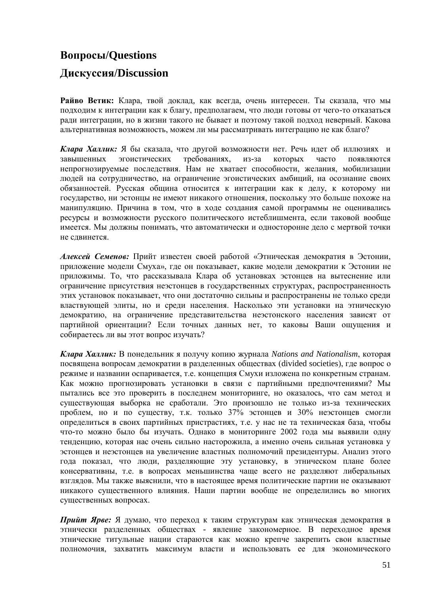# **Вопросы/Questions**

# **Дискуссия/Discussion**

**Райво Ветик:** Клара, твой доклад, как всегда, очень интересен. Ты сказала, что мы подходим к интеграции как к благу, предполагаем, что люди готовы от чего-то отказаться ради интеграции, но в жизни такого не бывает и поэтому такой подход неверный. Какова альтернативная возможность, можем ли мы рассматривать интеграцию не как благо?

*Клара Халлик:* Я бы сказала, что другой возможности нет. Речь идет об иллюзиях и завышенных эгоистических требованиях, из-за которых часто появляются непрогнозируемые последствия. Нам не хватает способности, желания, мобилизации людей на сотрудничество, на ограничение эгоистических амбиций, на осознание своих обязанностей. Русская община относится к интеграции как к делу, к которому ни государство, ни эстонцы не имеют никакого отношения, поскольку это больше похоже на манипуляцию. Причина в том, что в ходе создания самой программы не оценивались ресурсы и возможности русского политического истеблишмента, если таковой вообще имеется. Мы должны понимать, что автоматически и односторонне дело с мертвой точки не сдвинется.

*Алексей Семенов:* Прийт известен своей работой «Этническая демократия в Эстонии, приложение модели Смуха», где он показывает, какие модели демократии к Эстонии не приложимы. То, что рассказывала Клара об установках эстонцев на вытеснение или ограничение присутствия неэстонцев в государственных структурах, распространенность этих установок показывает, что они достаточно сильны и распространены не только среди властвующей элиты, но и среди населения. Насколько эти установки на этническую демократию, на ограничение представительства неэстонского населения зависят от партийной ориентации? Если точных данных нет, то каковы Ваши ощущения и собираетесь ли вы этот вопрос изучать?

*Клара Халлик:* В понедельник я получу копию журнала *Nations and Nationalism*, которая посвящена вопросам демократии в разделенных обществах (divided societies), где вопрос о режиме и названии оспаривается, т.е. концепция Смухи изложена по конкретным странам. Как можно прогнозировать установки в связи с партийными предпочтениями? Мы пытались все это проверить в последнем мониторинге, но оказалось, что сам метод и существующая выборка не сработали. Это произошло не только из-за технических проблем, но и по существу, т.к. только 37% эстонцев и 30% неэстонцев смогли определиться в своих партийных пристрастиях, т.е. у нас не та техническая база, чтобы что-то можно было бы изучать. Однако в мониторинге 2002 года мы выявили одну тенденцию, которая нас очень сильно насторожила, а именно очень сильная установка у эстонцев и неэстонцев на увеличение властных полномочий президентуры. Анализ этого года показал, что люди, разделяющие эту установку, в этническом плане более консервативны, т.е. в вопросах меньшинства чаще всего не разделяют либеральных взглядов. Мы также выяснили, что в настоящее время политические партии не оказывают никакого существенного влияния. Наши партии вообще не определились во многих существенных вопросах.

*Прийт Ярве:* Я думаю, что переход к таким структурам как этническая демократия в этнически разделенных обществах - явление закономерное. В переходное время этнические титульные нации стараются как можно крепче закрепить свои властные полномочия, захватить максимум власти и использовать ее для экономического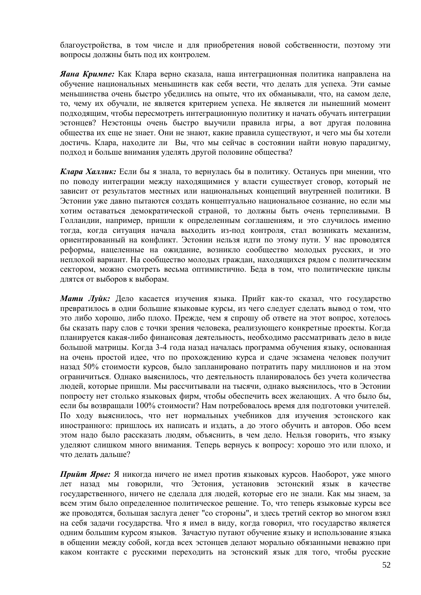благоустройства, в том числе и для приобретения новой собственности, поэтому эти вопросы должны быть под их контролем.

*Яана Кримпе:* Как Клара верно сказала, наша интеграционная политика направлена на обучение национальных меньшинств как себя вести, что делать для успеха. Эти самые меньшинства очень быстро убедились на опыте, что их обманывали, что, на самом деле, то, чему их обучали, не является критерием успеха. Не является ли нынешний момент подходящим, чтобы пересмотреть интеграционную политику и начать обучать интеграции эстонцев? Неэстонцы очень быстро выучили правила игры, а вот другая половина общества их еще не знает. Они не знают, какие правила существуют, и чего мы бы хотели достичь. Клара, находите ли Вы, что мы сейчас в состоянии найти новую парадигму, подход и больше внимания уделять другой половине общества?

*Клара Халлик:* Если бы я знала, то вернулась бы в политику. Останусь при мнении, что по поводу интеграции между находящимися у власти существует сговор, который не зависит от результатов местных или национальных концепций внутренней политики. В Эстонии уже давно пытаются создать концептуально национальное сознание, но если мы хотим оставаться демократической страной, то должны быть очень терпеливыми. В Голландии, например, пришли к определенным соглашениям, и это случилось именно тогда, когда ситуация начала выходить из-под контроля, стал возникать механизм, ориентированный на конфликт. Эстонии нельзя идти по этому пути. У нас проводятся реформы, нацеленные на ожидание, возникло сообщество молодых русских, и это неплохой вариант. На сообщество молодых граждан, находящихся рядом с политическим сектором, можно смотреть весьма оптимистично. Беда в том, что политические циклы длятся от выборов к выборам.

*Мати Луйк:* Дело касается изучения языка. Прийт как-то сказал, что государство превратилось в одни большие языковые курсы, из чего следует сделать вывод о том, что это либо хорошо, либо плохо. Прежде, чем я спрошу об ответе на этот вопрос, хотелось бы сказать пару слов с точки зрения человека, реализующего конкретные проекты. Когда планируется какая-либо финансовая деятельность, необходимо рассматривать дело в виде большой матрицы. Когда 3-4 года назад началась программа обучения языку, основанная на очень простой идее, что по прохождению курса и сдаче экзамена человек получит назад 50% стоимости курсов, было запланировано потратить пару миллионов и на этом ограничиться. Однако выяснилось, что деятельность планировалось без учета количества людей, которые пришли. Мы рассчитывали на тысячи, однако выяснилось, что в Эстонии попросту нет столько языковых фирм, чтобы обеспечить всех желающих. А что было бы, если бы возвращали 100% стоимости? Нам потребовалось время для подготовки учителей. По ходу выяснилось, что нет нормальных учебников для изучения эстонского как иностранного: пришлось их написать и издать, а до этого обучить и авторов. Обо всем этом надо было рассказать людям, объяснить, в чем дело. Нельзя говорить, что языку уделяют слишком много внимания. Теперь вернусь к вопросу: хорошо это или плохо, и что делать дальше?

*Прийт Ярве:* Я никогда ничего не имел против языковых курсов. Наоборот, уже много лет назад мы говорили, что Эстония, установив эстонский язык в качестве государственного, ничего не сделала для людей, которые его не знали. Как мы знаем, за всем этим было определенное политическое решение. То, что теперь языковые курсы все же проводятся, большая заслуга денег "со стороны", и здесь третий сектор во многом взял на себя задачи государства. Что я имел в виду, когда говорил, что государство является одним большим курсом языков. Зачастую путают обучение языку и использование языка в общении между собой, когда всех эстонцев делают морально обязанными неважно при каком контакте с русскими переходить на эстонский язык для того, чтобы русские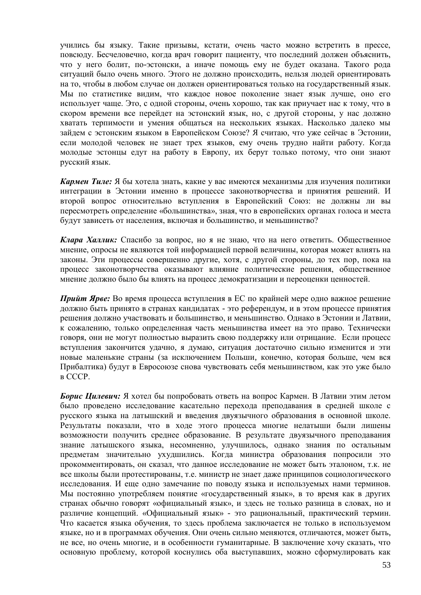учились бы языку. Такие призывы, кстати, очень часто можно встретить в прессе, повсюду. Бесчеловечно, когда врач говорит пациенту, что последний должен объяснить, что у него болит, по-эстонски, а иначе помощь ему не будет оказана. Такого рода ситуаций было очень много. Этого не должно происходить, нельзя людей ориентировать на то, чтобы в любом случае он должен ориентироваться только на государственный язык. Мы по статистике видим, что каждое новое поколение знает язык лучше, оно его использует чаще. Это, с одной стороны, очень хорошо, так как приучает нас к тому, что в скором времени все перейдет на эстонский язык, но, с другой стороны, у нас должно хватать терпимости и умения общаться на нескольких языках. Насколько далеко мы зайдем с эстонским языком в Европейском Союзе? Я считаю, что уже сейчас в Эстонии, если молодой человек не знает трех языков, ему очень трудно найти работу. Когда молодые эстонцы едут на работу в Европу, их берут только потому, что они знают русский язык.

*Кармен Тиле:* Я бы хотела знать, какие у вас имеются механизмы для изучения политики интеграции в Эстонии именно в процессе законотворчества и принятия решений. И второй вопрос относительно вступления в Европейский Союз: не должны ли вы пересмотреть определение «большинства», зная, что в европейских органах голоса и места будут зависеть от населения, включая и большинство, и меньшинство?

*Клара Халлик:* Спасибо за вопрос, но я не знаю, что на него ответить. Общественное мнение, опросы не являются той информацией первой величины, которая может влиять на законы. Эти процессы совершенно другие, хотя, с другой стороны, до тех пор, пока на процесс законотворчества оказывают влияние политические решения, общественное мнение должно было бы влиять на процесс демократизации и переоценки ценностей.

*Прийт Ярве:* Во время процесса вступления в ЕС по крайней мере одно важное решение должно быть принято в странах кандидатах - это референдум, и в этом процессе принятия решения должно участвовать и большинство, и меньшинство. Однако в Эстонии и Латвии, к сожалению, только определенная часть меньшинства имеет на это право. Технически говоря, они не могут полностью выразить свою поддержку или отрицание. Если процесс вступления закончится удачно, я думаю, ситуация достаточно сильно изменится и эти новые маленькие страны (за исключением Польши, конечно, которая больше, чем вся Прибалтика) будут в Евросоюзе снова чувствовать себя меньшинством, как это уже было в СССР.

*Борис Цилевич:* Я хотел бы попробовать ответь на вопрос Кармен. В Латвии этим летом было проведено исследование касательно перехода преподавания в средней школе с русского языка на латышский и введения двуязычного образования в основной школе. Результаты показали, что в ходе этого процесса многие нелатыши были лишены возможности получить среднее образование. В результате двуязычного преподавания знание латышского языка, несомненно, улучшилось, однако знания по остальным предметам значительно ухудшились. Когда министра образования попросили это прокомментировать, он сказал, что данное исследование не может быть эталоном, т.к. не все школы были протестированы, т.е. министр не знает даже принципов социологического исследования. И еще одно замечание по поводу языка и используемых нами терминов. Мы постоянно употребляем понятие «государственный язык», в то время как в других странах обычно говорят «официальный язык», и здесь не только разница в словах, но и различие концепций. «Официальный язык» - это рациональный, практический термин. Что касается языка обучения, то здесь проблема заключается не только в используемом языке, но и в программах обучения. Они очень сильно меняются, отличаются, может быть, не все, но очень многие, и в особенности гуманитарные. В заключение хочу сказать, что основную проблему, которой коснулись оба выступавших, можно сформулировать как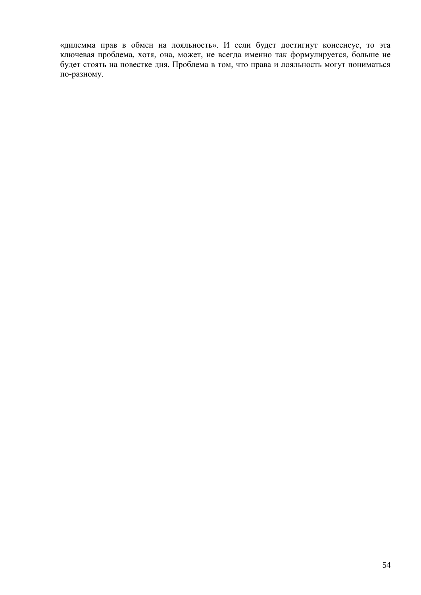«дилемма прав в обмен на лояльность». И если будет достигнут консенсус, то эта ключевая проблема, хотя, она, может, не всегда именно так формулируется, больше не будет стоять на повестке дня. Проблема в том, что права и лояльность могут пониматься по-разному.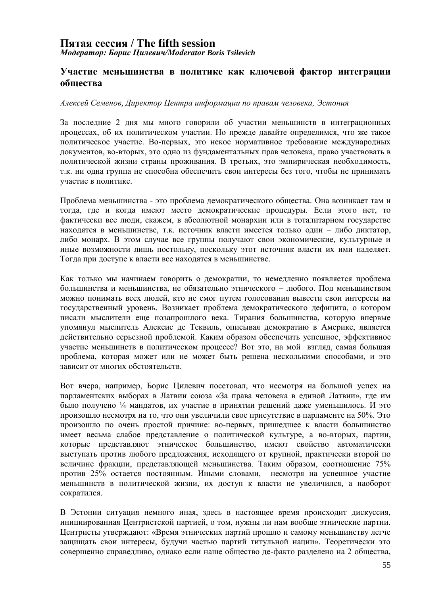### **Пятая сессия / The fifth session**  *Модератор: Борис Цилевич/Moderator Boris Tsilevich*

#### **Участие меньшинства в политике как ключевой фактор интеграции общества**

#### *Алексей Семенов, Директор Центра информации по правам человека, Эстония*

За последние 2 дня мы много говорили об участии меньшинств в интеграционных процессах, об их политическом участии. Но прежде давайте определимся, что же такое политическое участие. Во-первых, это некое нормативное требование международных документов, во-вторых, это одно из фундаментальных прав человека, право участвовать в политической жизни страны проживания. В третьих, это эмпирическая необходимость, т.к. ни одна группа не способна обеспечить свои интересы без того, чтобы не принимать участие в политике.

Проблема меньшинства - это проблема демократического общества. Она возникает там и тогда, где и когда имеют место демократические процедуры. Если этого нет, то фактически все люди, скажем, в абсолютной монархии или в тоталитарном государстве находятся в меньшинстве, т.к. источник власти имеется только один – либо диктатор, либо монарх. В этом случае все группы получают свои экономические, культурные и иные возможности лишь постольку, поскольку этот источник власти их ими наделяет. Тогда при доступе к власти все находятся в меньшинстве.

Как только мы начинаем говорить о демократии, то немедленно появляется проблема большинства и меньшинства, не обязательно этнического – любого. Под меньшинством можно понимать всех людей, кто не смог путем голосования вывести свои интересы на государственный уровень. Возникает проблема демократического дефицита, о котором писали мыслители еще позапрошлого века. Тирания большинства, которую впервые упомянул мыслитель Алексис де Теквиль, описывая демократию в Америке, является действительно серьезной проблемой. Каким образом обеспечить успешное, эффективное участие меньшинств в политическом процессе? Вот это, на мой взгляд, самая большая проблема, которая может или не может быть решена несколькими способами, и это зависит от многих обстоятельств.

Вот вчера, например, Борис Цилевич посетовал, что несмотря на большой успех на парламентских выборах в Латвии союза «За права человека в единой Латвии», где им было получено ¼ мандатов, их участие в принятии решений даже уменьшилось. И это произошло несмотря на то, что они увеличили свое присутствие в парламенте на 50%. Это произошло по очень простой причине: во-первых, пришедшее к власти большинство имеет весьма слабое представление о политической культуре, а во-вторых, партии, которые представляют этническое большинство, имеют свойство автоматически выступать против любого предложения, исходящего от крупной, практически второй по величине фракции, представляющей меньшинства. Таким образом, соотношение 75% против 25% остается постоянным. Иными словами, несмотря на успешное участие меньшинств в политической жизни, их доступ к власти не увеличился, а наоборот сократился.

В Эстонии ситуация немного иная, здесь в настоящее время происходит дискуссия, инициированная Центристской партией, о том, нужны ли нам вообще этнические партии. Центристы утверждают: «Время этнических партий прошло и самому меньшинству легче защищать свои интересы, будучи частью партий титульной нации». Теоретически это совершенно справедливо, однако если наше общество де-факто разделено на 2 общества,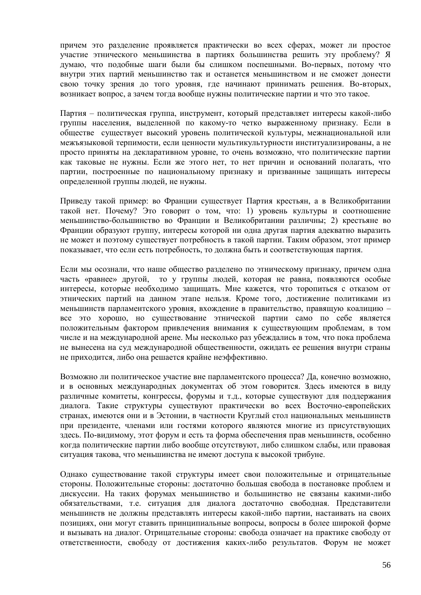причем это разделение проявляется практически во всех сферах, может ли простое участие этнического меньшинства в партиях большинства решить эту проблему? Я думаю, что подобные шаги были бы слишком поспешными. Во-первых, потому что внутри этих партий меньшинство так и останется меньшинством и не сможет донести свою точку зрения до того уровня, где начинают принимать решения. Во-вторых, возникает вопрос, а зачем тогда вообще нужны политические партии и что это такое.

Партия – политическая группа, инструмент, который представляет интересы какой-либо группы населения, выделенной по какому-то четко выраженному признаку. Если в обществе существует высокий уровень политической культуры, межнациональной или межъязыковой терпимости, если ценности мультикультурности институализированы, а не просто приняты на декларативном уровне, то очень возможно, что политические партии как таковые не нужны. Если же этого нет, то нет причин и оснований полагать, что партии, построенные по национальному признаку и призванные защищать интересы определенной группы людей, не нужны.

Приведу такой пример: во Франции существует Партия крестьян, а в Великобритании такой нет. Почему? Это говорит о том, что: 1) уровень культуры и соотношение меньшинство-большинство во Франции и Великобритании различны; 2) крестьяне во Франции образуют группу, интересы которой ни одна другая партия адекватно выразить не может и поэтому существует потребность в такой партии. Таким образом, этот пример показывает, что если есть потребность, то должна быть и соответствующая партия.

Если мы осознали, что наше общество разделено по этническому признаку, причем одна часть «равнее» другой, то у группы людей, которая не равна, появляются особые интересы, которые необходимо защищать. Мне кажется, что торопиться с отказом от этнических партий на данном этапе нельзя. Кроме того, достижение политиками из меньшинств парламентского уровня, вхождение в правительство, правящую коалицию – все это хорошо, но существование этнической партии само по себе является положительным фактором привлечения внимания к существующим проблемам, в том числе и на международной арене. Мы несколько раз убеждались в том, что пока проблема не вынесена на суд международной общественности, ожидать ее решения внутри страны не приходится, либо она решается крайне неэффективно.

Возможно ли политическое участие вне парламентского процесса? Да, конечно возможно, и в основных международных документах об этом говорится. Здесь имеются в виду различные комитеты, конгрессы, форумы и т.д., которые существуют для поддержания диалога. Такие структуры существуют практически во всех Восточно-европейских странах, имеются они и в Эстонии, в частности Круглый стол национальных меньшинств при президенте, членами или гостями которого являются многие из присутствующих здесь. По-видимому, этот форум и есть та форма обеспечения прав меньшинств, особенно когда политические партии либо вообще отсутствуют, либо слишком слабы, или правовая ситуация такова, что меньшинства не имеют доступа к высокой трибуне.

Однако существование такой структуры имеет свои положительные и отрицательные стороны. Положительные стороны: достаточно большая свобода в постановке проблем и дискуссии. На таких форумах меньшинство и большинство не связаны какими-либо обязательствами, т.е. ситуация для диалога достаточно свободная. Представители меньшинств не должны представлять интересы какой-либо партии, настаивать на своих позициях, они могут ставить принципиальные вопросы, вопросы в более широкой форме и вызывать на диалог. Отрицательные стороны: свобода означает на практике свободу от ответственности, свободу от достижения каких-либо результатов. Форум не может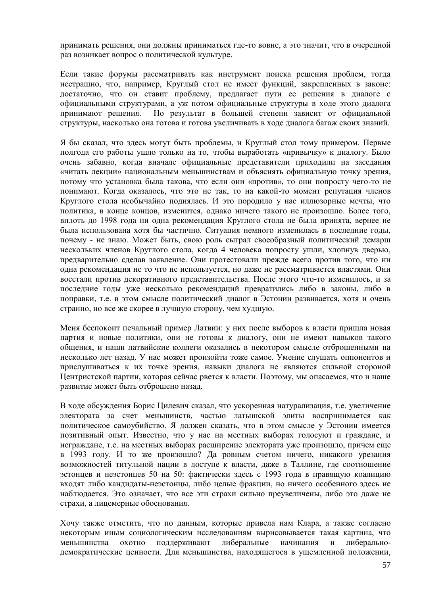принимать решения, они должны приниматься где-то вовне, а это значит, что в очередной раз возникает вопрос о политической культуре.

Если такие форумы рассматривать как инструмент поиска решения проблем, тогда нестрашно, что, например, Круглый стол не имеет функций, закрепленных в законе: достаточно, что он ставит проблему, предлагает пути ее решения в диалоге с официальными структурами, а уж потом официальные структуры в ходе этого диалога принимают решения. Но результат в большей степени зависит от официальной структуры, насколько она готова и готова увеличивать в ходе диалога багаж своих знаний.

Я бы сказал, что здесь могут быть проблемы, и Круглый стол тому примером. Первые полгода его работы ушло только на то, чтобы выработать «привычку» к диалогу. Было очень забавно, когда вначале официальные представители приходили на заседания «читать лекции» национальным меньшинствам и объяснять официальную точку зрения, потому что установка была такова, что если они «против», то они попросту чего-то не понимают. Когда оказалось, что это не так, то на какой-то момент репутация членов Круглого стола необычайно поднялась. И это породило у нас иллюзорные мечты, что политика, в конце концов, изменится, однако ничего такого не произошло. Более того, вплоть до 1998 года ни одна рекомендация Круглого стола не была принята, вернее не была использована хотя бы частично. Ситуация немного изменилась в последние годы, почему - не знаю. Может быть, свою роль сыграл своеобразный политический демарш нескольких членов Круглого стола, когда 4 человека попросту ушли, хлопнув дверью, предварительно сделав заявление. Они протестовали прежде всего против того, что ни одна рекомендация не то что не используется, но даже не рассматривается властями. Они восстали против декоративного представительства. После этого что-то изменилось, и за последние годы уже несколько рекомендаций превратились либо в законы, либо в поправки, т.е. в этом смысле политический диалог в Эстонии развивается, хотя и очень странно, но все же скорее в лучшую сторону, чем худшую.

Меня беспокоит печальный пример Латвии: у них после выборов к власти пришла новая партия и новые политики, они не готовы к диалогу, они не имеют навыков такого общения, и наши латвийские коллеги оказались в некотором смысле отброшенными на несколько лет назад. У нас может произойти тоже самое. Умение слушать оппонентов и прислушиваться к их точке зрения, навыки диалога не являются сильной стороной Центристской партии, которая сейчас рвется к власти. Поэтому, мы опасаемся, что и наше развитие может быть отброшено назад.

В ходе обсуждения Борис Цилевич сказал, что ускоренная натурализация, т.е. увеличение электората за счет меньшинств, частью латышской элиты воспринимается как политическое самоубийство. Я должен сказать, что в этом смысле у Эстонии имеется позитивный опыт. Известно, что у нас на местных выборах голосуют и граждане, и неграждане, т.е. на местных выборах расширение электората уже произошло, причем еще в 1993 году. И то же произошло? Да ровным счетом ничего, никакого урезания возможностей титульной нации в доступе к власти, даже в Таллине, где соотношение эстонцев и неэстонцев 50 на 50: фактически здесь с 1993 года в правящую коалицию входят либо кандидаты-неэстонцы, либо целые фракции, но ничего особенного здесь не наблюдается. Это означает, что все эти страхи сильно преувеличены, либо это даже не страхи, а лицемерные обоснования.

Хочу также отметить, что по данным, которые привела нам Клара, а также согласно некоторым иным социологическим исследованиям вырисовывается такая картина, что меньшинства охотно поддерживают либеральные начинания и либеральнодемократические ценности. Для меньшинства, находящегося в ущемленной положении,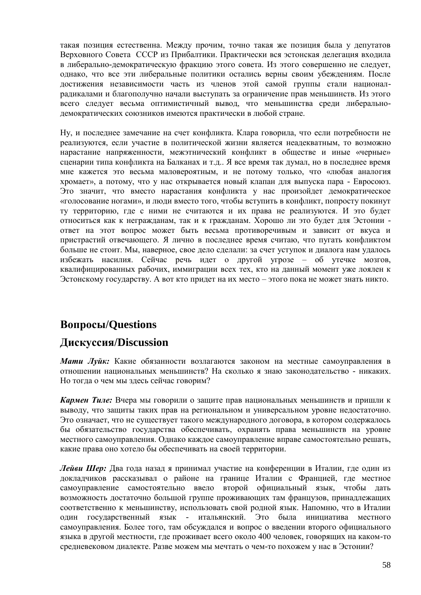такая позиция естественна. Между прочим, точно такая же позиция была у депутатов Верховного Совета СССР из Прибалтики. Практически вся эстонская делегация входила в либерально-демократическую фракцию этого совета. Из этого совершенно не следует, однако, что все эти либеральные политики остались верны своим убеждениям. После достижения независимости часть из членов этой самой группы стали националрадикалами и благополучно начали выступать за ограничение прав меньшинств. Из этого всего следует весьма оптимистичный вывод, что меньшинства среди либеральнодемократических союзников имеются практически в любой стране.

Ну, и последнее замечание на счет конфликта. Клара говорила, что если потребности не реализуются, если участие в политической жизни является неадекватным, то возможно нарастание напряженности, межэтнический конфликт в обществе и иные «черные» сценарии типа конфликта на Балканах и т.д.. Я все время так думал, но в последнее время мне кажется это весьма маловероятным, и не потому только, что «любая аналогия хромает», а потому, что у нас открывается новый клапан для выпуска пара - Евросоюз. Это значит, что вместо нарастания конфликта у нас произойдет демократическое «голосование ногами», и люди вместо того, чтобы вступить в конфликт, попросту покинут ту территорию, где с ними не считаются и их права не реализуются. И это будет относиться как к негражданам, так и к гражданам. Хорошо ли это будет для Эстонии ответ на этот вопрос может быть весьма противоречивым и зависит от вкуса и пристрастий отвечающего. Я лично в последнее время считаю, что пугать конфликтом больше не стоит. Мы, наверное, свое дело сделали: за счет уступок и диалога нам удалось избежать насилия. Сейчас речь идет о другой угрозе – об утечке мозгов, квалифицированных рабочих, иммиграции всех тех, кто на данный момент уже лоялен к Эстонскому государству. А вот кто придет на их место – этого пока не может знать никто.

# **Вопросы/Questions**

# **Дискуссия/Discussion**

*Мати Луйк:* Какие обязанности возлагаются законом на местные самоуправления в отношении национальных меньшинств? На сколько я знаю законодательство - никаких. Но тогда о чем мы здесь cейчас говорим?

*Кармен Тиле:* Вчера мы говорили о защите прав национальных меньшинств и пришли к выводу, что защиты таких прав на региональном и универсальном уровне недостаточно. Это означает, что не существует такого международного договора, в котором содержалось бы обязательство государства обеспечивать, охранять права меньшинств на уровне местного самоуправления. Однако каждое самоуправление вправе самостоятельно решать, какие права оно хотело бы обеспечивать на своей территории.

*Лейви Шер:* Два года назад я принимал участие на конференции в Италии, где один из докладчиков рассказывал о районе на границе Италии с Францией, где местное самоуправление самостоятельно ввело второй официальный язык, чтобы дать возможность достаточно большой группе проживающих там французов, принадлежащих соответственно к меньшинству, использовать свой родной язык. Напомню, что в Италии один государственный язык - итальянский. Это была инициатива местного самоуправления. Более того, там обсуждался и вопрос о введении второго официального языка в другой местности, где проживает всего около 400 человек, говорящих на каком-то средневековом диалекте. Разве можем мы мечтать о чем-то похожем у нас в Эстонии?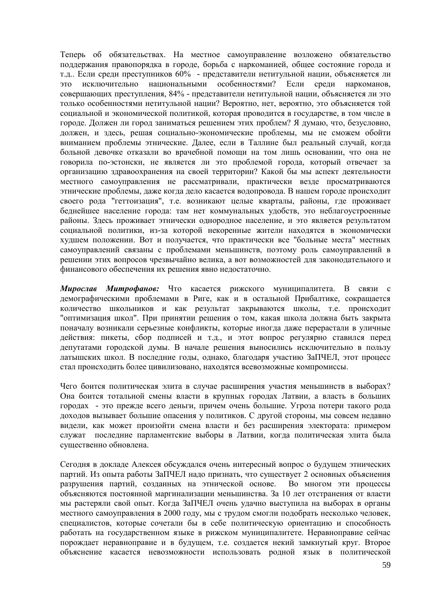Теперь об обязательствах. На местное самоуправление возложено обязательство поддержания правопорядка в городе, борьба с наркоманией, общее состояние города и т.д.. Если среди преступников 60% - представители нетитульной нации, объясняется ли это исключительно национальными особенностями? Если среди наркоманов, совершающих преступления, 84% - представители нетитульной нации, объясняется ли это только особенностями нетитульной нации? Вероятно, нет, вероятно, это объясняется той социальной и экономической политикой, которая проводится в государстве, в том числе в городе. Должен ли город заниматься решением этих проблем? Я думаю, что, безусловно, должен, и здесь, решая социально-экономические проблемы, мы не сможем обойти вниманием проблемы этнические. Далее, если в Таллине был реальный случай, когда больной девочке отказали во врачебной помощи на том лишь основании, что она не говорила по-эстонски, не является ли это проблемой города, который отвечает за организацию здравоохранения на своей территории? Какой бы мы аспект деятельности местного самоуправления не рассматривали, практически везде просматриваются этнические проблемы, даже когда дело касается водопровода. В нашем городе происходит своего рода "геттоизация", т.е. возникают целые кварталы, районы, где проживает беднейшее население города: там нет коммунальных удобств, это неблагоустроенные районы. Здесь проживает этнически однородное население, и это является результатом социальной политики, из-за которой некоренные жители находятся в экономически худшем положении. Вот и получается, что практически все "больные места" местных самоуправлений связаны с проблемами меньшинств, поэтому роль самоуправлений в решении этих вопросов чрезвычайно велика, а вот возможностей для законодательного и финансового обеспечения их решения явно недостаточно.

*Мирослав Митрофанов:* Что касается рижского муниципалитета. В связи с демографическими проблемами в Риге, как и в остальной Прибалтике, сокращается количество школьников и как результат закрываются школы, т.е. происходит "оптимизация школ". При принятии решения о том, какая школа должна быть закрыта поначалу возникали серьезные конфликты, которые иногда даже перерастали в уличные действия: пикеты, сбор подписей и т.д., и этот вопрос регулярно ставился перед депутатами городской думы. В начале решения выносились исключительно в пользу латышских школ. В последние годы, однако, благодаря участию ЗаПЧЕЛ, этот процесс стал происходить более цивилизовано, находятся всевозможные компромиссы.

Чего боится политическая элита в случае расширения участия меньшинств в выборах? Она боится тотальной смены власти в крупных городах Латвии, а власть в больших городах - это прежде всего деньги, причем очень большие. Угроза потери такого рода доходов вызывает большие опасения у политиков. С другой стороны, мы совсем недавно видели, как может произойти смена власти и без расширения электората: примером служат последние парламентские выборы в Латвии, когда политическая элита была существенно обновлена.

Сегодня в докладе Алексея обсуждался очень интересный вопрос о будущем этнических партий. Из опыта работы ЗаПЧЕЛ надо признать, что существует 2 основных объяснения разрушения партий, созданных на этнической основе. Во многом эти процессы объясняются постоянной маргинализации меньшинства. За 10 лет отстранения от власти мы растеряли свой опыт. Когда ЗаПЧЕЛ очень удачно выступила на выборах в органы местного самоуправления в 2000 году, мы с трудом смогли подобрать несколько человек, специалистов, которые сочетали бы в себе политическую ориентацию и способность работать на государственном языке в рижском муниципалитете. Неравноправие сейчас порождает неравноправие и в будущем, т.е. создается некий замкнутый круг. Второе объяснение касается невозможности использовать родной язык в политической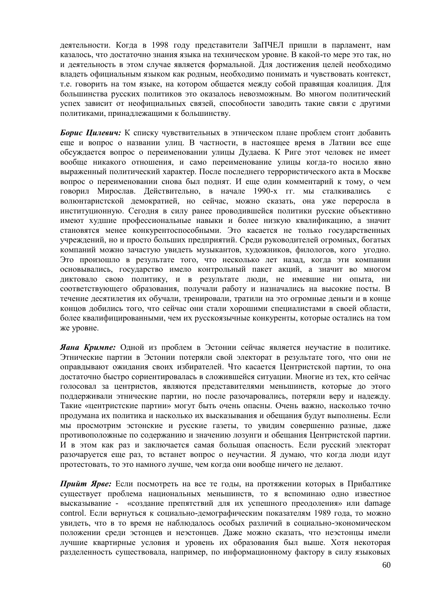деятельности. Когда в 1998 году представители ЗаПЧЕЛ пришли в парламент, нам казалось, что достаточно знания языка на техническом уровне. В какой-то мере это так, но и деятельность в этом случае является формальной. Для достижения целей необходимо владеть официальным языком как родным, необходимо понимать и чувствовать контекст, т.е. говорить на том языке, на котором общается между собой правящая коалиция. Для большинства русских политиков это оказалось невозможным. Во многом политический успех зависит от неофициальных связей, способности заводить такие связи с другими политиками, принадлежащими к большинству.

*Борис Цилевич:* К списку чувствительных в этническом плане проблем стоит добавить еще и вопрос о названии улиц. В частности, в настоящее время в Латвии все еще обсуждается вопрос о переименовании улицы Дудаева. К Риге этот человек не имеет вообще никакого отношения, и само переименование улицы когда-то носило явно выраженный политический характер. После последнего террористического акта в Москве вопрос о переименовании снова был поднят. И еще один комментарий к тому, о чем говорил Мирослав. Действительно, в начале 1990-х гг. мы сталкивались с волюнтаристской демократией, но сейчас, можно сказать, она уже переросла в институционную. Сегодня в силу ранее проводившейся политики русские объективно имеют худшие профессиональные навыки и более низкую квалификацию, а значит становятся менее конкурентоспособными. Это касается не только государственных учреждений, но и просто больших предприятий. Среди руководителей огромных, богатых компаний можно зачастую увидеть музыкантов, художников, филологов, кого угодно. Это произошло в результате того, что несколько лет назад, когда эти компании основывались, государство имело контрольный пакет акций, а значит во многом диктовало свою политику, и в результате люди, не имевшие ни опыта, ни соответствующего образования, получали работу и назначались на высокие посты. В течение десятилетия их обучали, тренировали, тратили на это огромные деньги и в конце концов добились того, что сейчас они стали хорошими специалистами в своей области, более квалифицированными, чем их русскоязычные конкуренты, которые остались на том же уровне.

*Яана Кримпе:* Одной из проблем в Эстонии сейчас является неучастие в политике. Этнические партии в Эстонии потеряли свой электорат в результате того, что они не оправдывают ожидания своих избирателей. Что касается Центристской партии, то она достаточно быстро сориентировалась в сложившейся ситуации. Многие из тех, кто сейчас голосовал за центристов, являются представителями меньшинств, которые до этого поддерживали этнические партии, но после разочаровались, потеряли веру и надежду. Такие «центристские партии» могут быть очень опасны. Очень важно, насколько точно продумана их политика и насколько их высказывания и обещания будут выполнены. Если мы просмотрим эстонские и русские газеты, то увидим совершенно разные, даже противоположные по содержанию и значению лозунги и обещания Центристской партии. И в этом как раз и заключается самая большая опасность. Если русский электорат разочаруется еще раз, то встанет вопрос о неучастии. Я думаю, что когда люди идут протестовать, то это намного лучше, чем когда они вообще ничего не делают.

*Прийт Ярве:* Если посмотреть на все те годы, на протяжении которых в Прибалтике существует проблема национальных меньшинств, то я вспоминаю одно известное высказывание - «создание препятствий для их успешного преодоления» или damage control. Если вернуться к социально-демографическим показателям 1989 года, то можно увидеть, что в то время не наблюдалось особых различий в социально-экономическом положении среди эстонцев и неэстонцев. Даже можно сказать, что неэстонцы имели лучшие квартирные условия и уровень их образования был выше. Хотя некоторая разделенность существовала, например, по информационному фактору в силу языковых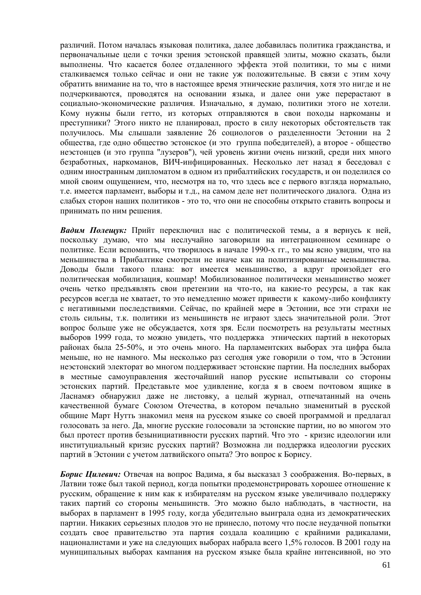различий. Потом началась языковая политика, далее добавилась политика гражданства, и первоначальные цели с точки зрения эстонской правящей элиты, можно сказать, были выполнены. Что касается более отдаленного эффекта этой политики, то мы с ними сталкиваемся только сейчас и они не такие уж положительные. В связи с этим хочу обратить внимание на то, что в настоящее время этнические различия, хотя это нигде и не подчеркиваются, проводятся на основании языка, и далее они уже перерастают в социально-экономические различия. Изначально, я думаю, политики этого не хотели. Кому нужны были гетто, из которых отправляются в свои походы наркоманы и преступники? Этого никто не планировал, просто в силу некоторых обстоятельств так получилось. Мы слышали заявление 26 социологов о разделенности Эстонии на 2 общества, где одно общество эстонское (и это группа победителей), а второе - общество неэстонцев (и это группа "лузеров"), чей уровень жизни очень низкий, среди них много безработных, наркоманов, ВИЧ-инфицированных. Несколько лет назад я беседовал с одним иностранным дипломатом в одном из прибалтийских государств, и он поделился со мной своим ощущением, что, несмотря на то, что здесь все с первого взгляда нормально, т.е. имеется парламент, выборы и т.д., на самом деле нет политического диалога. Одна из слабых сторон наших политиков - это то, что они не способны открыто ставить вопросы и принимать по ним решения.

*Вадим Полещук:* Прийт переключил нас с политической темы, а я вернусь к ней, поскольку думаю, что мы неслучайно заговорили на интеграционном семинаре о политике. Если вспомнить, что творилось в начале 1990-х гг., то мы ясно увидим, что на меньшинства в Прибалтике смотрели не иначе как на политизированные меньшинства. Доводы были такого плана: вот имеется меньшинство, а вдруг произойдет его политическая мобилизация, кошмар! Мобилизованное политически меньшинство может очень четко предъявлять свои претензии на что-то, на какие-то ресурсы, а так как ресурсов всегда не хватает, то это немедленно может привести к какому-либо конфликту с негативными последствиями. Сейчас, по крайней мере в Эстонии, все эти страхи не столь сильны, т.к. политики из меньшинств не играют здесь значительной роли. Этот вопрос больше уже не обсуждается, хотя зря. Если посмотреть на результаты местных выборов 1999 года, то можно увидеть, что поддержка этнических партий в некоторых районах была 25-50%, и это очень много. На парламентских выборах эта цифра была меньше, но не намного. Мы несколько раз сегодня уже говорили о том, что в Эстонии неэстонский электорат во многом поддерживает эстонские партии. На последних выборах в местные самоуправления жесточайший напор русские испытывали со стороны эстонских партий. Представьте мое удивление, когда я в своем почтовом ящике в Ласнамяэ обнаружил даже не листовку, а целый журнал, отпечатанный на очень качественной бумаге Союзом Отечества, в котором печально знаменитый в русской общине Март Нутть знакомил меня на русском языке со своей программой и предлагал голосовать за него. Да, многие русские голосовали за эстонские партии, но во многом это был протест против безынициативности русских партий. Что это - кризис идеологии или институциальный кризис русских партий? Возможна ли поддержка идеологии русских партий в Эстонии с учетом латвийского опыта? Это вопрос к Борису.

*Борис Цилевич:* Отвечая на вопрос Вадима, я бы высказал 3 соображения. Во-первых, в Латвии тоже был такой период, когда попытки продемонстрировать хорошее отношение к русским, обращение к ним как к избирателям на русском языке увеличивало поддержку таких партий со стороны меньшинств. Это можно было наблюдать, в частности, на выборах в парламент в 1995 году, когда убедительно выиграла одна из демократических партии. Никаких серьезных плодов это не принесло, потому что после неудачной попытки создать свое правительство эта партия создала коалицию с крайними радикалами, националистами и уже на следующих выборах набрала всего 1,5% голосов. В 2001 году на муниципальных выборах кампания на русском языке была крайне интенсивной, но это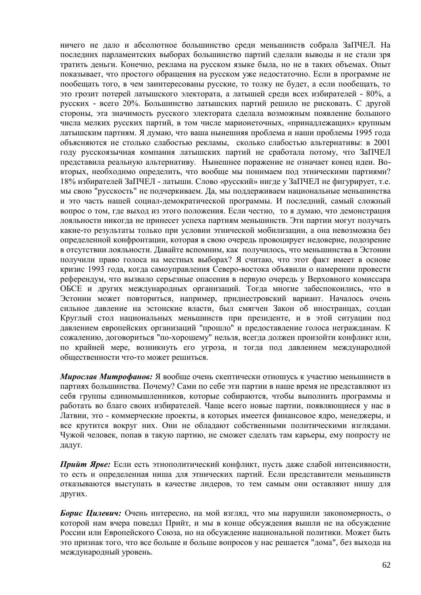ничего не дало и абсолютное большинство среди меньшинств собрала ЗаПЧЕЛ. На последних парламентских выборах большинство партий сделали выводы и не стали зря тратить деньги. Конечно, реклама на русском языке была, но не в таких объемах. Опыт показывает, что простого обращения на русском уже недостаточно. Если в программе не пообещать того, в чем заинтересованы русские, то толку не будет, а если пообещать, то это грозит потерей латышского электората, а латышей среди всех избирателей - 80%, а русских - всего 20%. Большинство латышских партий решило не рисковать. С другой стороны, эта значимость русского электората сделала возможным появление большого числа мелких русских партий, в том числе марионеточных, «принадлежащих» крупным латышским партиям. Я думаю, что ваша нынешняя проблема и наши проблемы 1995 года объясняются не столько слабостью рекламы, сколько слабостью альтернативы: в 2001 году русскоязычная компания латышских партий не сработала потому, что ЗаПЧЕЛ представила реальную альтернативу. Нынешнее поражение не означает конец идеи. Вовторых, необходимо определить, что вообще мы понимаем под этническими партиями? 18% избирателей ЗаПЧЕЛ - латыши. Слово «русский» нигде у ЗаПЧЕЛ не фигурирует, т.е. мы свою "русскость" не подчеркиваем. Да, мы поддерживаем национальные меньшинства и это часть нашей социал-демократической программы. И последний, самый сложный вопрос о том, где выход из этого положения. Если честно, то я думаю, что демонстрация лояльности никогда не принесет успеха партиям меньшинств. Эти партии могут получать какие-то результаты только при условии этнической мобилизации, а она невозможна без определенной конфронтации, которая в свою очередь провоцирует недоверие, подозрение в отсутствии лояльности. Давайте вспомним, как получилось, что меньшинства в Эстонии получили право голоса на местных выборах? Я считаю, что этот факт имеет в основе кризис 1993 года, когда самоуправления Северо-востока объявили о намерении провести референдум, что вызвало серьезные опасения в первую очередь у Верховного комиссара ОБСЕ и других международных организаций. Тогда многие забеспокоились, что в Эстонии может повториться, например, приднестровский вариант. Началось очень сильное давление на эстонские власти, был смягчен Закон об иностранцах, создан Круглый стол национальных меньшинств при президенте, и в этой ситуации под давлением европейских организаций "прошло" и предоставление голоса негражданам. К сожалению, договориться "по-хорошему" нельзя, всегда должен произойти конфликт или, по крайней мере, возникнуть его угроза, и тогда под давлением международной общественности что-то может решиться.

*Мирослав Митрофанов:* Я вообще очень скептически отношусь к участию меньшинств в партиях большинства. Почему? Сами по себе эти партии в наше время не представляют из себя группы единомышленников, которые собираются, чтобы выполнить программы и работать во благо своих избирателей. Чаще всего новые партии, появляющиеся у нас в Латвии, это - коммерческие проекты, в которых имеется финансовое ядро, менеджеры, и все крутится вокруг них. Они не обладают собственными политическими взглядами. Чужой человек, попав в такую партию, не сможет сделать там карьеры, ему попросту не дадут.

*Прийт Ярве:* Если есть этнополитический конфликт, пусть даже слабой интенсивности, то есть и определенная ниша для этнических партий. Если представители меньшинств отказываются выступать в качестве лидеров, то тем самым они оставляют нишу для других.

*Борис Цилевич:* Очень интересно, на мой взгляд, что мы нарушили закономерность, о которой нам вчера поведал Прийт, и мы в конце обсуждения вышли не на обсуждение России или Европейского Союза, но на обсуждение национальной политики. Может быть это признак того, что все больше и больше вопросов у нас решается "дома", без выхода на международный уровень.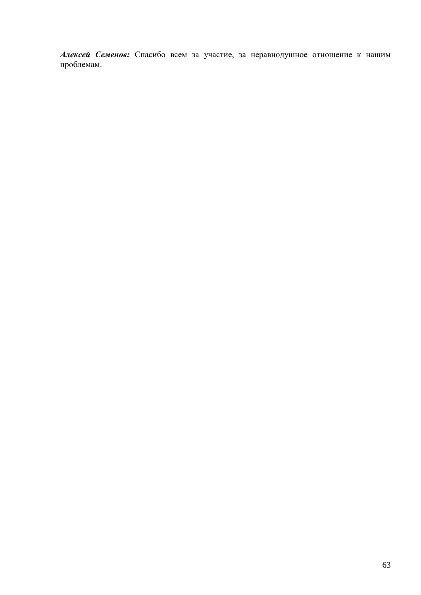*Алексей Семенов:* Спасибо всем за участие, за неравнодушное отношение к нашим проблемам.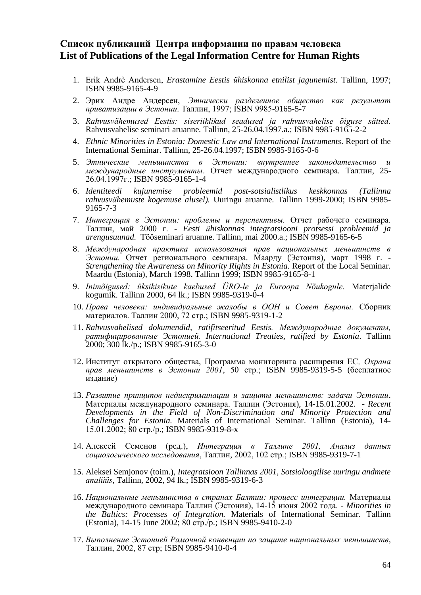### **Список публикаций Центра информации по правам человека List of Publications of the Legal Information Centre for Human Rights**

- 1. Erik Andrè Andersen, *Erastamine Eestis ühiskonna etnilist jagunemist.* Tallinn, 1997; ISBN 9985-9165-4-9
- 2. Эрик Андре Андерсен, *Этнически разделенное общество как результат приватизации в Эстонии.* Таллин, 1997; ISBN 9985-9165-5-7
- 3. *Rahvusvähemused Eestis: siseriiklikud seadused ja rahvusvahelise õiguse sätted.* Rahvusvahelise seminari aruanne*.* Tallinn, 25-26.04.1997.a.; ISBN 9985-9165-2-2
- 4. *Ethnic Minorities in Estonia: Domestic Law and International Instruments*. Report of the International Seminar. Tallinn, 25-26.04.1997; ISBN 9985-9165-0-6
- 5. *Этнические меньшинства в Эстонии: внутреннее законодательство и международные инструменты*. Отчет международного семинара*.* Таллин, 25- 26.04.1997г.; ISBN 9985-9165-1-4
- 6. *Identiteedi kujunemise probleemid post-sotsialistlikus keskkonnas (Tallinna rahvusvähemuste kogemuse alusel).* Uuringu aruanne*.* Tallinn 1999-2000; ISBN 9985- 9165-7-3
- 7. *Интеграция в Эстонии: проблемы и перспективы.* Отчет рабочего семинара. Таллин, май 2000 г. - *Eesti ühiskonnas integratsiooni protsessi probleemid ja arengusuunad.* Tööseminari aruanne. Tallinn, mai 2000.a.; ISBN 9985-9165-6-5
- 8. *Международная практика использования прав национальных меньшинств в Эстонии.* Отчет регионального семинара. Маарду (Эстония), март 1998 г. - *Strengthening the Awareness on Minority Rights in Estonia.* Report of the Local Seminar. Maardu (Estonia), March 1998. Tallinn 1999; ISBN 9985-9165-8-1
- 9. *Inimõigused: üksikisikute kaebused ÜRO-le ja Euroopa Nõukogule.* Materjalide kogumik. Tallinn 2000, 64 lk.; ISBN 9985-9319-0-4
- 10. *Права человека: индивидуальные жалобы в ООН и Совет Европы.* Сборник материалов. Таллин 2000, 72 стр.; ISBN 9985-9319-1-2
- 11. *Rahvusvahelised dokumendid, ratifitseeritud Eestis. Международные документы, ратифицированные Эстонией. International Treaties, ratified by Estonia*. Tallinn 2000; 300 lk./p.; ISBN 9985-9165-3-0
- 12. Институт открытого общества, Программа мониторинга расширения ЕС*, Охрана прав меньшинств в Эстонии 2001*, 50 стр.; ISBN 9985-9319-5-5 (бесплатное издание)
- 13. *Развитие принципов недискриминации и защиты меньшинств: задачи Эстонии*. Материалы международного семинара. Таллин (Эстония), 14-15.01.2002. - *Recent Developments in the Field of Non-Discrimination and Minority Protection and Challenges for Estonia.* Materials of International Seminar. Tallinn (Estonia), 14- 15.01.2002; 80 стр./p.; ISBN 9985-9319-8-x
- 14. Алексей Семенов (ред.), *Интеграция в Таллине 2001, Анализ данных социологического исследования*, Таллин, 2002, 102 стр.; ISBN 9985-9319-7-1
- 15. Aleksei Semjonov (toim.), *Integratsioon Tallinnas 2001, Sotsioloogilise uuringu andmete analüüs*, Tallinn, 2002, 94 lk.; ISBN 9985-9319-6-3
- 16. *Национальные меньшинства в странах Балтии: процесс интеграции.* Материалы международного семинара Таллин (Эстония), 14-15 июня 2002 года. - *Minorities in the Baltics: Processes of Integration.* Materials of International Seminar. Tallinn (Estonia), 14-15 June 2002; 80 стр./p.; ISBN 9985-9410-2-0
- 17. *Выполнение Эстонией Рамочной конвенции по защите национальных меньшинств*, Таллин, 2002, 87 стр; ISBN 9985-9410-0-4